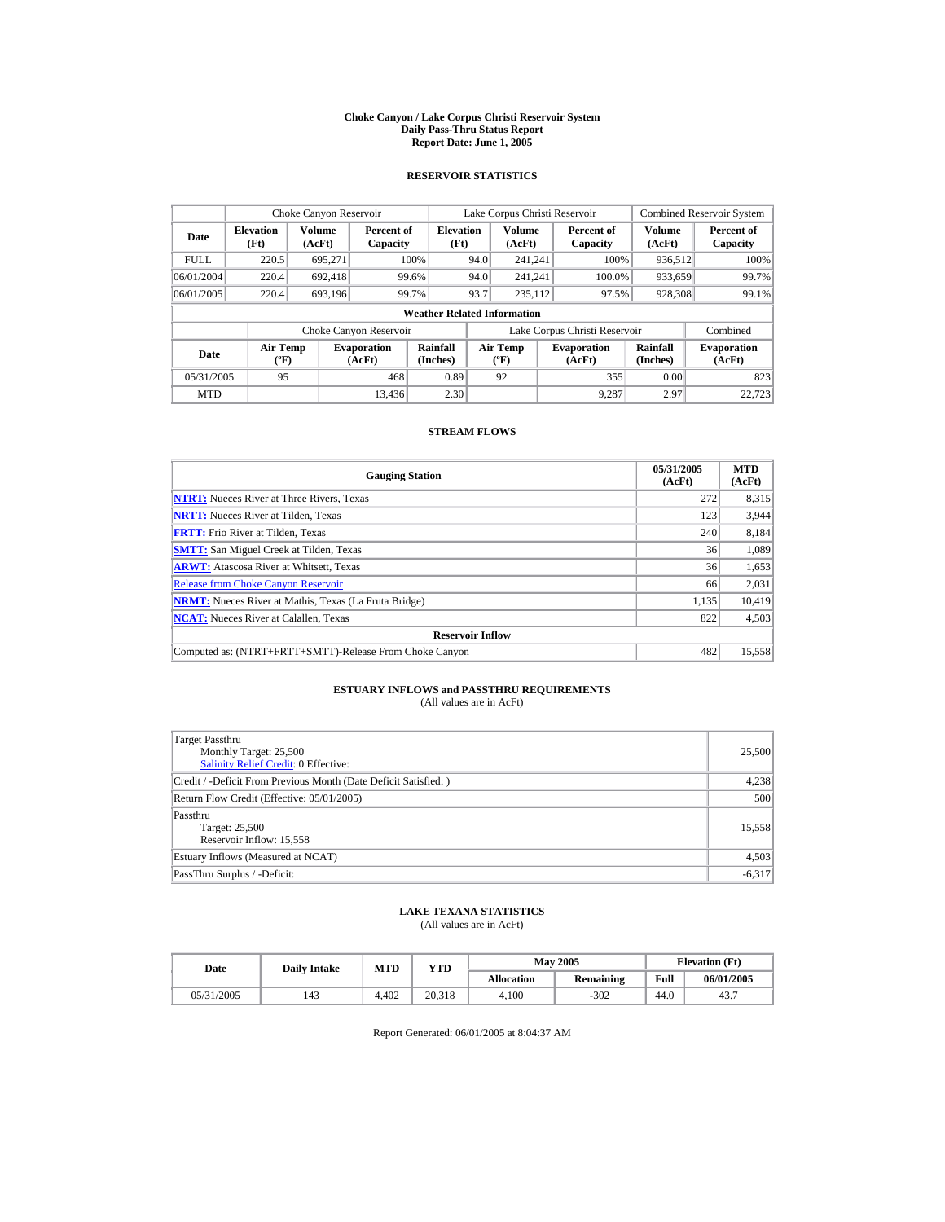#### **Choke Canyon / Lake Corpus Christi Reservoir System Daily Pass-Thru Status Report Report Date: June 1, 2005**

### **RESERVOIR STATISTICS**

|             | Choke Canyon Reservoir               |                  |                              |                          | Lake Corpus Christi Reservoir |                                                  |  |                               |                         | <b>Combined Reservoir System</b> |  |  |
|-------------|--------------------------------------|------------------|------------------------------|--------------------------|-------------------------------|--------------------------------------------------|--|-------------------------------|-------------------------|----------------------------------|--|--|
| Date        | <b>Elevation</b><br>(Ft)             | Volume<br>(AcFt) | Percent of<br>Capacity       | <b>Elevation</b><br>(Ft) |                               | <b>Volume</b><br>(AcFt)                          |  | Percent of<br>Capacity        | <b>Volume</b><br>(AcFt) | Percent of<br>Capacity           |  |  |
| <b>FULL</b> | 220.5                                | 695.271          |                              | 100%                     | 94.0                          | 241.241                                          |  | 100%                          | 936.512                 | 100%                             |  |  |
| 06/01/2004  | 220.4                                | 692.418          |                              | 99.6%                    | 94.0                          | 241.241                                          |  | 100.0%                        | 933,659                 | 99.7%                            |  |  |
| 06/01/2005  | 220.4                                | 693,196          | 99.7%                        |                          | 93.7                          | 235.112                                          |  | 97.5%                         | 928,308                 | 99.1%                            |  |  |
|             | <b>Weather Related Information</b>   |                  |                              |                          |                               |                                                  |  |                               |                         |                                  |  |  |
|             |                                      |                  | Choke Canyon Reservoir       |                          |                               |                                                  |  | Lake Corpus Christi Reservoir |                         | Combined                         |  |  |
| Date        | Air Temp<br>$({}^{\circ}\mathrm{F})$ |                  | <b>Evaporation</b><br>(AcFt) | Rainfall<br>(Inches)     |                               | <b>Air Temp</b><br>$({}^{\mathrm{o}}\mathrm{F})$ |  | <b>Evaporation</b><br>(AcFt)  | Rainfall<br>(Inches)    | <b>Evaporation</b><br>(AcFt)     |  |  |
| 05/31/2005  | 95                                   |                  | 468                          | 0.89                     |                               | 92                                               |  | 355                           | 0.00                    | 823                              |  |  |
| <b>MTD</b>  |                                      |                  | 13.436                       | 2.30                     |                               |                                                  |  | 9.287                         | 2.97                    | 22.723                           |  |  |

### **STREAM FLOWS**

| <b>Gauging Station</b>                                       | 05/31/2005<br>(AcFt) | <b>MTD</b><br>(AcFt) |
|--------------------------------------------------------------|----------------------|----------------------|
| <b>NTRT:</b> Nueces River at Three Rivers, Texas             | 272                  | 8,315                |
| <b>NRTT:</b> Nueces River at Tilden, Texas                   | 123                  | 3.944                |
| <b>FRTT:</b> Frio River at Tilden, Texas                     | 240                  | 8,184                |
| <b>SMTT:</b> San Miguel Creek at Tilden, Texas               | 36                   | 1,089                |
| <b>ARWT:</b> Atascosa River at Whitsett, Texas               | 36                   | 1,653                |
| <b>Release from Choke Canvon Reservoir</b>                   | 66                   | 2,031                |
| <b>NRMT:</b> Nueces River at Mathis, Texas (La Fruta Bridge) | 1,135                | 10,419               |
| <b>NCAT:</b> Nueces River at Calallen, Texas                 | 822                  | 4,503                |
| <b>Reservoir Inflow</b>                                      |                      |                      |
| Computed as: (NTRT+FRTT+SMTT)-Release From Choke Canyon      | 482                  | 15,558               |

# **ESTUARY INFLOWS and PASSTHRU REQUIREMENTS**<br>(All values are in AcFt)

| Target Passthru<br>Monthly Target: 25,500<br>Salinity Relief Credit: 0 Effective: | 25,500   |
|-----------------------------------------------------------------------------------|----------|
| Credit / -Deficit From Previous Month (Date Deficit Satisfied:)                   | 4,238    |
| Return Flow Credit (Effective: 05/01/2005)                                        | 500      |
| Passthru<br>Target: 25,500<br>Reservoir Inflow: 15,558                            | 15.558   |
| Estuary Inflows (Measured at NCAT)                                                | 4,503    |
| PassThru Surplus / -Deficit:                                                      | $-6,317$ |

## **LAKE TEXANA STATISTICS**

(All values are in AcFt)

| Date       | <b>Daily Intake</b> | <b>MTD</b> | VTD    |                   | <b>May 2005</b> | <b>Elevation</b> (Ft) |            |
|------------|---------------------|------------|--------|-------------------|-----------------|-----------------------|------------|
|            |                     |            |        | <b>Allocation</b> | Remaining       | Full                  | 06/01/2005 |
| 05/31/2005 | 143                 | 4.402      | 20.318 | 4.100             | $-302$          | 44.0                  | 43.7       |

Report Generated: 06/01/2005 at 8:04:37 AM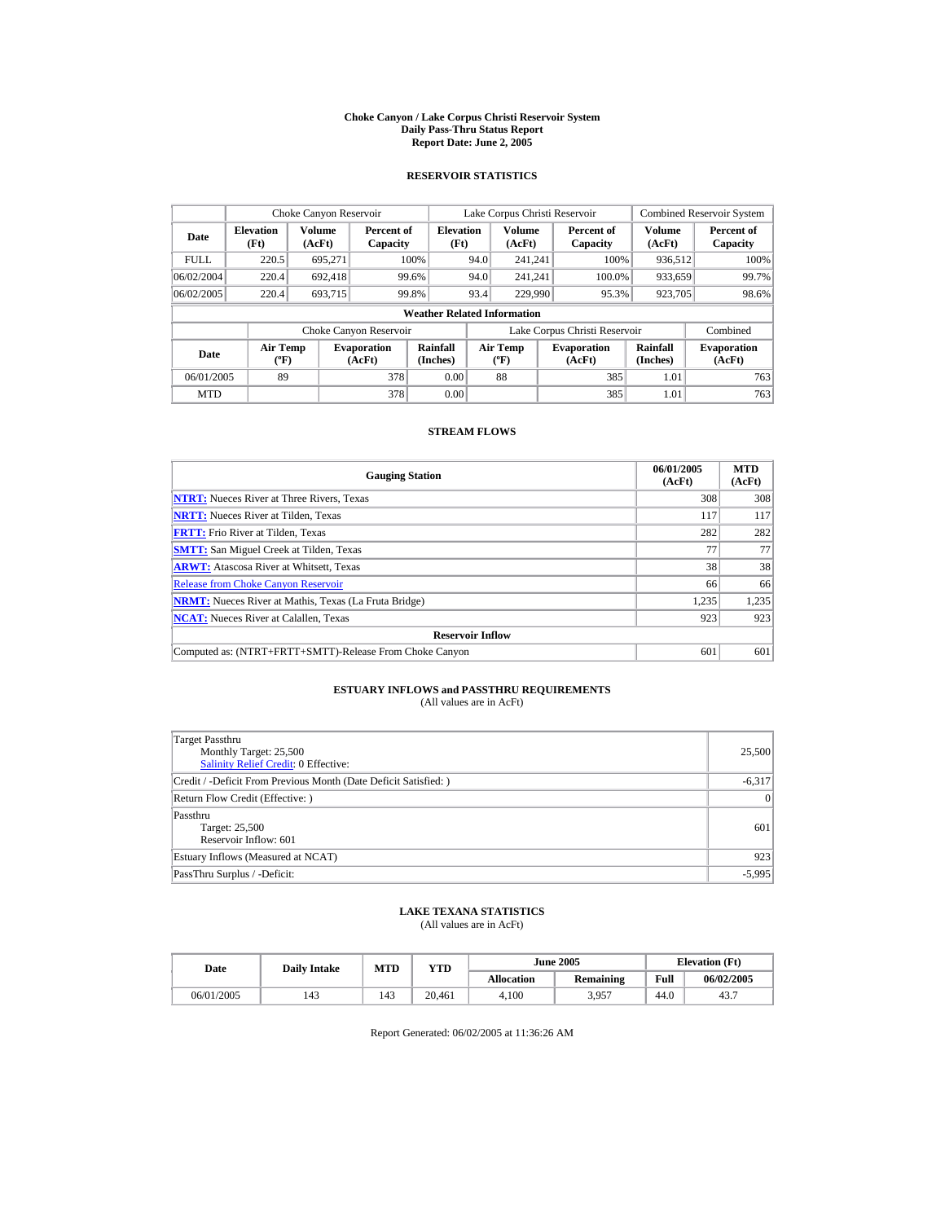#### **Choke Canyon / Lake Corpus Christi Reservoir System Daily Pass-Thru Status Report Report Date: June 2, 2005**

### **RESERVOIR STATISTICS**

|             | Choke Canyon Reservoir                      |                  |                              |                          | Lake Corpus Christi Reservoir |                                          |  |                               |                         | <b>Combined Reservoir System</b> |  |  |
|-------------|---------------------------------------------|------------------|------------------------------|--------------------------|-------------------------------|------------------------------------------|--|-------------------------------|-------------------------|----------------------------------|--|--|
| Date        | <b>Elevation</b><br>(Ft)                    | Volume<br>(AcFt) | Percent of<br>Capacity       | <b>Elevation</b><br>(Ft) |                               | Volume<br>(AcFt)                         |  | Percent of<br>Capacity        | <b>Volume</b><br>(AcFt) | Percent of<br>Capacity           |  |  |
| <b>FULL</b> | 220.5                                       | 695,271          |                              | 100%                     | 94.0                          | 241.241                                  |  | 100%                          | 936.512                 | 100%                             |  |  |
| 06/02/2004  | 220.4                                       | 692.418          |                              | 99.6%                    | 94.0                          | 241.241                                  |  | 100.0%                        | 933,659                 | 99.7%                            |  |  |
| 06/02/2005  | 220.4                                       | 693.715          |                              | 99.8%                    | 93.4                          | 229,990                                  |  | 95.3%                         | 923,705                 | 98.6%                            |  |  |
|             | <b>Weather Related Information</b>          |                  |                              |                          |                               |                                          |  |                               |                         |                                  |  |  |
|             |                                             |                  | Choke Canyon Reservoir       |                          |                               |                                          |  | Lake Corpus Christi Reservoir |                         | Combined                         |  |  |
| Date        | <b>Air Temp</b><br>$({}^{\circ}\mathrm{F})$ |                  | <b>Evaporation</b><br>(AcFt) | Rainfall<br>(Inches)     |                               | <b>Air Temp</b><br>$({}^{\circ}{\rm F})$ |  | <b>Evaporation</b><br>(AcFt)  | Rainfall<br>(Inches)    | <b>Evaporation</b><br>(AcFt)     |  |  |
| 06/01/2005  | 89                                          |                  | 378                          | 0.00                     |                               | 88                                       |  | 385                           | 1.01                    | 763                              |  |  |
| <b>MTD</b>  |                                             |                  | 378                          | 0.00                     |                               |                                          |  | 385                           | 1.01                    | 763                              |  |  |

### **STREAM FLOWS**

| <b>Gauging Station</b>                                       | 06/01/2005<br>(AcFt) | <b>MTD</b><br>(AcFt) |
|--------------------------------------------------------------|----------------------|----------------------|
| <b>NTRT:</b> Nueces River at Three Rivers, Texas             | 308                  | 308                  |
| <b>NRTT:</b> Nueces River at Tilden, Texas                   | 117                  | 117                  |
| <b>FRTT:</b> Frio River at Tilden, Texas                     | 282                  | 282                  |
| <b>SMTT:</b> San Miguel Creek at Tilden, Texas               | 77                   | 77                   |
| <b>ARWT:</b> Atascosa River at Whitsett, Texas               | 38                   | 38                   |
| <b>Release from Choke Canyon Reservoir</b>                   | 66                   | 66                   |
| <b>NRMT:</b> Nueces River at Mathis, Texas (La Fruta Bridge) | 1,235                | 1,235                |
| <b>NCAT:</b> Nueces River at Calallen, Texas                 | 923                  | 923                  |
| <b>Reservoir Inflow</b>                                      |                      |                      |
| Computed as: (NTRT+FRTT+SMTT)-Release From Choke Canyon      | 601                  | 601                  |

# **ESTUARY INFLOWS and PASSTHRU REQUIREMENTS**<br>(All values are in AcFt)

| Target Passthru<br>Monthly Target: 25,500<br>Salinity Relief Credit: 0 Effective: | 25,500   |
|-----------------------------------------------------------------------------------|----------|
| Credit / -Deficit From Previous Month (Date Deficit Satisfied: )                  | $-6,317$ |
| Return Flow Credit (Effective: )                                                  | 0        |
| Passthru<br>Target: 25,500<br>Reservoir Inflow: 601                               | 601      |
| Estuary Inflows (Measured at NCAT)                                                | 923      |
| PassThru Surplus / -Deficit:                                                      | $-5,995$ |

## **LAKE TEXANA STATISTICS**

(All values are in AcFt)

| Date       | <b>Daily Intake</b> | <b>MTD</b> | YTD    |                   | <b>June 2005</b> | <b>Elevation</b> (Ft) |            |
|------------|---------------------|------------|--------|-------------------|------------------|-----------------------|------------|
|            |                     |            |        | <b>Allocation</b> | <b>Remaining</b> | Full                  | 06/02/2005 |
| 06/01/2005 | 143                 | 143        | 20.461 | 4.100             | 3.957            | 44.0                  | 43.7       |

Report Generated: 06/02/2005 at 11:36:26 AM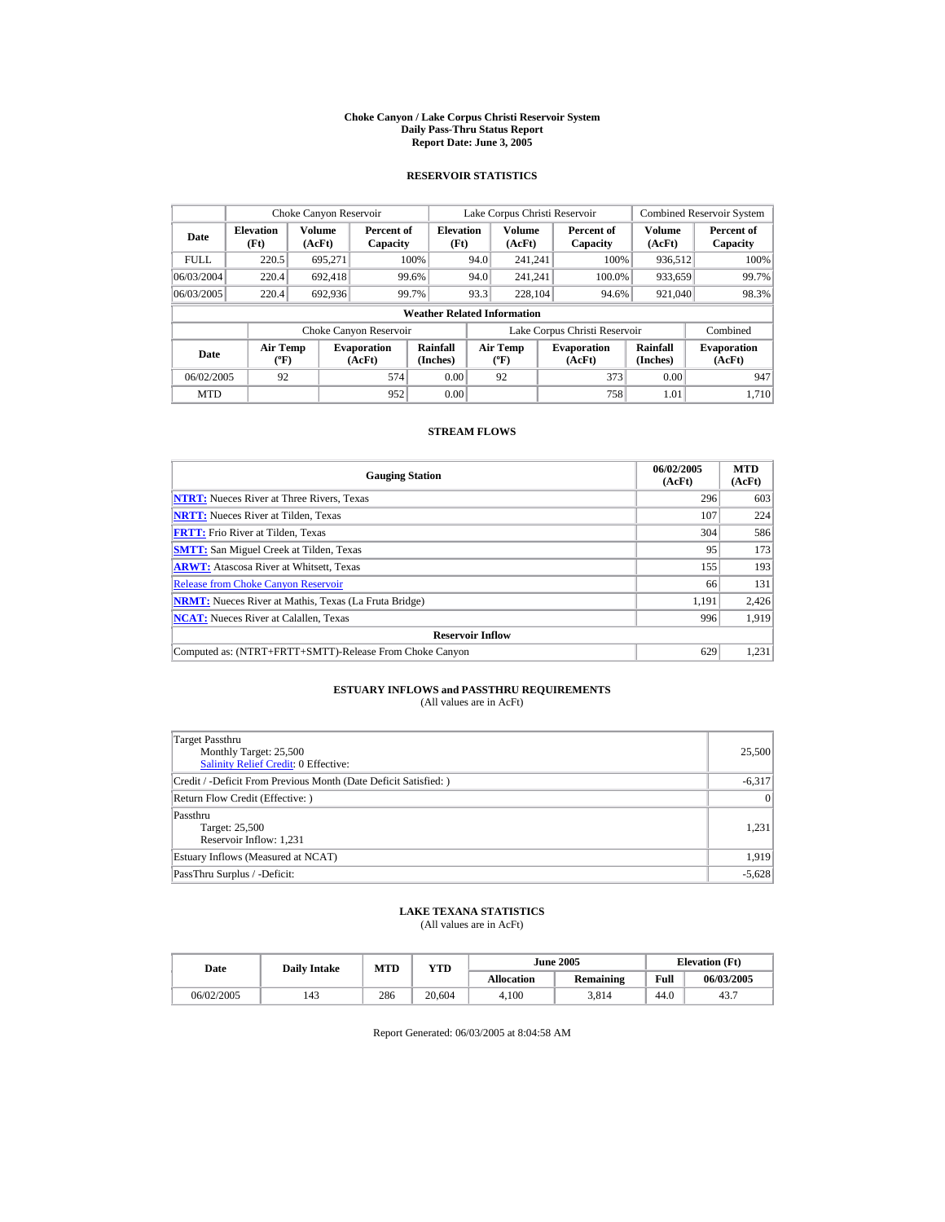#### **Choke Canyon / Lake Corpus Christi Reservoir System Daily Pass-Thru Status Report Report Date: June 3, 2005**

### **RESERVOIR STATISTICS**

|             | Choke Canyon Reservoir                      |                  |                              |                          | Lake Corpus Christi Reservoir            |                         |  |                               |                         | <b>Combined Reservoir System</b> |  |  |
|-------------|---------------------------------------------|------------------|------------------------------|--------------------------|------------------------------------------|-------------------------|--|-------------------------------|-------------------------|----------------------------------|--|--|
| Date        | <b>Elevation</b><br>(Ft)                    | Volume<br>(AcFt) | Percent of<br>Capacity       | <b>Elevation</b><br>(Ft) |                                          | <b>Volume</b><br>(AcFt) |  | Percent of<br>Capacity        | <b>Volume</b><br>(AcFt) | Percent of<br>Capacity           |  |  |
| <b>FULL</b> | 220.5                                       | 695.271          |                              | 100%                     | 94.0                                     | 241.241                 |  | 100%                          | 936.512                 | 100%                             |  |  |
| 06/03/2004  | 220.4                                       | 692.418          |                              | 99.6%                    | 94.0                                     | 241.241                 |  | 100.0%                        | 933,659                 | 99.7%                            |  |  |
| 06/03/2005  | 220.4                                       | 692.936          |                              | 99.7%                    | 93.3                                     | 228.104                 |  | 94.6%                         | 921,040                 | 98.3%                            |  |  |
|             | <b>Weather Related Information</b>          |                  |                              |                          |                                          |                         |  |                               |                         |                                  |  |  |
|             |                                             |                  | Choke Canyon Reservoir       |                          |                                          |                         |  | Lake Corpus Christi Reservoir |                         | Combined                         |  |  |
| Date        | <b>Air Temp</b><br>$({}^{\circ}\mathrm{F})$ |                  | <b>Evaporation</b><br>(AcFt) | Rainfall<br>(Inches)     | <b>Air Temp</b><br>$({}^{\circ}{\rm F})$ |                         |  | <b>Evaporation</b><br>(AcFt)  | Rainfall<br>(Inches)    | <b>Evaporation</b><br>(AcFt)     |  |  |
| 06/02/2005  | 92                                          |                  | 574                          | 0.00                     |                                          | 92                      |  | 373                           | 0.00                    | 947                              |  |  |
| <b>MTD</b>  |                                             |                  | 952                          | 0.00                     |                                          |                         |  | 758                           | 1.01                    | 1.710                            |  |  |

### **STREAM FLOWS**

| <b>Gauging Station</b>                                       | 06/02/2005<br>(AcFt) | <b>MTD</b><br>(AcFt) |
|--------------------------------------------------------------|----------------------|----------------------|
| <b>NTRT:</b> Nueces River at Three Rivers, Texas             | 296                  | 603                  |
| <b>NRTT:</b> Nueces River at Tilden, Texas                   | 107                  | 224                  |
| <b>FRTT:</b> Frio River at Tilden, Texas                     | 304                  | 586                  |
| <b>SMTT:</b> San Miguel Creek at Tilden, Texas               | 95                   | 173                  |
| <b>ARWT:</b> Atascosa River at Whitsett, Texas               | 155                  | 193                  |
| <b>Release from Choke Canyon Reservoir</b>                   | 66                   | 131                  |
| <b>NRMT:</b> Nueces River at Mathis, Texas (La Fruta Bridge) | 1.191                | 2.426                |
| <b>NCAT:</b> Nueces River at Calallen, Texas                 | 996                  | 1.919                |
| <b>Reservoir Inflow</b>                                      |                      |                      |
| Computed as: (NTRT+FRTT+SMTT)-Release From Choke Canyon      | 629                  | 1,231                |

# **ESTUARY INFLOWS and PASSTHRU REQUIREMENTS**<br>(All values are in AcFt)

| Target Passthru<br>Monthly Target: 25,500<br>Salinity Relief Credit: 0 Effective: | 25,500          |
|-----------------------------------------------------------------------------------|-----------------|
| Credit / -Deficit From Previous Month (Date Deficit Satisfied:)                   | $-6,317$        |
| Return Flow Credit (Effective: )                                                  | $\vert 0 \vert$ |
| Passthru<br>Target: 25,500<br>Reservoir Inflow: 1,231                             | 1,231           |
| Estuary Inflows (Measured at NCAT)                                                | 1,919           |
| PassThru Surplus / -Deficit:                                                      | $-5,628$        |

## **LAKE TEXANA STATISTICS**

(All values are in AcFt)

| Date       | <b>Daily Intake</b> | <b>MTD</b> | $_{\rm VTD}$ |                   | <b>June 2005</b> | <b>Elevation</b> (Ft) |            |
|------------|---------------------|------------|--------------|-------------------|------------------|-----------------------|------------|
|            |                     |            |              | <b>Allocation</b> | Remaining        | Full                  | 06/03/2005 |
| 06/02/2005 | 143                 | 286        | 20.604       | 4.100             | 3.814            | 44.0                  | 43.7       |

Report Generated: 06/03/2005 at 8:04:58 AM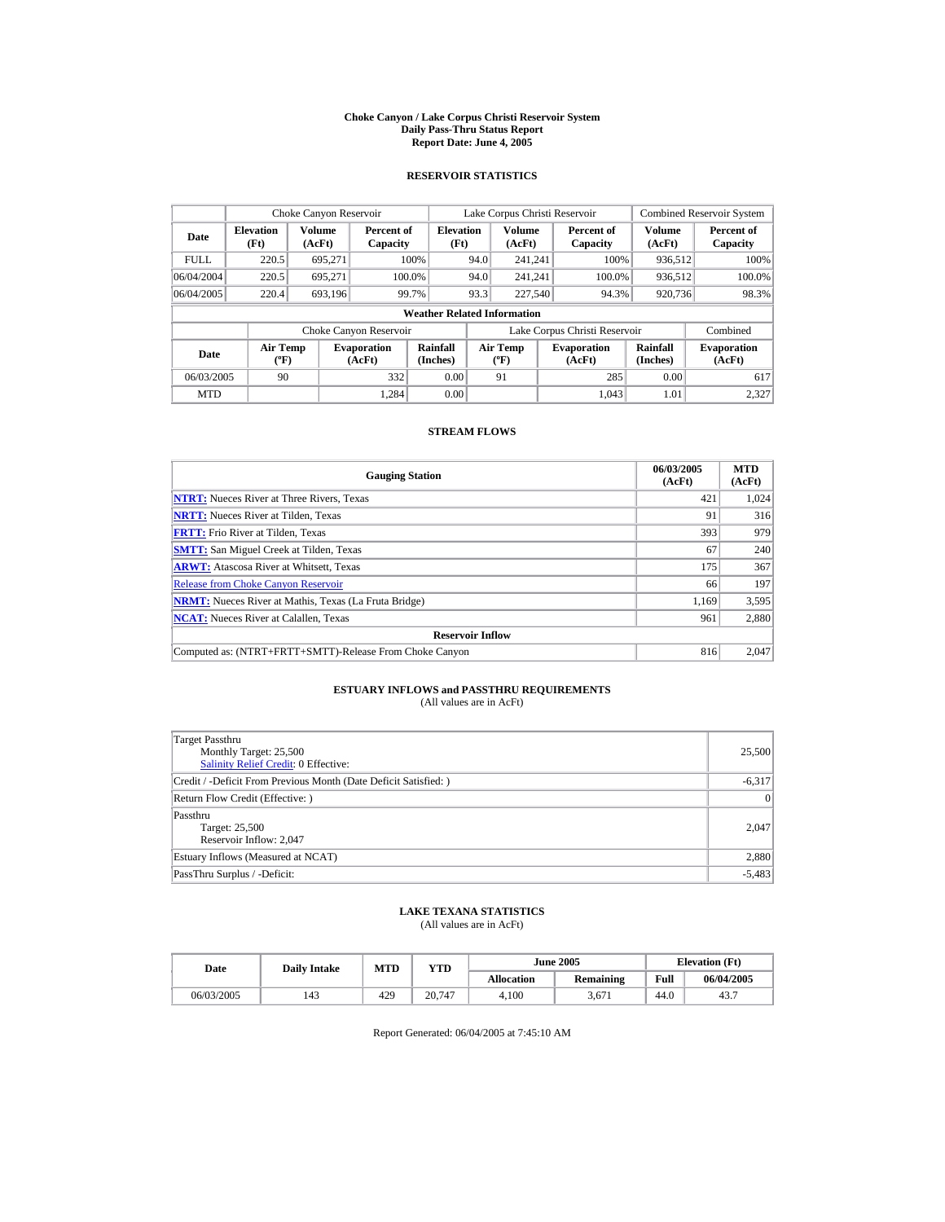#### **Choke Canyon / Lake Corpus Christi Reservoir System Daily Pass-Thru Status Report Report Date: June 4, 2005**

### **RESERVOIR STATISTICS**

|             | Choke Canyon Reservoir                      |                  |                              |                             | Lake Corpus Christi Reservoir |                                          |  |                               |                      | <b>Combined Reservoir System</b> |  |  |
|-------------|---------------------------------------------|------------------|------------------------------|-----------------------------|-------------------------------|------------------------------------------|--|-------------------------------|----------------------|----------------------------------|--|--|
| Date        | <b>Elevation</b><br>(Ft)                    | Volume<br>(AcFt) | Percent of<br>Capacity       | <b>Elevation</b><br>(Ft)    |                               | <b>Volume</b><br>(AcFt)                  |  | Percent of<br>Capacity        | Volume<br>(AcFt)     | Percent of<br>Capacity           |  |  |
| <b>FULL</b> | 220.5                                       | 695.271          |                              | 100%                        | 94.0                          | 241.241                                  |  | 100%                          | 936.512              | 100%                             |  |  |
| 06/04/2004  | 220.5                                       | 695.271          |                              | 100.0%                      | 94.0                          | 241.241                                  |  | 100.0%                        | 936,512              | 100.0%                           |  |  |
| 06/04/2005  | 220.4                                       | 693,196          |                              | 99.7%                       | 93.3                          | 227,540                                  |  | 94.3%                         | 920,736              | 98.3%                            |  |  |
|             | <b>Weather Related Information</b>          |                  |                              |                             |                               |                                          |  |                               |                      |                                  |  |  |
|             |                                             |                  | Choke Canyon Reservoir       |                             |                               |                                          |  | Lake Corpus Christi Reservoir |                      | Combined                         |  |  |
| Date        | <b>Air Temp</b><br>$({}^{\circ}\mathrm{F})$ |                  | <b>Evaporation</b><br>(AcFt) | <b>Rainfall</b><br>(Inches) |                               | <b>Air Temp</b><br>$({}^{\circ}{\rm F})$ |  | <b>Evaporation</b><br>(AcFt)  | Rainfall<br>(Inches) | <b>Evaporation</b><br>(AcFt)     |  |  |
| 06/03/2005  | 90                                          |                  | 332                          | 0.00                        |                               | 91                                       |  | 285                           | 0.00                 | 617                              |  |  |
| <b>MTD</b>  |                                             |                  | 1.284                        | 0.00                        |                               |                                          |  | 1.043                         | 1.01                 | 2.327                            |  |  |

### **STREAM FLOWS**

| <b>Gauging Station</b>                                       | 06/03/2005<br>(AcFt) | <b>MTD</b><br>(AcFt) |
|--------------------------------------------------------------|----------------------|----------------------|
| <b>NTRT:</b> Nueces River at Three Rivers, Texas             | 421                  | 1.024                |
| <b>NRTT:</b> Nueces River at Tilden, Texas                   | 91                   | 316                  |
| <b>FRTT:</b> Frio River at Tilden, Texas                     | 393                  | 979                  |
| <b>SMTT:</b> San Miguel Creek at Tilden, Texas               | 67                   | 240                  |
| <b>ARWT:</b> Atascosa River at Whitsett, Texas               | 175                  | 367                  |
| <b>Release from Choke Canyon Reservoir</b>                   | 66                   | 197                  |
| <b>NRMT:</b> Nueces River at Mathis, Texas (La Fruta Bridge) | 1.169                | 3,595                |
| <b>NCAT:</b> Nueces River at Calallen, Texas                 | 961                  | 2,880                |
| <b>Reservoir Inflow</b>                                      |                      |                      |
| Computed as: (NTRT+FRTT+SMTT)-Release From Choke Canyon      | 816                  | 2.047                |

# **ESTUARY INFLOWS and PASSTHRU REQUIREMENTS**<br>(All values are in AcFt)

| Target Passthru<br>Monthly Target: 25,500<br>Salinity Relief Credit: 0 Effective: | 25,500   |
|-----------------------------------------------------------------------------------|----------|
| Credit / -Deficit From Previous Month (Date Deficit Satisfied: )                  | $-6,317$ |
| Return Flow Credit (Effective: )                                                  | 0        |
| Passthru<br>Target: 25,500<br>Reservoir Inflow: 2,047                             | 2.047    |
| Estuary Inflows (Measured at NCAT)                                                | 2,880    |
| PassThru Surplus / -Deficit:                                                      | $-5,483$ |

## **LAKE TEXANA STATISTICS**

(All values are in AcFt)

| Date       | <b>Daily Intake</b> | MTD | $_{\rm VTD}$ |                   | <b>June 2005</b> |      | <b>Elevation</b> (Ft) |
|------------|---------------------|-----|--------------|-------------------|------------------|------|-----------------------|
|            |                     |     |              | <b>Allocation</b> | <b>Remaining</b> | Full | 06/04/2005            |
| 06/03/2005 | 143                 | 429 | 20.747       | 4.100             | 3.671            | 44.0 | 43.7                  |

Report Generated: 06/04/2005 at 7:45:10 AM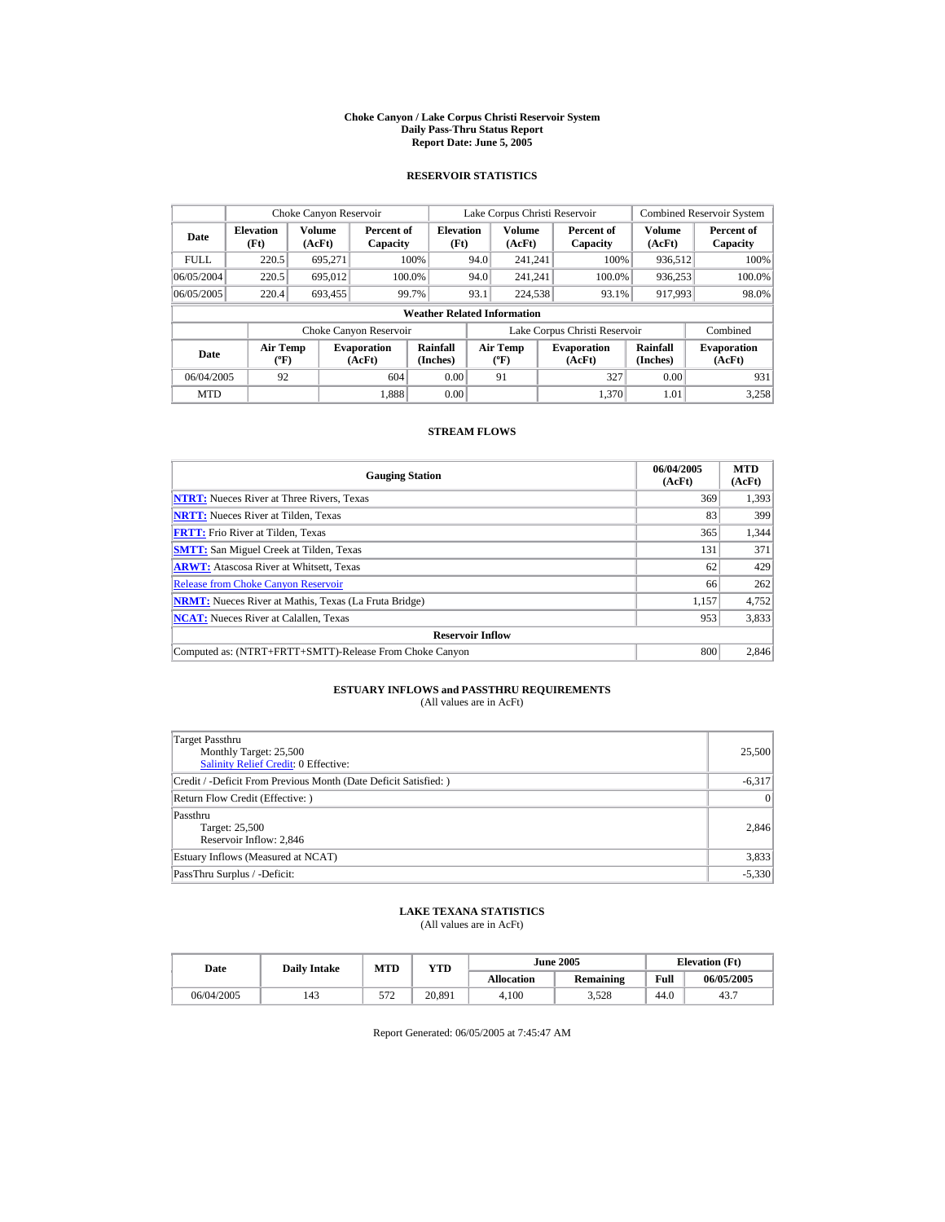#### **Choke Canyon / Lake Corpus Christi Reservoir System Daily Pass-Thru Status Report Report Date: June 5, 2005**

### **RESERVOIR STATISTICS**

|             | Choke Canyon Reservoir                      |                  |                              |                          | Lake Corpus Christi Reservoir |                                          |  |                               |                      | <b>Combined Reservoir System</b> |  |  |
|-------------|---------------------------------------------|------------------|------------------------------|--------------------------|-------------------------------|------------------------------------------|--|-------------------------------|----------------------|----------------------------------|--|--|
| Date        | <b>Elevation</b><br>(Ft)                    | Volume<br>(AcFt) | Percent of<br>Capacity       | <b>Elevation</b><br>(Ft) |                               | <b>Volume</b><br>(AcFt)                  |  | Percent of<br>Capacity        | Volume<br>(AcFt)     | Percent of<br>Capacity           |  |  |
| <b>FULL</b> | 220.5                                       | 695.271          |                              | 100%                     | 94.0                          | 241.241                                  |  | 100%                          | 936.512              | 100%                             |  |  |
| 06/05/2004  | 220.5                                       | 695.012          |                              | 100.0%                   | 94.0                          | 241.241                                  |  | 100.0%                        | 936,253              | 100.0%                           |  |  |
| 06/05/2005  | 220.4                                       | 693,455          |                              | 99.7%                    | 93.1                          | 224,538                                  |  | 93.1%                         | 917,993              | 98.0%                            |  |  |
|             | <b>Weather Related Information</b>          |                  |                              |                          |                               |                                          |  |                               |                      |                                  |  |  |
|             |                                             |                  | Choke Canyon Reservoir       |                          |                               |                                          |  | Lake Corpus Christi Reservoir |                      | Combined                         |  |  |
| Date        | <b>Air Temp</b><br>$({}^{\circ}\mathrm{F})$ |                  | <b>Evaporation</b><br>(AcFt) | Rainfall<br>(Inches)     |                               | <b>Air Temp</b><br>$({}^{\circ}{\rm F})$ |  | <b>Evaporation</b><br>(AcFt)  | Rainfall<br>(Inches) | <b>Evaporation</b><br>(AcFt)     |  |  |
| 06/04/2005  | 92                                          |                  | 604                          | 0.00                     |                               | 91                                       |  | 327                           | 0.00                 | 931                              |  |  |
| <b>MTD</b>  |                                             |                  | 1.888                        | 0.00                     |                               |                                          |  | 1.370                         | 1.01                 | 3.258                            |  |  |

### **STREAM FLOWS**

| <b>Gauging Station</b>                                       | 06/04/2005<br>(AcFt) | <b>MTD</b><br>(AcFt) |
|--------------------------------------------------------------|----------------------|----------------------|
| <b>NTRT:</b> Nueces River at Three Rivers, Texas             | 369                  | 1,393                |
| <b>NRTT:</b> Nueces River at Tilden, Texas                   | 83                   | 399                  |
| <b>FRTT:</b> Frio River at Tilden, Texas                     | 365                  | 1,344                |
| <b>SMTT:</b> San Miguel Creek at Tilden, Texas               | 131                  | 371                  |
| <b>ARWT:</b> Atascosa River at Whitsett, Texas               | 62                   | 429                  |
| <b>Release from Choke Canyon Reservoir</b>                   | 66                   | 262                  |
| <b>NRMT:</b> Nueces River at Mathis, Texas (La Fruta Bridge) | 1.157                | 4,752                |
| <b>NCAT:</b> Nueces River at Calallen, Texas                 | 953                  | 3,833                |
| <b>Reservoir Inflow</b>                                      |                      |                      |
| Computed as: (NTRT+FRTT+SMTT)-Release From Choke Canyon      | 800                  | 2.846                |

# **ESTUARY INFLOWS and PASSTHRU REQUIREMENTS**<br>(All values are in AcFt)

| <b>Target Passthru</b><br>Monthly Target: 25,500<br>Salinity Relief Credit: 0 Effective: | 25,500          |
|------------------------------------------------------------------------------------------|-----------------|
| Credit / -Deficit From Previous Month (Date Deficit Satisfied:)                          | $-6,317$        |
| Return Flow Credit (Effective: )                                                         | $\vert 0 \vert$ |
| Passthru<br>Target: 25,500<br>Reservoir Inflow: 2,846                                    | 2,846           |
| Estuary Inflows (Measured at NCAT)                                                       | 3,833           |
| PassThru Surplus / -Deficit:                                                             | $-5,330$        |

## **LAKE TEXANA STATISTICS**

(All values are in AcFt)

| Date       | <b>Daily Intake</b> | MTD        | VTD    |                   | <b>June 2005</b> |      | <b>Elevation</b> (Ft) |
|------------|---------------------|------------|--------|-------------------|------------------|------|-----------------------|
|            |                     |            |        | <b>Allocation</b> | Remaining        | Full | 06/05/2005            |
| 06/04/2005 | 143                 | 570<br>ے ر | 20,891 | 4.100             | 3,528            | 44.0 | 43.7                  |

Report Generated: 06/05/2005 at 7:45:47 AM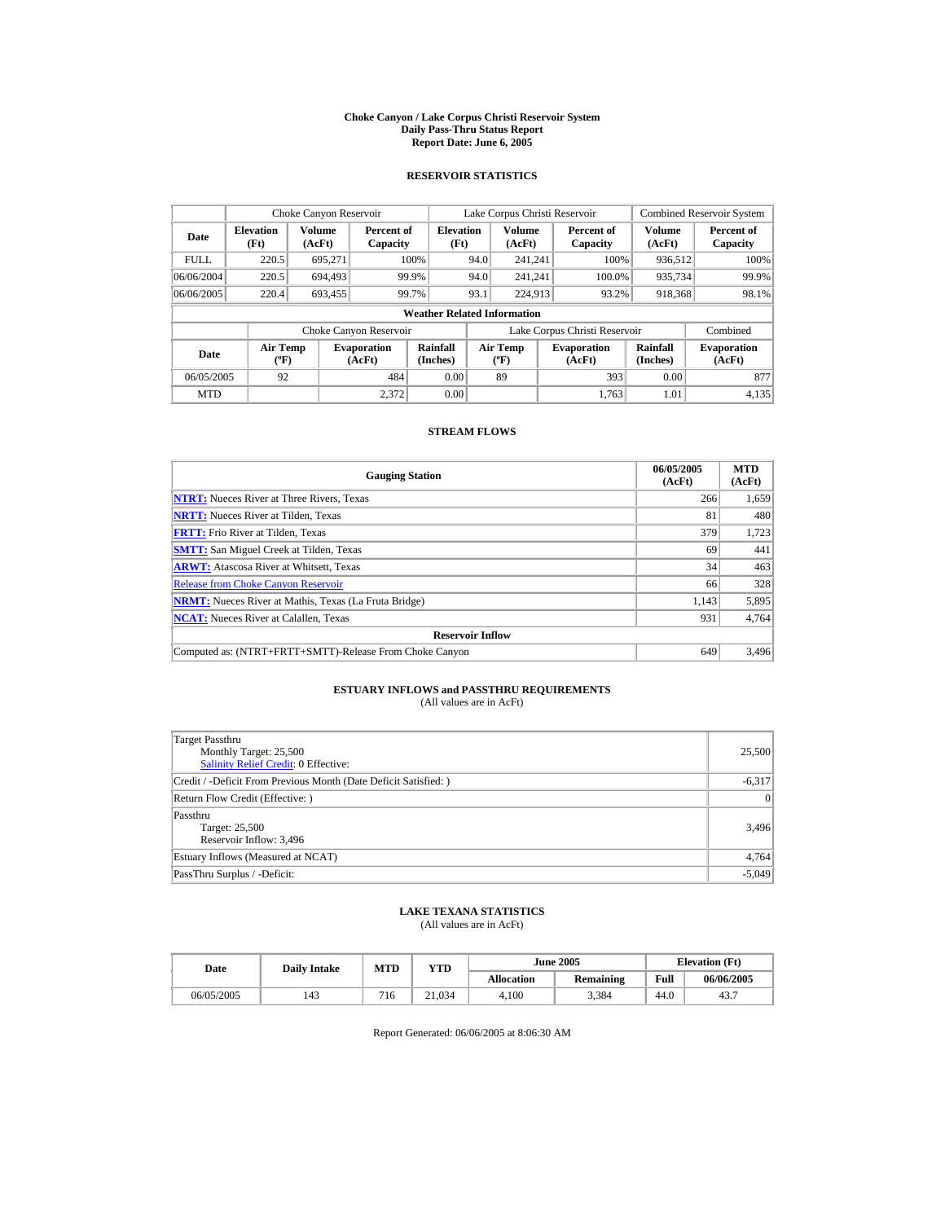#### **Choke Canyon / Lake Corpus Christi Reservoir System Daily Pass-Thru Status Report Report Date: June 6, 2005**

### **RESERVOIR STATISTICS**

|             | Choke Canyon Reservoir                      |                  |                              |                          | Lake Corpus Christi Reservoir |                                          |  |                               |                      | <b>Combined Reservoir System</b> |  |  |
|-------------|---------------------------------------------|------------------|------------------------------|--------------------------|-------------------------------|------------------------------------------|--|-------------------------------|----------------------|----------------------------------|--|--|
| Date        | <b>Elevation</b><br>(Ft)                    | Volume<br>(AcFt) | Percent of<br>Capacity       | <b>Elevation</b><br>(Ft) |                               | <b>Volume</b><br>(AcFt)                  |  | Percent of<br>Capacity        | Volume<br>(AcFt)     | Percent of<br>Capacity           |  |  |
| <b>FULL</b> | 220.5                                       | 695.271          |                              | 100%                     | 94.0                          | 241.241                                  |  | 100%                          | 936.512              | 100%                             |  |  |
| 06/06/2004  | 220.5                                       | 694,493          |                              | 99.9%                    | 94.0                          | 241.241                                  |  | 100.0%                        | 935,734              | 99.9%                            |  |  |
| 06/06/2005  | 220.4                                       | 693,455          |                              | 99.7%                    | 93.1                          | 224,913                                  |  | 93.2%                         | 918,368              | 98.1%                            |  |  |
|             | <b>Weather Related Information</b>          |                  |                              |                          |                               |                                          |  |                               |                      |                                  |  |  |
|             |                                             |                  | Choke Canyon Reservoir       |                          |                               |                                          |  | Lake Corpus Christi Reservoir |                      | Combined                         |  |  |
| Date        | <b>Air Temp</b><br>$({}^{\circ}\mathrm{F})$ |                  | <b>Evaporation</b><br>(AcFt) | Rainfall<br>(Inches)     |                               | <b>Air Temp</b><br>$({}^{\circ}{\rm F})$ |  | <b>Evaporation</b><br>(AcFt)  | Rainfall<br>(Inches) | <b>Evaporation</b><br>(AcFt)     |  |  |
| 06/05/2005  | 92                                          |                  | 484                          | 0.00                     |                               | 89                                       |  | 393                           | 0.00                 | 877                              |  |  |
| <b>MTD</b>  |                                             |                  | 2.372                        | 0.00                     |                               |                                          |  | 1.763                         | 1.01                 | 4.135                            |  |  |

### **STREAM FLOWS**

| <b>Gauging Station</b>                                       | 06/05/2005<br>(AcFt) | <b>MTD</b><br>(AcFt) |
|--------------------------------------------------------------|----------------------|----------------------|
| <b>NTRT:</b> Nueces River at Three Rivers, Texas             | 266                  | 1,659                |
| <b>NRTT:</b> Nueces River at Tilden, Texas                   | 81                   | 480                  |
| <b>FRTT:</b> Frio River at Tilden, Texas                     | 379                  | 1,723                |
| <b>SMTT:</b> San Miguel Creek at Tilden, Texas               | 69                   | 441                  |
| <b>ARWT:</b> Atascosa River at Whitsett, Texas               | 34                   | 463                  |
| <b>Release from Choke Canyon Reservoir</b>                   | 66                   | 328                  |
| <b>NRMT:</b> Nueces River at Mathis, Texas (La Fruta Bridge) | 1.143                | 5,895                |
| <b>NCAT:</b> Nueces River at Calallen, Texas                 | 931                  | 4,764                |
| <b>Reservoir Inflow</b>                                      |                      |                      |
| Computed as: (NTRT+FRTT+SMTT)-Release From Choke Canyon      | 649                  | 3,496                |

# **ESTUARY INFLOWS and PASSTHRU REQUIREMENTS**<br>(All values are in AcFt)

| Target Passthru<br>Monthly Target: 25,500<br>Salinity Relief Credit: 0 Effective: | 25,500   |
|-----------------------------------------------------------------------------------|----------|
| Credit / -Deficit From Previous Month (Date Deficit Satisfied: )                  | $-6,317$ |
| Return Flow Credit (Effective: )                                                  | 0        |
| Passthru<br>Target: 25,500<br>Reservoir Inflow: 3,496                             | 3,496    |
| Estuary Inflows (Measured at NCAT)                                                | 4,764    |
| PassThru Surplus / -Deficit:                                                      | $-5,049$ |

## **LAKE TEXANA STATISTICS**

(All values are in AcFt)

| Date       | <b>Daily Intake</b> | MTD | YTD    |                   | <b>June 2005</b> | <b>Elevation</b> (Ft) |            |
|------------|---------------------|-----|--------|-------------------|------------------|-----------------------|------------|
|            |                     |     |        | <b>Allocation</b> | <b>Remaining</b> | Full                  | 06/06/2005 |
| 06/05/2005 | 143                 | 716 | 21.034 | 4.100             | 3.384            | 44.0                  | 43.7       |

Report Generated: 06/06/2005 at 8:06:30 AM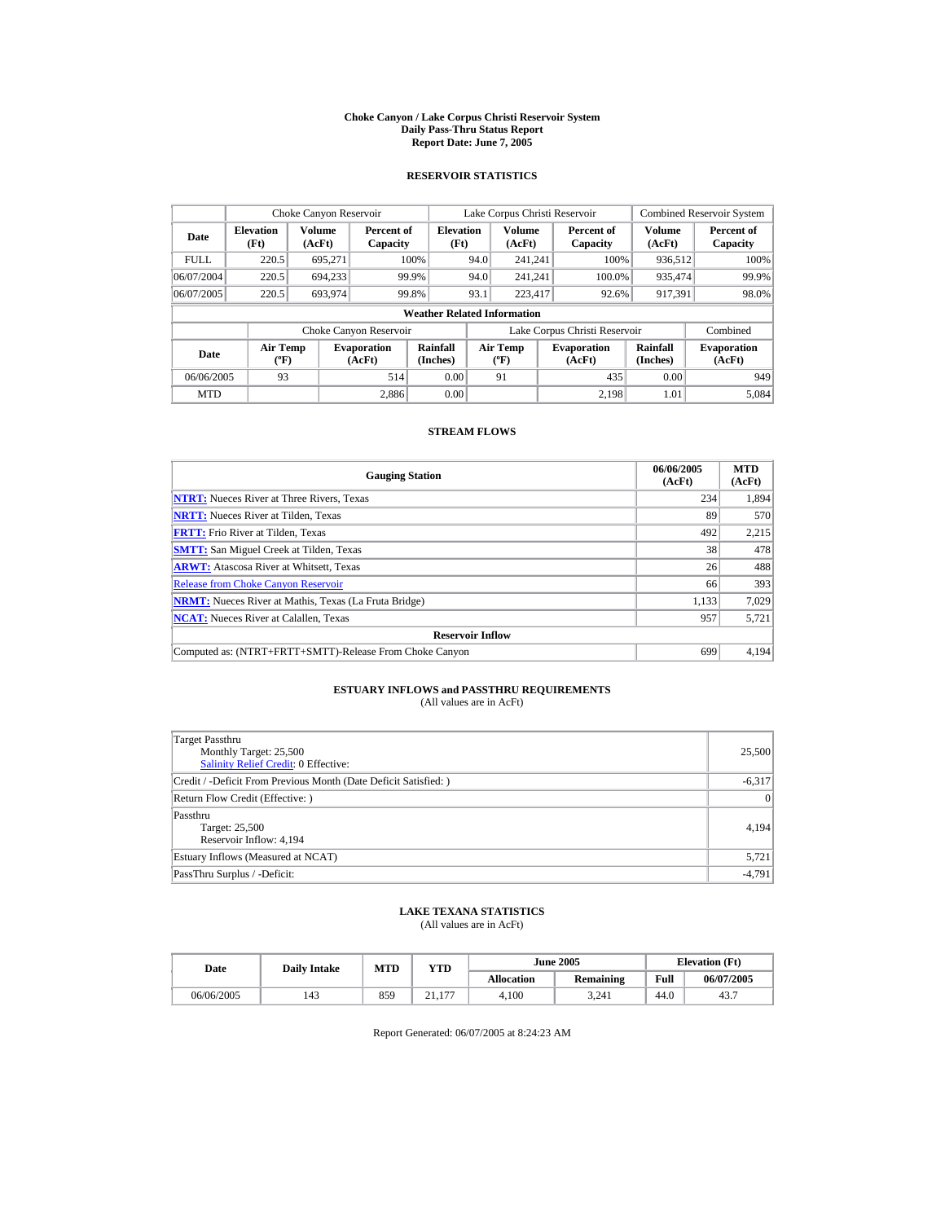#### **Choke Canyon / Lake Corpus Christi Reservoir System Daily Pass-Thru Status Report Report Date: June 7, 2005**

### **RESERVOIR STATISTICS**

|             | Choke Canyon Reservoir                           |                  |                              |                                    | Lake Corpus Christi Reservoir |                                           |                                                      |                               |                              | <b>Combined Reservoir System</b> |
|-------------|--------------------------------------------------|------------------|------------------------------|------------------------------------|-------------------------------|-------------------------------------------|------------------------------------------------------|-------------------------------|------------------------------|----------------------------------|
| Date        | <b>Elevation</b><br>(Ft)                         | Volume<br>(AcFt) | Percent of<br>Capacity       | <b>Elevation</b><br>(Ft)           |                               | <b>Volume</b><br>(AcFt)                   |                                                      | Percent of<br>Capacity        | Volume<br>(AcFt)             | Percent of<br>Capacity           |
| <b>FULL</b> | 220.5                                            | 695.271          |                              | 100%                               | 94.0                          | 241.241                                   |                                                      | 100%                          | 936.512                      | 100%                             |
| 06/07/2004  | 220.5                                            | 694.233          |                              | 99.9%                              | 94.0                          | 241.241                                   |                                                      | 100.0%                        | 935.474                      | 99.9%                            |
| 06/07/2005  | 220.5                                            | 693,974          |                              | 99.8%                              | 93.1                          | 223.417                                   |                                                      | 92.6%                         | 917,391                      | 98.0%                            |
|             |                                                  |                  |                              | <b>Weather Related Information</b> |                               |                                           |                                                      |                               |                              |                                  |
|             |                                                  |                  | Choke Canyon Reservoir       |                                    |                               |                                           |                                                      | Lake Corpus Christi Reservoir |                              | Combined                         |
| Date        | <b>Air Temp</b><br>$({}^{\mathrm{o}}\mathbf{F})$ |                  | <b>Evaporation</b><br>(AcFt) | Rainfall<br>(Inches)               |                               | Air Temp<br>$({}^{\mathrm{o}}\mathrm{F})$ | Rainfall<br><b>Evaporation</b><br>(Inches)<br>(AcFt) |                               | <b>Evaporation</b><br>(AcFt) |                                  |
| 06/06/2005  | 93                                               |                  | 514                          | 0.00                               |                               | 91                                        |                                                      | 435                           | 0.00                         | 949                              |
| <b>MTD</b>  |                                                  |                  | 2.886                        | 0.00                               |                               |                                           |                                                      | 2.198                         | 1.01                         | 5.084                            |

### **STREAM FLOWS**

| <b>Gauging Station</b>                                       | 06/06/2005<br>(AcFt) | <b>MTD</b><br>(AcFt) |
|--------------------------------------------------------------|----------------------|----------------------|
| <b>NTRT:</b> Nueces River at Three Rivers, Texas             | 234                  | 1,894                |
| <b>NRTT:</b> Nueces River at Tilden, Texas                   | 89                   | 570                  |
| <b>FRTT:</b> Frio River at Tilden, Texas                     | 492                  | 2,215                |
| <b>SMTT:</b> San Miguel Creek at Tilden, Texas               | 38                   | 478                  |
| <b>ARWT:</b> Atascosa River at Whitsett, Texas               | 26                   | 488                  |
| <b>Release from Choke Canyon Reservoir</b>                   | 66                   | 393                  |
| <b>NRMT:</b> Nueces River at Mathis, Texas (La Fruta Bridge) | 1.133                | 7.029                |
| <b>NCAT:</b> Nueces River at Calallen, Texas                 | 957                  | 5.721                |
| <b>Reservoir Inflow</b>                                      |                      |                      |
| Computed as: (NTRT+FRTT+SMTT)-Release From Choke Canyon      | 699                  | 4.194                |

# **ESTUARY INFLOWS and PASSTHRU REQUIREMENTS**<br>(All values are in AcFt)

| <b>Target Passthru</b><br>Monthly Target: 25,500<br>Salinity Relief Credit: 0 Effective: | 25,500          |
|------------------------------------------------------------------------------------------|-----------------|
| Credit / -Deficit From Previous Month (Date Deficit Satisfied:)                          | $-6,317$        |
| Return Flow Credit (Effective: )                                                         | $\vert 0 \vert$ |
| Passthru<br>Target: 25,500<br>Reservoir Inflow: 4,194                                    | 4,194           |
| Estuary Inflows (Measured at NCAT)                                                       | 5,721           |
| PassThru Surplus / -Deficit:                                                             | $-4,791$        |

## **LAKE TEXANA STATISTICS**

(All values are in AcFt)

| Date       | <b>Daily Intake</b> | MTD | $_{\rm VTD}$   |                   | <b>June 2005</b> | <b>Elevation</b> (Ft) |            |
|------------|---------------------|-----|----------------|-------------------|------------------|-----------------------|------------|
|            |                     |     |                | <b>Allocation</b> | Remaining        | Full                  | 06/07/2005 |
| 06/06/2005 | 143                 | 859 | 177<br>$-1.11$ | 4.100             | 3.241            | 44.0                  | 43.7       |

Report Generated: 06/07/2005 at 8:24:23 AM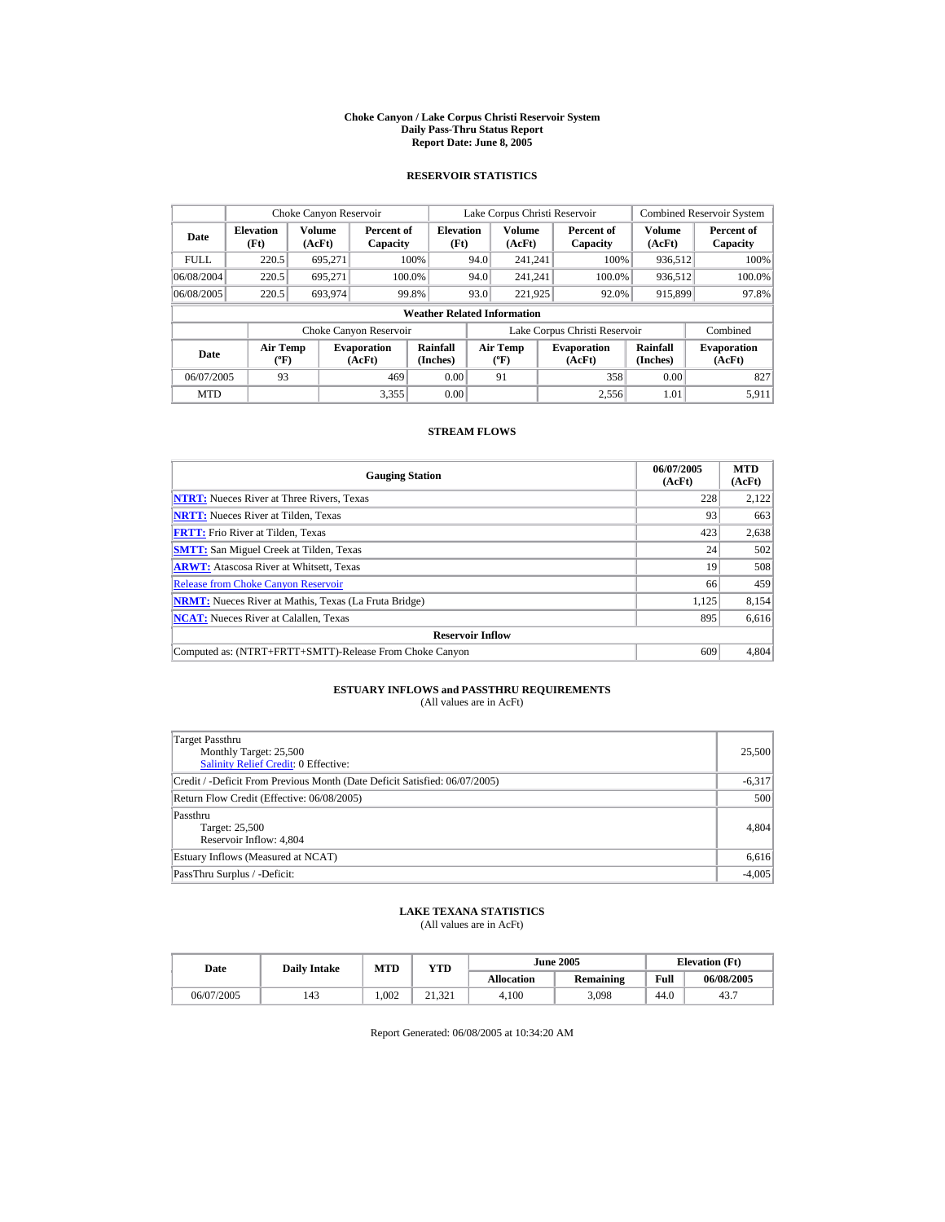#### **Choke Canyon / Lake Corpus Christi Reservoir System Daily Pass-Thru Status Report Report Date: June 8, 2005**

### **RESERVOIR STATISTICS**

|             | Choke Canyon Reservoir                      |                  |                              |                                    | Lake Corpus Christi Reservoir |                                          |  |                               |                      | <b>Combined Reservoir System</b> |
|-------------|---------------------------------------------|------------------|------------------------------|------------------------------------|-------------------------------|------------------------------------------|--|-------------------------------|----------------------|----------------------------------|
| Date        | <b>Elevation</b><br>(Ft)                    | Volume<br>(AcFt) | Percent of<br>Capacity       | <b>Elevation</b><br>(Ft)           |                               | <b>Volume</b><br>(AcFt)                  |  | Percent of<br>Capacity        | Volume<br>(AcFt)     | Percent of<br>Capacity           |
| <b>FULL</b> | 220.5                                       | 695.271          |                              | 100%                               | 94.0                          | 241.241                                  |  | 100%                          | 936.512              | 100%                             |
| 06/08/2004  | 220.5                                       | 695.271          |                              | 100.0%                             | 94.0                          | 241.241                                  |  | 100.0%                        | 936,512              | 100.0%                           |
| 06/08/2005  | 220.5                                       | 693.974          |                              | 99.8%                              | 93.0                          | 221.925                                  |  | 92.0%                         | 915,899              | 97.8%                            |
|             |                                             |                  |                              | <b>Weather Related Information</b> |                               |                                          |  |                               |                      |                                  |
|             |                                             |                  | Choke Canyon Reservoir       |                                    |                               |                                          |  | Lake Corpus Christi Reservoir |                      | Combined                         |
| Date        | <b>Air Temp</b><br>$({}^{\circ}\mathrm{F})$ |                  | <b>Evaporation</b><br>(AcFt) | Rainfall<br>(Inches)               |                               | <b>Air Temp</b><br>$({}^{\circ}{\rm F})$ |  | <b>Evaporation</b><br>(AcFt)  | Rainfall<br>(Inches) | <b>Evaporation</b><br>(AcFt)     |
| 06/07/2005  | 93                                          |                  | 469                          | 0.00                               |                               | 91                                       |  | 358                           | 0.00                 | 827                              |
| <b>MTD</b>  |                                             |                  | 3.355                        | 0.00                               |                               |                                          |  | 2.556                         | 1.01                 | 5.911                            |

### **STREAM FLOWS**

| <b>Gauging Station</b>                                       | 06/07/2005<br>(AcFt) | <b>MTD</b><br>(AcFt) |
|--------------------------------------------------------------|----------------------|----------------------|
| <b>NTRT:</b> Nueces River at Three Rivers, Texas             | 228                  | 2,122                |
| <b>NRTT:</b> Nueces River at Tilden, Texas                   | 93                   | 663                  |
| <b>FRTT:</b> Frio River at Tilden. Texas                     | 423                  | 2,638                |
| <b>SMTT:</b> San Miguel Creek at Tilden, Texas               | 24                   | 502                  |
| <b>ARWT:</b> Atascosa River at Whitsett, Texas               | 19                   | 508                  |
| <b>Release from Choke Canyon Reservoir</b>                   | 66                   | 459                  |
| <b>NRMT:</b> Nueces River at Mathis, Texas (La Fruta Bridge) | 1,125                | 8,154                |
| <b>NCAT:</b> Nueces River at Calallen, Texas                 | 895                  | 6,616                |
| <b>Reservoir Inflow</b>                                      |                      |                      |
| Computed as: (NTRT+FRTT+SMTT)-Release From Choke Canyon      | 609                  | 4,804                |

# **ESTUARY INFLOWS and PASSTHRU REQUIREMENTS**<br>(All values are in AcFt)

| Target Passthru<br>Monthly Target: 25,500<br><b>Salinity Relief Credit: 0 Effective:</b> | 25,500   |
|------------------------------------------------------------------------------------------|----------|
| Credit / -Deficit From Previous Month (Date Deficit Satisfied: 06/07/2005)               | $-6,317$ |
| Return Flow Credit (Effective: 06/08/2005)                                               | 500      |
| Passthru<br>Target: 25,500<br>Reservoir Inflow: 4,804                                    | 4,804    |
| Estuary Inflows (Measured at NCAT)                                                       | 6,616    |
| PassThru Surplus / -Deficit:                                                             | $-4,005$ |

## **LAKE TEXANA STATISTICS**

(All values are in AcFt)

| Date       | <b>Daily Intake</b> | MTD  | YTD          |                   | <b>June 2005</b> | <b>Elevation</b> (Ft) |            |
|------------|---------------------|------|--------------|-------------------|------------------|-----------------------|------------|
|            |                     |      |              | <b>Allocation</b> | <b>Remaining</b> | Full                  | 06/08/2005 |
| 06/07/2005 | 143                 | .002 | 21.321<br>21 | 4.100             | 3.098            | 44.0                  | 43.7       |

Report Generated: 06/08/2005 at 10:34:20 AM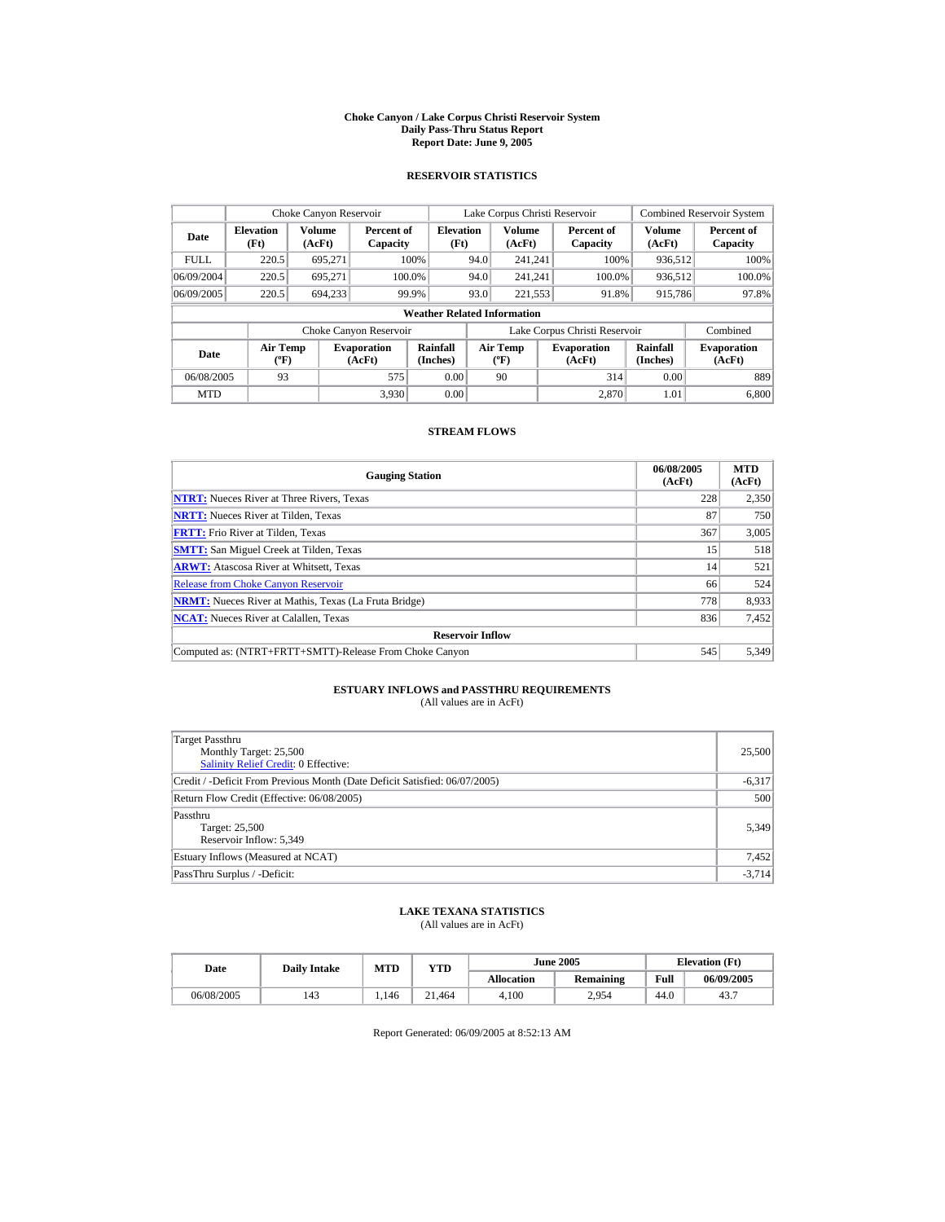#### **Choke Canyon / Lake Corpus Christi Reservoir System Daily Pass-Thru Status Report Report Date: June 9, 2005**

### **RESERVOIR STATISTICS**

|             | Choke Canyon Reservoir                      |                  |                              |                                    | Lake Corpus Christi Reservoir |                                          |  |                               |                      | <b>Combined Reservoir System</b> |
|-------------|---------------------------------------------|------------------|------------------------------|------------------------------------|-------------------------------|------------------------------------------|--|-------------------------------|----------------------|----------------------------------|
| Date        | <b>Elevation</b><br>(Ft)                    | Volume<br>(AcFt) | Percent of<br>Capacity       | <b>Elevation</b><br>(Ft)           |                               | <b>Volume</b><br>(AcFt)                  |  | Percent of<br>Capacity        | Volume<br>(AcFt)     | Percent of<br>Capacity           |
| <b>FULL</b> | 220.5                                       | 695.271          |                              | 100%                               | 94.0                          | 241.241                                  |  | 100%                          | 936.512              | 100%                             |
| 06/09/2004  | 220.5                                       | 695.271          |                              | 100.0%                             | 94.0                          | 241.241                                  |  | 100.0%                        | 936,512              | 100.0%                           |
| 06/09/2005  | 220.5                                       | 694,233          |                              | 99.9%                              | 93.0                          | 221,553                                  |  | 91.8%                         | 915,786              | 97.8%                            |
|             |                                             |                  |                              | <b>Weather Related Information</b> |                               |                                          |  |                               |                      |                                  |
|             |                                             |                  | Choke Canyon Reservoir       |                                    |                               |                                          |  | Lake Corpus Christi Reservoir |                      | Combined                         |
| Date        | <b>Air Temp</b><br>$({}^{\circ}\mathrm{F})$ |                  | <b>Evaporation</b><br>(AcFt) | Rainfall<br>(Inches)               |                               | <b>Air Temp</b><br>$({}^{\circ}{\rm F})$ |  | <b>Evaporation</b><br>(AcFt)  | Rainfall<br>(Inches) | <b>Evaporation</b><br>(AcFt)     |
| 06/08/2005  | 93                                          |                  | 575                          | 0.00                               |                               | 90                                       |  | 314                           | 0.00                 | 889                              |
| <b>MTD</b>  |                                             |                  | 3.930                        | 0.00                               |                               |                                          |  | 2.870                         | 1.01                 | 6,800                            |

### **STREAM FLOWS**

| <b>Gauging Station</b>                                       | 06/08/2005<br>(AcFt) | <b>MTD</b><br>(AcFt) |
|--------------------------------------------------------------|----------------------|----------------------|
| <b>NTRT:</b> Nueces River at Three Rivers, Texas             | 228                  | 2,350                |
| <b>NRTT:</b> Nueces River at Tilden, Texas                   | 87                   | 750                  |
| <b>FRTT:</b> Frio River at Tilden, Texas                     | 367                  | 3,005                |
| <b>SMTT:</b> San Miguel Creek at Tilden, Texas               | 15                   | 518                  |
| <b>ARWT:</b> Atascosa River at Whitsett, Texas               | 14                   | 521                  |
| <b>Release from Choke Canyon Reservoir</b>                   | 66                   | 524                  |
| <b>NRMT:</b> Nueces River at Mathis, Texas (La Fruta Bridge) | 778                  | 8.933                |
| <b>NCAT:</b> Nueces River at Calallen, Texas                 | 836                  | 7,452                |
| <b>Reservoir Inflow</b>                                      |                      |                      |
| Computed as: (NTRT+FRTT+SMTT)-Release From Choke Canyon      | 545                  | 5.349                |

# **ESTUARY INFLOWS and PASSTHRU REQUIREMENTS**<br>(All values are in AcFt)

| Target Passthru<br>Monthly Target: 25,500<br>Salinity Relief Credit: 0 Effective: | 25,500   |
|-----------------------------------------------------------------------------------|----------|
| Credit / -Deficit From Previous Month (Date Deficit Satisfied: 06/07/2005)        | $-6,317$ |
| Return Flow Credit (Effective: 06/08/2005)                                        | 500      |
| Passthru<br>Target: 25,500<br>Reservoir Inflow: 5.349                             | 5,349    |
| Estuary Inflows (Measured at NCAT)                                                | 7,452    |
| PassThru Surplus / -Deficit:                                                      | $-3,714$ |

## **LAKE TEXANA STATISTICS**

(All values are in AcFt)

| Date       |  | <b>Daily Intake</b> | MTD   | YTD    |                   | <b>June 2005</b> | <b>Elevation</b> (Ft) |            |
|------------|--|---------------------|-------|--------|-------------------|------------------|-----------------------|------------|
|            |  |                     |       |        | <b>Allocation</b> | <b>Remaining</b> | Full                  | 06/09/2005 |
| 06/08/2005 |  | 143                 | 1.146 | 21.464 | 4.100             | 2.954            | 44.0                  | 43.7       |

Report Generated: 06/09/2005 at 8:52:13 AM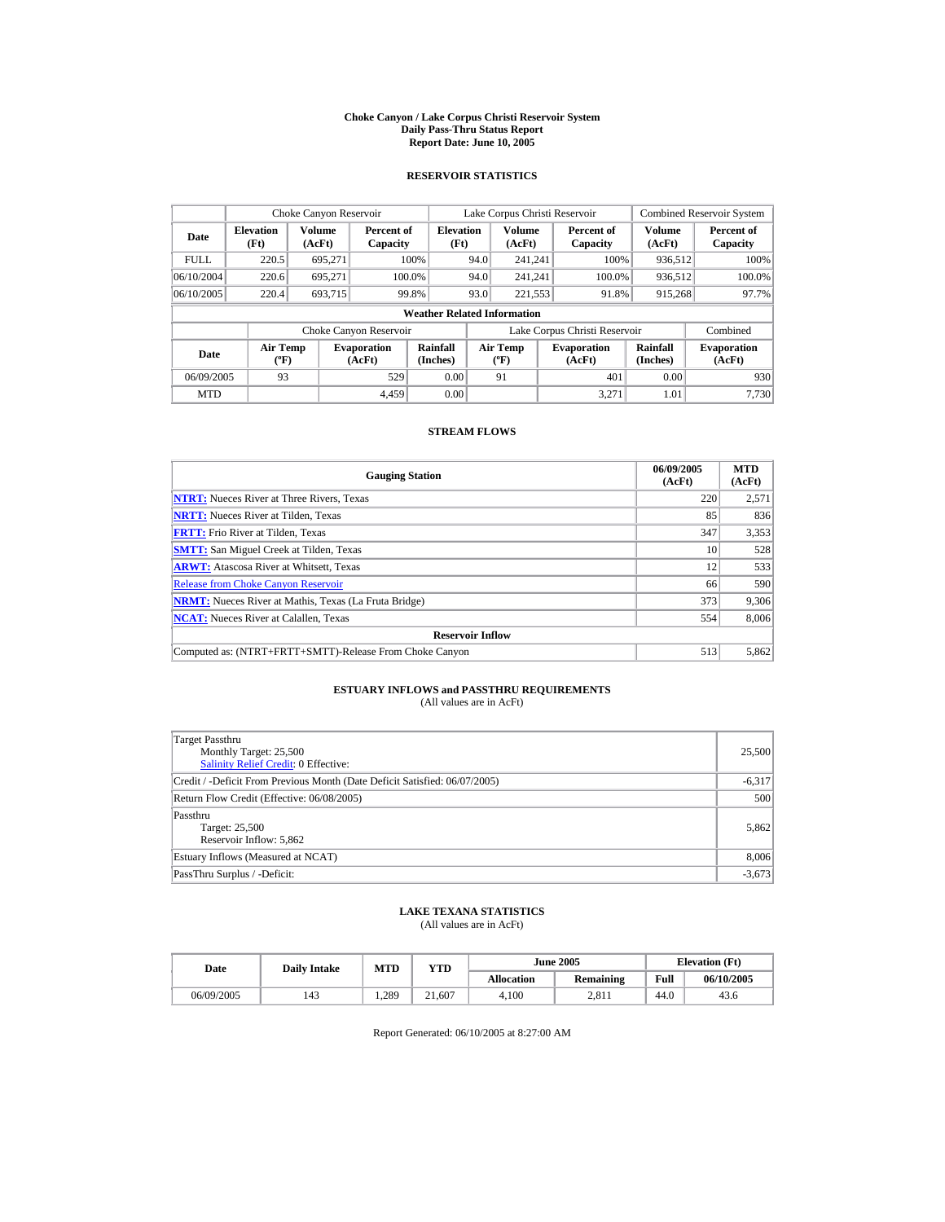#### **Choke Canyon / Lake Corpus Christi Reservoir System Daily Pass-Thru Status Report Report Date: June 10, 2005**

### **RESERVOIR STATISTICS**

|             | Choke Canyon Reservoir                      |                  |                              |                          | Lake Corpus Christi Reservoir |                                          |  |                               |                      | <b>Combined Reservoir System</b> |  |  |
|-------------|---------------------------------------------|------------------|------------------------------|--------------------------|-------------------------------|------------------------------------------|--|-------------------------------|----------------------|----------------------------------|--|--|
| Date        | <b>Elevation</b><br>(Ft)                    | Volume<br>(AcFt) | Percent of<br>Capacity       | <b>Elevation</b><br>(Ft) |                               | <b>Volume</b><br>(AcFt)                  |  | Percent of<br>Capacity        | Volume<br>(AcFt)     | Percent of<br>Capacity           |  |  |
| <b>FULL</b> | 220.5                                       | 695.271          |                              | 100%                     | 94.0                          | 241.241                                  |  | 100%                          | 936.512              | 100%                             |  |  |
| 06/10/2004  | 220.6                                       | 695.271          |                              | 100.0%                   | 94.0                          | 241.241                                  |  | 100.0%                        | 936,512              | 100.0%                           |  |  |
| 06/10/2005  | 220.4                                       | 693,715          |                              | 99.8%                    | 93.0                          | 221,553                                  |  | 91.8%                         | 915,268              | 97.7%                            |  |  |
|             | <b>Weather Related Information</b>          |                  |                              |                          |                               |                                          |  |                               |                      |                                  |  |  |
|             |                                             |                  | Choke Canyon Reservoir       |                          |                               |                                          |  | Lake Corpus Christi Reservoir |                      | Combined                         |  |  |
| Date        | <b>Air Temp</b><br>$({}^{\circ}\mathrm{F})$ |                  | <b>Evaporation</b><br>(AcFt) | Rainfall<br>(Inches)     |                               | <b>Air Temp</b><br>$({}^{\circ}{\rm F})$ |  | <b>Evaporation</b><br>(AcFt)  | Rainfall<br>(Inches) | <b>Evaporation</b><br>(AcFt)     |  |  |
| 06/09/2005  | 93                                          |                  | 529                          | 0.00                     |                               | 91                                       |  | 401                           | 0.00                 | 930                              |  |  |
| <b>MTD</b>  |                                             |                  | 4.459                        | 0.00                     |                               |                                          |  | 3.271                         | 1.01                 | 7.730                            |  |  |

### **STREAM FLOWS**

| <b>Gauging Station</b>                                       | 06/09/2005<br>(AcFt) | <b>MTD</b><br>(AcFt) |
|--------------------------------------------------------------|----------------------|----------------------|
| <b>NTRT:</b> Nueces River at Three Rivers, Texas             | 220                  | 2,571                |
| <b>NRTT:</b> Nueces River at Tilden, Texas                   | 85                   | 836                  |
| <b>FRTT:</b> Frio River at Tilden, Texas                     | 347                  | 3,353                |
| <b>SMTT:</b> San Miguel Creek at Tilden, Texas               | 10                   | 528                  |
| <b>ARWT:</b> Atascosa River at Whitsett, Texas               | 12                   | 533                  |
| <b>Release from Choke Canyon Reservoir</b>                   | 66                   | 590                  |
| <b>NRMT:</b> Nueces River at Mathis, Texas (La Fruta Bridge) | 373                  | 9,306                |
| <b>NCAT:</b> Nueces River at Calallen, Texas                 | 554                  | 8.006                |
| <b>Reservoir Inflow</b>                                      |                      |                      |
| Computed as: (NTRT+FRTT+SMTT)-Release From Choke Canyon      | 513                  | 5,862                |

# **ESTUARY INFLOWS and PASSTHRU REQUIREMENTS**<br>(All values are in AcFt)

| Target Passthru<br>Monthly Target: 25,500<br>Salinity Relief Credit: 0 Effective: | 25,500   |
|-----------------------------------------------------------------------------------|----------|
| Credit / -Deficit From Previous Month (Date Deficit Satisfied: 06/07/2005)        | $-6,317$ |
| Return Flow Credit (Effective: 06/08/2005)                                        | 500      |
| Passthru<br>Target: 25,500<br>Reservoir Inflow: 5.862                             | 5,862    |
| Estuary Inflows (Measured at NCAT)                                                | 8,006    |
| PassThru Surplus / -Deficit:                                                      | $-3,673$ |

## **LAKE TEXANA STATISTICS**

(All values are in AcFt)

| Date       | <b>Daily Intake</b> | <b>MTD</b> | YTD    |                   | <b>June 2005</b> | <b>Elevation</b> (Ft) |            |
|------------|---------------------|------------|--------|-------------------|------------------|-----------------------|------------|
|            |                     |            |        | <b>Allocation</b> | <b>Remaining</b> | Full                  | 06/10/2005 |
| 06/09/2005 | 143                 | 1.289      | 21.607 | 4.100             | 2.811            | 44.0                  | 43.6       |

Report Generated: 06/10/2005 at 8:27:00 AM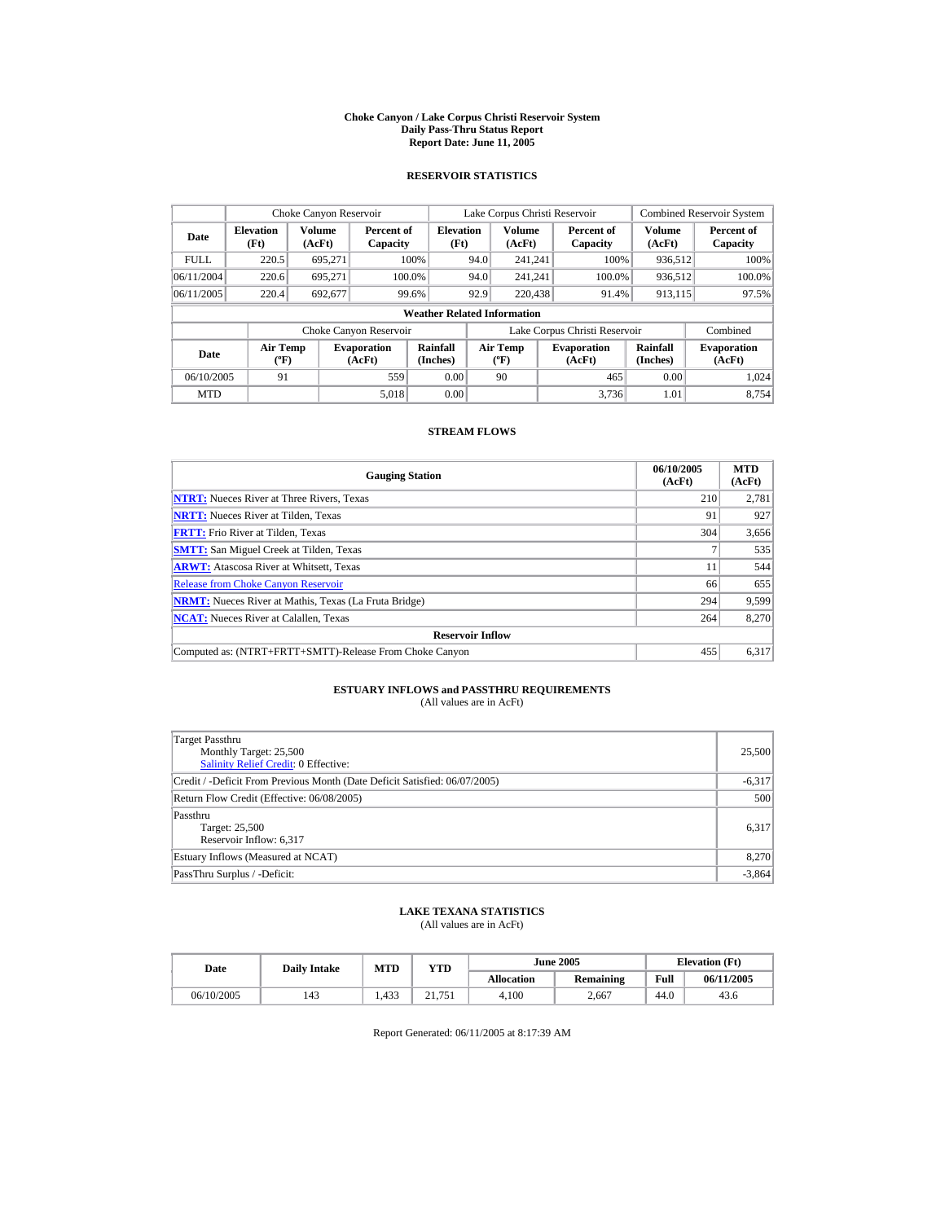#### **Choke Canyon / Lake Corpus Christi Reservoir System Daily Pass-Thru Status Report Report Date: June 11, 2005**

### **RESERVOIR STATISTICS**

|             | Choke Canyon Reservoir               |                  |                              |                          |                                                  | Lake Corpus Christi Reservoir |  |                               |                         | <b>Combined Reservoir System</b> |  |  |
|-------------|--------------------------------------|------------------|------------------------------|--------------------------|--------------------------------------------------|-------------------------------|--|-------------------------------|-------------------------|----------------------------------|--|--|
| Date        | <b>Elevation</b><br>(Ft)             | Volume<br>(AcFt) | Percent of<br>Capacity       | <b>Elevation</b><br>(Ft) |                                                  | <b>Volume</b><br>(AcFt)       |  | Percent of<br>Capacity        | <b>Volume</b><br>(AcFt) | Percent of<br>Capacity           |  |  |
| <b>FULL</b> | 220.5                                | 695.271          |                              | 100%                     | 94.0                                             | 241.241                       |  | 100%                          | 936,512                 | 100%                             |  |  |
| 06/11/2004  | 220.6                                | 695.271          |                              | 100.0%                   | 94.0                                             | 241.241                       |  | 100.0%                        | 936,512                 | $100.0\%$                        |  |  |
| 06/11/2005  | 220.4                                | 692,677          |                              | 99.6%                    | 92.9                                             | 220,438                       |  | 91.4%                         | 913,115                 | 97.5%                            |  |  |
|             | <b>Weather Related Information</b>   |                  |                              |                          |                                                  |                               |  |                               |                         |                                  |  |  |
|             |                                      |                  | Choke Canyon Reservoir       |                          |                                                  |                               |  | Lake Corpus Christi Reservoir |                         | Combined                         |  |  |
| Date        | Air Temp<br>$({}^{\circ}\mathrm{F})$ |                  | <b>Evaporation</b><br>(AcFt) | Rainfall<br>(Inches)     | <b>Air Temp</b><br>$({}^{\mathrm{o}}\mathrm{F})$ |                               |  | <b>Evaporation</b><br>(AcFt)  | Rainfall<br>(Inches)    | <b>Evaporation</b><br>(AcFt)     |  |  |
| 06/10/2005  | 91                                   |                  | 559                          | 0.00                     |                                                  | 90                            |  | 465                           | 0.00                    | 1.024                            |  |  |
| <b>MTD</b>  |                                      |                  | 5.018                        | 0.00                     |                                                  |                               |  | 3.736                         | 1.01                    | 8.754                            |  |  |

### **STREAM FLOWS**

| <b>Gauging Station</b>                                       | 06/10/2005<br>(AcFt) | <b>MTD</b><br>(AcFt) |
|--------------------------------------------------------------|----------------------|----------------------|
| <b>NTRT:</b> Nueces River at Three Rivers, Texas             | 210                  | 2,781                |
| <b>NRTT:</b> Nueces River at Tilden, Texas                   | 91                   | 927                  |
| <b>FRTT:</b> Frio River at Tilden, Texas                     | 304                  | 3,656                |
| <b>SMTT:</b> San Miguel Creek at Tilden, Texas               |                      | 535                  |
| <b>ARWT:</b> Atascosa River at Whitsett, Texas               | 11                   | 544                  |
| <b>Release from Choke Canyon Reservoir</b>                   | 66                   | 655                  |
| <b>NRMT:</b> Nueces River at Mathis, Texas (La Fruta Bridge) | 294                  | 9.599                |
| <b>NCAT:</b> Nueces River at Calallen, Texas                 | 264                  | 8.270                |
| <b>Reservoir Inflow</b>                                      |                      |                      |
| Computed as: (NTRT+FRTT+SMTT)-Release From Choke Canyon      | 455                  | 6,317                |

# **ESTUARY INFLOWS and PASSTHRU REQUIREMENTS**<br>(All values are in AcFt)

| Target Passthru<br>Monthly Target: 25,500<br><b>Salinity Relief Credit: 0 Effective:</b> | 25,500   |
|------------------------------------------------------------------------------------------|----------|
| Credit / -Deficit From Previous Month (Date Deficit Satisfied: 06/07/2005)               | $-6,317$ |
| Return Flow Credit (Effective: 06/08/2005)                                               | 500      |
| Passthru<br>Target: 25,500<br>Reservoir Inflow: 6,317                                    | 6,317    |
| Estuary Inflows (Measured at NCAT)                                                       | 8,270    |
| PassThru Surplus / -Deficit:                                                             | $-3,864$ |

## **LAKE TEXANA STATISTICS**

(All values are in AcFt)

| Date       | <b>Daily Intake</b> | <b>MTD</b> | $_{\rm VTD}$ |                   | <b>June 2005</b> | <b>Elevation</b> (Ft) |            |
|------------|---------------------|------------|--------------|-------------------|------------------|-----------------------|------------|
|            |                     |            |              | <b>Allocation</b> | Remaining        | Full                  | 06/11/2005 |
| 06/10/2005 | 143                 | 1.433      | 21.751       | 4.100             | 2.667            | 44.0                  | 43.6       |

Report Generated: 06/11/2005 at 8:17:39 AM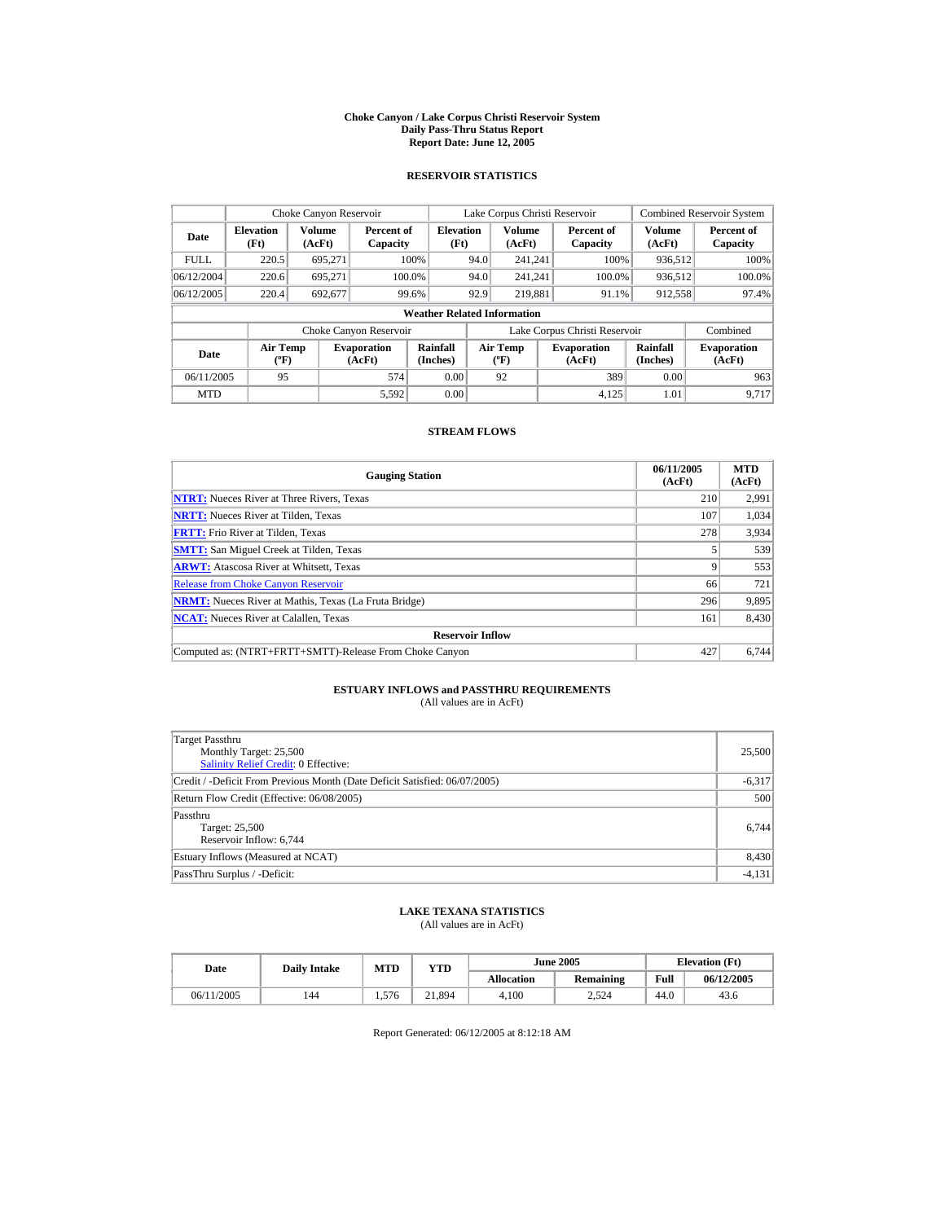#### **Choke Canyon / Lake Corpus Christi Reservoir System Daily Pass-Thru Status Report Report Date: June 12, 2005**

### **RESERVOIR STATISTICS**

|             | Choke Canyon Reservoir               |                  |                              |                          | Lake Corpus Christi Reservoir                    |                         |  |                               |                         | <b>Combined Reservoir System</b> |  |  |
|-------------|--------------------------------------|------------------|------------------------------|--------------------------|--------------------------------------------------|-------------------------|--|-------------------------------|-------------------------|----------------------------------|--|--|
| Date        | <b>Elevation</b><br>(Ft)             | Volume<br>(AcFt) | Percent of<br>Capacity       | <b>Elevation</b><br>(Ft) |                                                  | <b>Volume</b><br>(AcFt) |  | Percent of<br>Capacity        | <b>Volume</b><br>(AcFt) | Percent of<br>Capacity           |  |  |
| <b>FULL</b> | 220.5                                | 695.271          |                              | 100%                     | 94.0                                             | 241.241                 |  | 100%                          | 936,512                 | 100%                             |  |  |
| 06/12/2004  | 220.6                                | 695.271          | 100.0%                       |                          | 94.0                                             | 241.241                 |  | 100.0%                        | 936,512                 | $100.0\%$                        |  |  |
| 06/12/2005  | 220.4                                | 692,677          |                              | 99.6%                    | 92.9                                             | 219.881                 |  | 91.1%                         | 912,558                 | 97.4%                            |  |  |
|             | <b>Weather Related Information</b>   |                  |                              |                          |                                                  |                         |  |                               |                         |                                  |  |  |
|             |                                      |                  | Choke Canyon Reservoir       |                          |                                                  |                         |  | Lake Corpus Christi Reservoir |                         | Combined                         |  |  |
| Date        | Air Temp<br>$({}^{\circ}\mathrm{F})$ |                  | <b>Evaporation</b><br>(AcFt) | Rainfall<br>(Inches)     | <b>Air Temp</b><br>$({}^{\mathrm{o}}\mathrm{F})$ |                         |  | <b>Evaporation</b><br>(AcFt)  | Rainfall<br>(Inches)    | <b>Evaporation</b><br>(AcFt)     |  |  |
| 06/11/2005  | 95                                   |                  | 574                          | 0.00                     |                                                  | 92                      |  | 389                           | 0.00                    | 963                              |  |  |
| <b>MTD</b>  |                                      |                  | 5.592                        | 0.00                     |                                                  |                         |  | 4.125                         | 1.01                    | 9.717                            |  |  |

### **STREAM FLOWS**

| <b>Gauging Station</b>                                       | 06/11/2005<br>(AcFt) | <b>MTD</b><br>(AcFt) |
|--------------------------------------------------------------|----------------------|----------------------|
| <b>NTRT:</b> Nueces River at Three Rivers, Texas             | 210                  | 2,991                |
| <b>NRTT:</b> Nueces River at Tilden, Texas                   | 107                  | 1.034                |
| <b>FRTT:</b> Frio River at Tilden, Texas                     | 278                  | 3,934                |
| <b>SMTT:</b> San Miguel Creek at Tilden, Texas               |                      | 539                  |
| <b>ARWT:</b> Atascosa River at Whitsett, Texas               | 9                    | 553                  |
| <b>Release from Choke Canyon Reservoir</b>                   | 66                   | 721                  |
| <b>NRMT:</b> Nueces River at Mathis, Texas (La Fruta Bridge) | 296                  | 9.895                |
| <b>NCAT:</b> Nueces River at Calallen, Texas                 | 161                  | 8,430                |
| <b>Reservoir Inflow</b>                                      |                      |                      |
| Computed as: (NTRT+FRTT+SMTT)-Release From Choke Canyon      | 427                  | 6.744                |

# **ESTUARY INFLOWS and PASSTHRU REQUIREMENTS**<br>(All values are in AcFt)

| Target Passthru<br>Monthly Target: 25,500<br><b>Salinity Relief Credit: 0 Effective:</b> | 25,500   |
|------------------------------------------------------------------------------------------|----------|
| Credit / -Deficit From Previous Month (Date Deficit Satisfied: 06/07/2005)               | $-6,317$ |
| Return Flow Credit (Effective: 06/08/2005)                                               | 500      |
| Passthru<br>Target: 25,500<br>Reservoir Inflow: 6,744                                    | 6,744    |
| Estuary Inflows (Measured at NCAT)                                                       | 8,430    |
| PassThru Surplus / -Deficit:                                                             | $-4,131$ |

## **LAKE TEXANA STATISTICS**

(All values are in AcFt)

| Date       | <b>Daily Intake</b> | <b>MTD</b> | YTD    |                   | <b>June 2005</b> | <b>Elevation</b> (Ft) |            |
|------------|---------------------|------------|--------|-------------------|------------------|-----------------------|------------|
|            |                     |            |        | <b>Allocation</b> | Remaining        | Full                  | 06/12/2005 |
| 06/11/2005 | 144                 | 1.576      | 21.894 | 4.100             | 2.524            | 44.0                  | 43.6       |

Report Generated: 06/12/2005 at 8:12:18 AM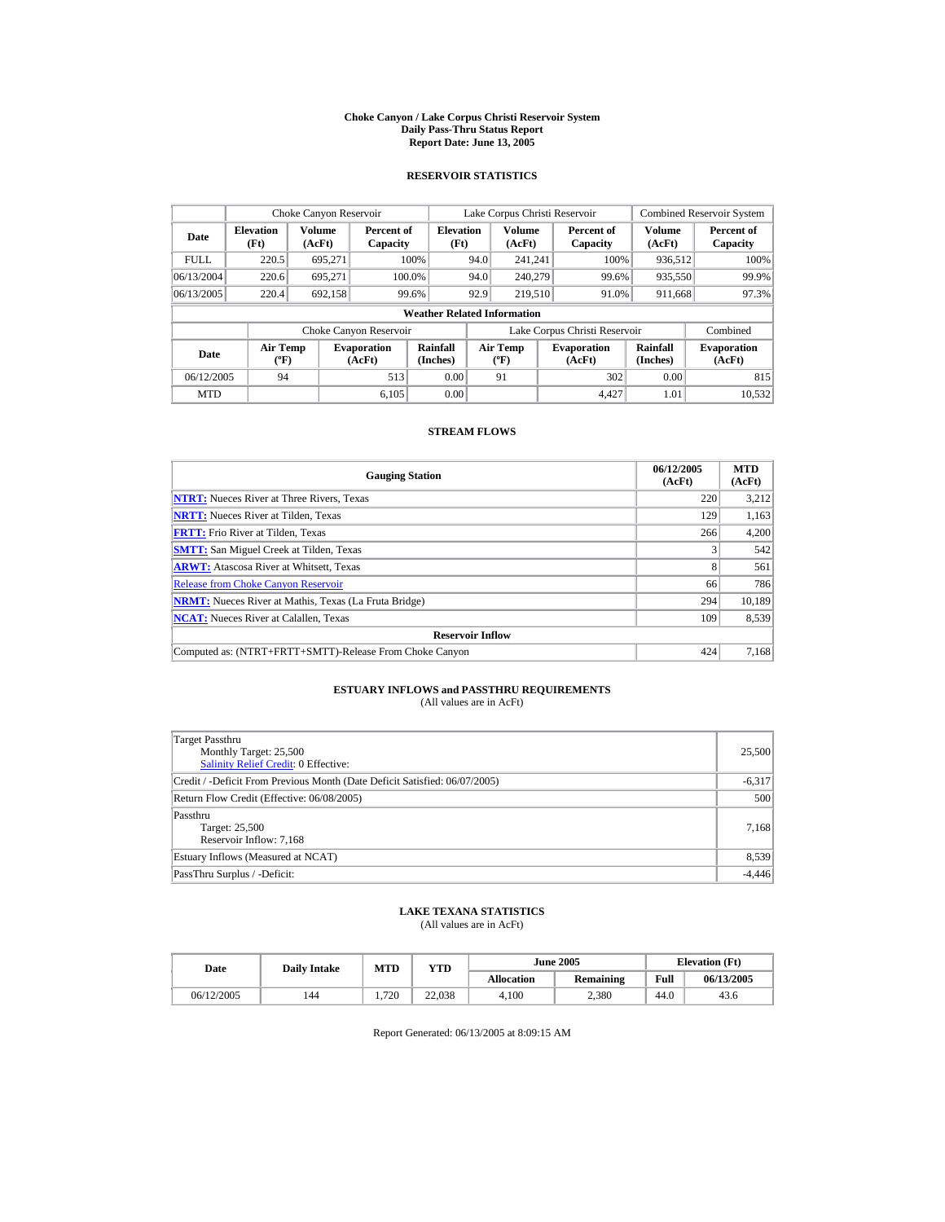#### **Choke Canyon / Lake Corpus Christi Reservoir System Daily Pass-Thru Status Report Report Date: June 13, 2005**

### **RESERVOIR STATISTICS**

|             | Choke Canyon Reservoir               |                  |                              |                          | Lake Corpus Christi Reservoir                    |                         |  |                               |                         | <b>Combined Reservoir System</b> |  |  |
|-------------|--------------------------------------|------------------|------------------------------|--------------------------|--------------------------------------------------|-------------------------|--|-------------------------------|-------------------------|----------------------------------|--|--|
| Date        | <b>Elevation</b><br>(Ft)             | Volume<br>(AcFt) | Percent of<br>Capacity       | <b>Elevation</b><br>(Ft) |                                                  | <b>Volume</b><br>(AcFt) |  | Percent of<br>Capacity        | <b>Volume</b><br>(AcFt) | Percent of<br>Capacity           |  |  |
| <b>FULL</b> | 220.5                                | 695.271          |                              | 100%                     | 94.0<br>241.241                                  |                         |  | 100%                          | 936.512                 | 100%                             |  |  |
| 06/13/2004  | 220.6                                | 695.271          |                              | 100.0%                   | 94.0                                             | 240,279                 |  | 99.6%                         | 935,550                 | 99.9%                            |  |  |
| 06/13/2005  | 220.4                                | 692,158          |                              | 99.6%                    | 92.9                                             | 219,510                 |  | 91.0%                         | 911,668                 | 97.3%                            |  |  |
|             | <b>Weather Related Information</b>   |                  |                              |                          |                                                  |                         |  |                               |                         |                                  |  |  |
|             |                                      |                  | Choke Canyon Reservoir       |                          |                                                  |                         |  | Lake Corpus Christi Reservoir |                         | Combined                         |  |  |
| Date        | Air Temp<br>$({}^{\circ}\mathrm{F})$ |                  | <b>Evaporation</b><br>(AcFt) | Rainfall<br>(Inches)     | <b>Air Temp</b><br>$({}^{\mathrm{o}}\mathrm{F})$ |                         |  | <b>Evaporation</b><br>(AcFt)  | Rainfall<br>(Inches)    | <b>Evaporation</b><br>(AcFt)     |  |  |
| 06/12/2005  | 94                                   |                  | 513                          | 0.00                     |                                                  | 91                      |  | 302                           | 0.00                    | 815                              |  |  |
| <b>MTD</b>  |                                      |                  | 6.105                        | 0.00                     |                                                  |                         |  | 4.427                         | 1.01                    | 10.532                           |  |  |

### **STREAM FLOWS**

| <b>Gauging Station</b>                                       | 06/12/2005<br>(AcFt) | <b>MTD</b><br>(AcFt) |
|--------------------------------------------------------------|----------------------|----------------------|
| <b>NTRT:</b> Nueces River at Three Rivers, Texas             | 220                  | 3,212                |
| <b>NRTT:</b> Nueces River at Tilden, Texas                   | 129                  | 1,163                |
| <b>FRTT:</b> Frio River at Tilden, Texas                     | 266                  | 4,200                |
| <b>SMTT:</b> San Miguel Creek at Tilden, Texas               |                      | 542                  |
| <b>ARWT:</b> Atascosa River at Whitsett, Texas               | 8                    | 561                  |
| <b>Release from Choke Canyon Reservoir</b>                   | 66                   | 786                  |
| <b>NRMT:</b> Nueces River at Mathis, Texas (La Fruta Bridge) | 294                  | 10.189               |
| <b>NCAT:</b> Nueces River at Calallen, Texas                 | 109                  | 8,539                |
| <b>Reservoir Inflow</b>                                      |                      |                      |
| Computed as: (NTRT+FRTT+SMTT)-Release From Choke Canyon      | 424                  | 7.168                |

# **ESTUARY INFLOWS and PASSTHRU REQUIREMENTS**<br>(All values are in AcFt)

| Target Passthru<br>Monthly Target: 25,500<br><b>Salinity Relief Credit: 0 Effective:</b> | 25,500   |
|------------------------------------------------------------------------------------------|----------|
| Credit / -Deficit From Previous Month (Date Deficit Satisfied: 06/07/2005)               | $-6,317$ |
| Return Flow Credit (Effective: 06/08/2005)                                               | 500      |
| Passthru<br>Target: 25,500<br>Reservoir Inflow: 7,168                                    | 7,168    |
| Estuary Inflows (Measured at NCAT)                                                       | 8,539    |
| PassThru Surplus / -Deficit:                                                             | $-4,446$ |

## **LAKE TEXANA STATISTICS**

(All values are in AcFt)

| Date       | <b>Daily Intake</b> | MTD | VTD    |                   | <b>June 2005</b> | <b>Elevation</b> (Ft) |            |
|------------|---------------------|-----|--------|-------------------|------------------|-----------------------|------------|
|            |                     |     |        | <b>Allocation</b> | Remaining        | Full                  | 06/13/2005 |
| 06/12/2005 | 144                 | 720 | 22,038 | 4.100             | 2.380            | 44.0                  | 43.6       |

Report Generated: 06/13/2005 at 8:09:15 AM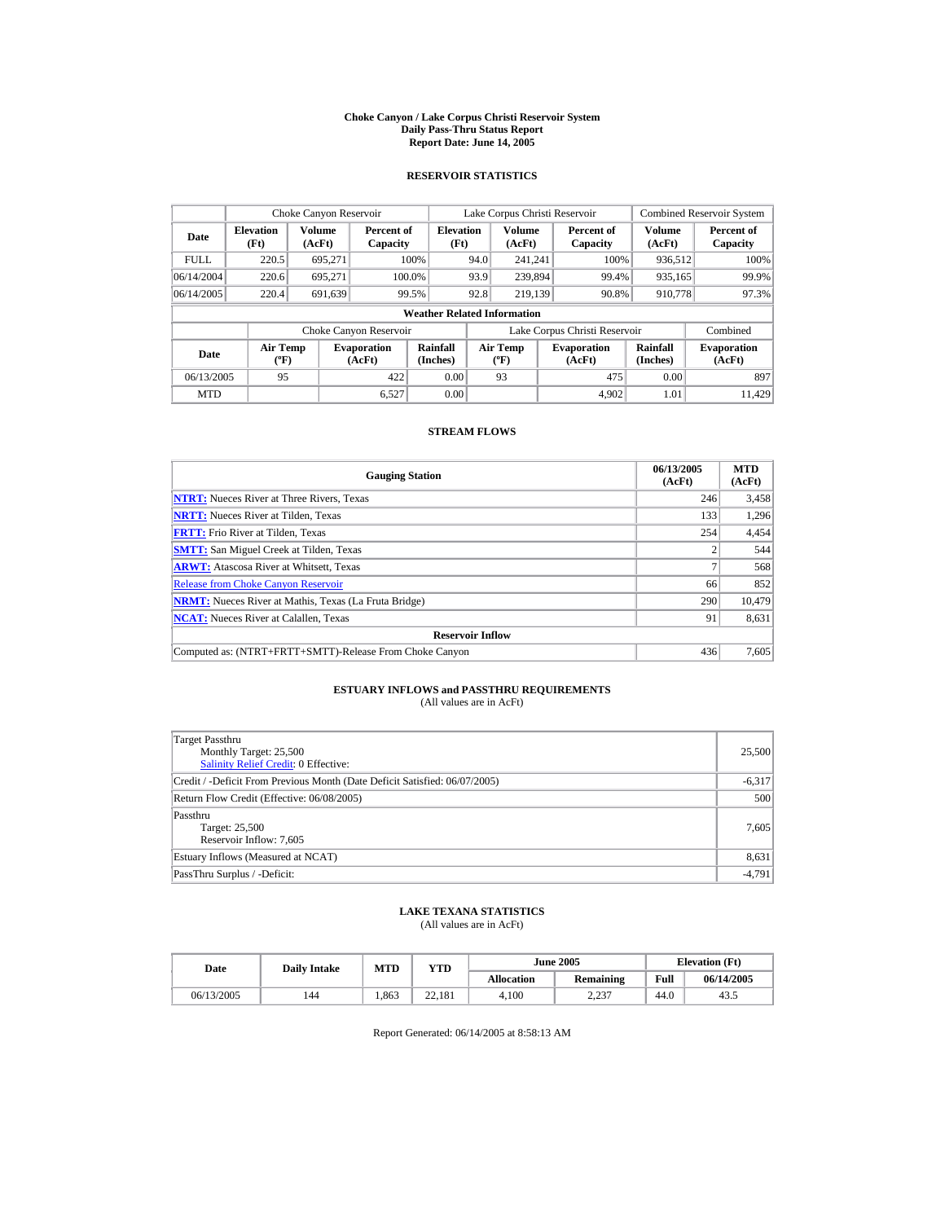#### **Choke Canyon / Lake Corpus Christi Reservoir System Daily Pass-Thru Status Report Report Date: June 14, 2005**

### **RESERVOIR STATISTICS**

|             | Choke Canyon Reservoir               |                  |                              |                          | Lake Corpus Christi Reservoir                    |                         |  |                               |                         | <b>Combined Reservoir System</b> |  |  |
|-------------|--------------------------------------|------------------|------------------------------|--------------------------|--------------------------------------------------|-------------------------|--|-------------------------------|-------------------------|----------------------------------|--|--|
| Date        | <b>Elevation</b><br>(Ft)             | Volume<br>(AcFt) | Percent of<br>Capacity       | <b>Elevation</b><br>(Ft) |                                                  | <b>Volume</b><br>(AcFt) |  | Percent of<br>Capacity        | <b>Volume</b><br>(AcFt) | Percent of<br>Capacity           |  |  |
| <b>FULL</b> | 220.5                                | 695.271          |                              | 100%                     | 94.0                                             | 241.241                 |  | 100%                          | 936,512                 | 100%                             |  |  |
| 06/14/2004  | 220.6                                | 695.271          | 100.0%                       |                          | 93.9                                             | 239,894                 |  | 99.4%                         | 935,165                 | 99.9%                            |  |  |
| 06/14/2005  | 220.4                                | 691,639          |                              | 99.5%                    | 92.8                                             | 219.139                 |  | 90.8%                         | 910,778                 | 97.3%                            |  |  |
|             | <b>Weather Related Information</b>   |                  |                              |                          |                                                  |                         |  |                               |                         |                                  |  |  |
|             |                                      |                  | Choke Canyon Reservoir       |                          |                                                  |                         |  | Lake Corpus Christi Reservoir |                         | Combined                         |  |  |
| Date        | Air Temp<br>$({}^{\circ}\mathrm{F})$ |                  | <b>Evaporation</b><br>(AcFt) | Rainfall<br>(Inches)     | <b>Air Temp</b><br>$({}^{\mathrm{o}}\mathrm{F})$ |                         |  | <b>Evaporation</b><br>(AcFt)  | Rainfall<br>(Inches)    | <b>Evaporation</b><br>(AcFt)     |  |  |
| 06/13/2005  | 95                                   |                  | 422                          | 0.00                     |                                                  | 93                      |  | 475                           | 0.00                    | 897                              |  |  |
| <b>MTD</b>  |                                      |                  | 6.527                        | 0.00                     |                                                  |                         |  | 4.902                         | 1.01                    | 11.429                           |  |  |

### **STREAM FLOWS**

| <b>Gauging Station</b>                                       | 06/13/2005<br>(AcFt) | <b>MTD</b><br>(AcFt) |
|--------------------------------------------------------------|----------------------|----------------------|
| <b>NTRT:</b> Nueces River at Three Rivers, Texas             | 246                  | 3,458                |
| <b>NRTT:</b> Nueces River at Tilden, Texas                   | 133                  | 1.296                |
| <b>FRTT:</b> Frio River at Tilden, Texas                     | 254                  | 4,454                |
| <b>SMTT:</b> San Miguel Creek at Tilden, Texas               |                      | 544                  |
| <b>ARWT:</b> Atascosa River at Whitsett, Texas               |                      | 568                  |
| <b>Release from Choke Canyon Reservoir</b>                   | 66                   | 852                  |
| <b>NRMT:</b> Nueces River at Mathis, Texas (La Fruta Bridge) | 290                  | 10.479               |
| <b>NCAT:</b> Nueces River at Calallen, Texas                 | 91                   | 8,631                |
| <b>Reservoir Inflow</b>                                      |                      |                      |
| Computed as: (NTRT+FRTT+SMTT)-Release From Choke Canyon      | 436                  | 7,605                |

# **ESTUARY INFLOWS and PASSTHRU REQUIREMENTS**<br>(All values are in AcFt)

| Target Passthru<br>Monthly Target: 25,500<br>Salinity Relief Credit: 0 Effective: | 25,500   |
|-----------------------------------------------------------------------------------|----------|
| Credit / -Deficit From Previous Month (Date Deficit Satisfied: 06/07/2005)        | $-6,317$ |
| Return Flow Credit (Effective: 06/08/2005)                                        | 500      |
| Passthru<br>Target: 25,500<br>Reservoir Inflow: 7,605                             | 7,605    |
| Estuary Inflows (Measured at NCAT)                                                | 8,631    |
| PassThru Surplus / -Deficit:                                                      | $-4,791$ |

## **LAKE TEXANA STATISTICS**

(All values are in AcFt)

| Date       | <b>Daily Intake</b> | <b>MTD</b> | YTD          |                   | <b>June 2005</b> | <b>Elevation</b> (Ft) |            |
|------------|---------------------|------------|--------------|-------------------|------------------|-----------------------|------------|
|            |                     |            |              | <b>Allocation</b> | Remaining        | Full                  | 06/14/2005 |
| 06/13/2005 | 144                 | 1.863      | 22.181<br>つつ | 4.100             | 2.237            | 44.0                  | 43.5       |

Report Generated: 06/14/2005 at 8:58:13 AM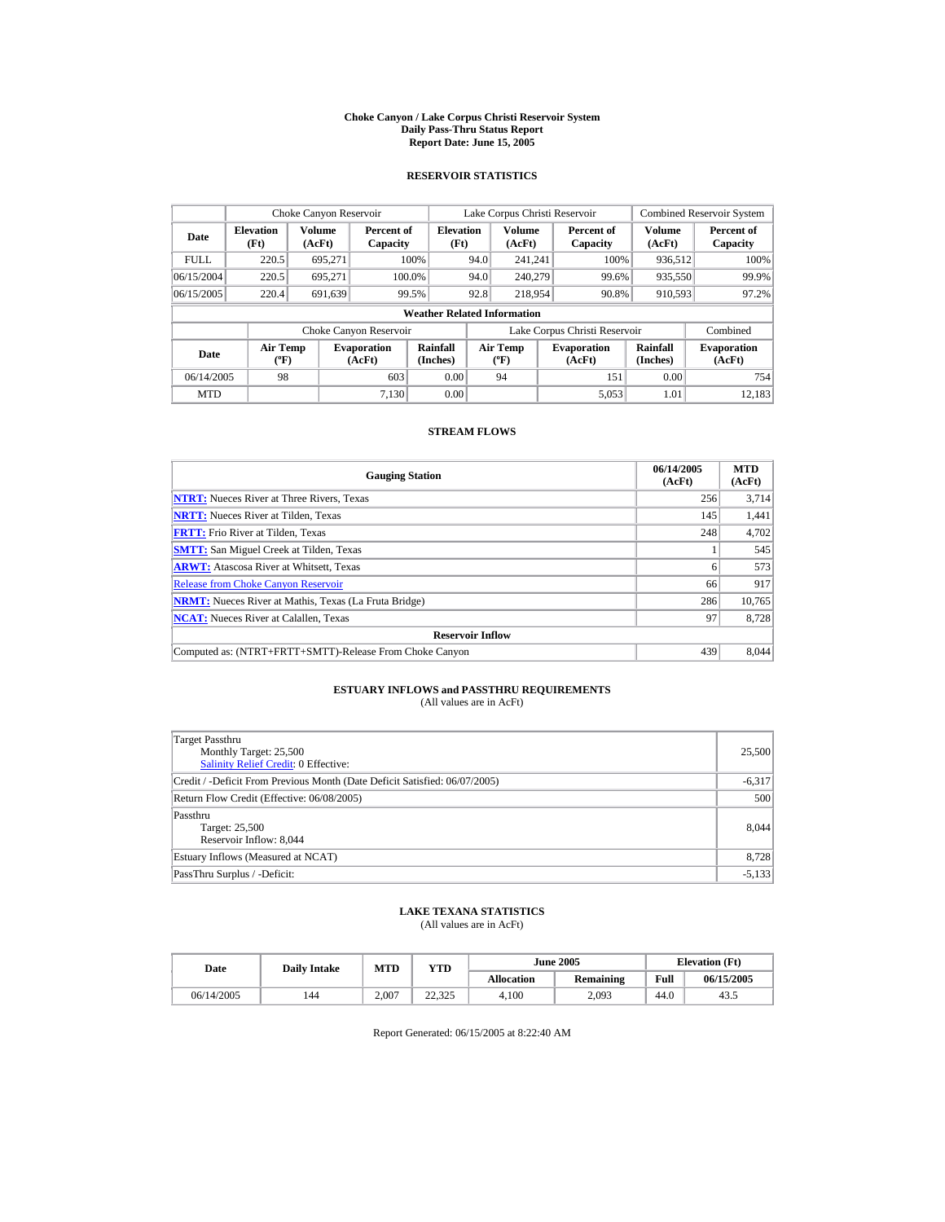#### **Choke Canyon / Lake Corpus Christi Reservoir System Daily Pass-Thru Status Report Report Date: June 15, 2005**

### **RESERVOIR STATISTICS**

|             | Choke Canyon Reservoir               |                  |                              |                          | Lake Corpus Christi Reservoir |                                                  |  |                               |                         | <b>Combined Reservoir System</b> |  |  |
|-------------|--------------------------------------|------------------|------------------------------|--------------------------|-------------------------------|--------------------------------------------------|--|-------------------------------|-------------------------|----------------------------------|--|--|
| Date        | <b>Elevation</b><br>(Ft)             | Volume<br>(AcFt) | Percent of<br>Capacity       | <b>Elevation</b><br>(Ft) |                               | <b>Volume</b><br>(AcFt)                          |  | Percent of<br>Capacity        | <b>Volume</b><br>(AcFt) | Percent of<br>Capacity           |  |  |
| <b>FULL</b> | 220.5                                | 695.271          |                              | 100%                     | 94.0                          | 241.241                                          |  | 100%                          | 936.512                 | 100%                             |  |  |
| 06/15/2004  | 220.5                                | 695.271          | 100.0%                       |                          | 94.0                          | 240,279                                          |  | 99.6%                         | 935,550                 | 99.9%                            |  |  |
| 06/15/2005  | 220.4                                | 691,639          |                              | 99.5%                    | 92.8                          | 218,954                                          |  | 90.8%                         | 910,593                 | 97.2%                            |  |  |
|             | <b>Weather Related Information</b>   |                  |                              |                          |                               |                                                  |  |                               |                         |                                  |  |  |
|             |                                      |                  | Choke Canyon Reservoir       |                          |                               |                                                  |  | Lake Corpus Christi Reservoir |                         | Combined                         |  |  |
| Date        | Air Temp<br>$({}^{\circ}\mathrm{F})$ |                  | <b>Evaporation</b><br>(AcFt) | Rainfall<br>(Inches)     |                               | <b>Air Temp</b><br>$({}^{\mathrm{o}}\mathrm{F})$ |  | <b>Evaporation</b><br>(AcFt)  | Rainfall<br>(Inches)    | <b>Evaporation</b><br>(AcFt)     |  |  |
| 06/14/2005  | 98                                   |                  | 603                          | 0.00                     |                               | 94                                               |  | 151                           | 0.00                    | 754                              |  |  |
| <b>MTD</b>  |                                      |                  | 7.130                        | 0.00                     |                               |                                                  |  | 5.053                         | 1.01                    | 12.183                           |  |  |

### **STREAM FLOWS**

| <b>Gauging Station</b>                                       | 06/14/2005<br>(AcFt) | <b>MTD</b><br>(AcFt) |
|--------------------------------------------------------------|----------------------|----------------------|
| <b>NTRT:</b> Nueces River at Three Rivers, Texas             | 256                  | 3,714                |
| <b>NRTT:</b> Nueces River at Tilden, Texas                   | 145                  | 1,441                |
| <b>FRTT:</b> Frio River at Tilden, Texas                     | 248                  | 4,702                |
| <b>SMTT:</b> San Miguel Creek at Tilden, Texas               |                      | 545                  |
| <b>ARWT:</b> Atascosa River at Whitsett, Texas               | 6                    | 573                  |
| <b>Release from Choke Canyon Reservoir</b>                   | 66                   | 917                  |
| <b>NRMT:</b> Nueces River at Mathis, Texas (La Fruta Bridge) | 286                  | 10.765               |
| <b>NCAT:</b> Nueces River at Calallen, Texas                 | 97                   | 8.728                |
| <b>Reservoir Inflow</b>                                      |                      |                      |
| Computed as: (NTRT+FRTT+SMTT)-Release From Choke Canyon      | 439                  | 8.044                |

# **ESTUARY INFLOWS and PASSTHRU REQUIREMENTS**<br>(All values are in AcFt)

| Target Passthru<br>Monthly Target: 25,500<br>Salinity Relief Credit: 0 Effective: | 25,500   |
|-----------------------------------------------------------------------------------|----------|
| Credit / -Deficit From Previous Month (Date Deficit Satisfied: 06/07/2005)        | $-6,317$ |
| Return Flow Credit (Effective: 06/08/2005)                                        | 500      |
| Passthru<br>Target: 25,500<br>Reservoir Inflow: 8,044                             | 8.044    |
| Estuary Inflows (Measured at NCAT)                                                | 8,728    |
| PassThru Surplus / -Deficit:                                                      | $-5,133$ |

## **LAKE TEXANA STATISTICS**

(All values are in AcFt)

| Date       | <b>Daily Intake</b> | <b>MTD</b> | YTD    |                   | <b>June 2005</b> | <b>Elevation</b> (Ft) |            |
|------------|---------------------|------------|--------|-------------------|------------------|-----------------------|------------|
|            |                     |            |        | <b>Allocation</b> | Remaining        | Full                  | 06/15/2005 |
| 06/14/2005 | 144                 | 2.007      | 22.325 | 4.100             | 2.093            | 44.0                  | 43.5       |

Report Generated: 06/15/2005 at 8:22:40 AM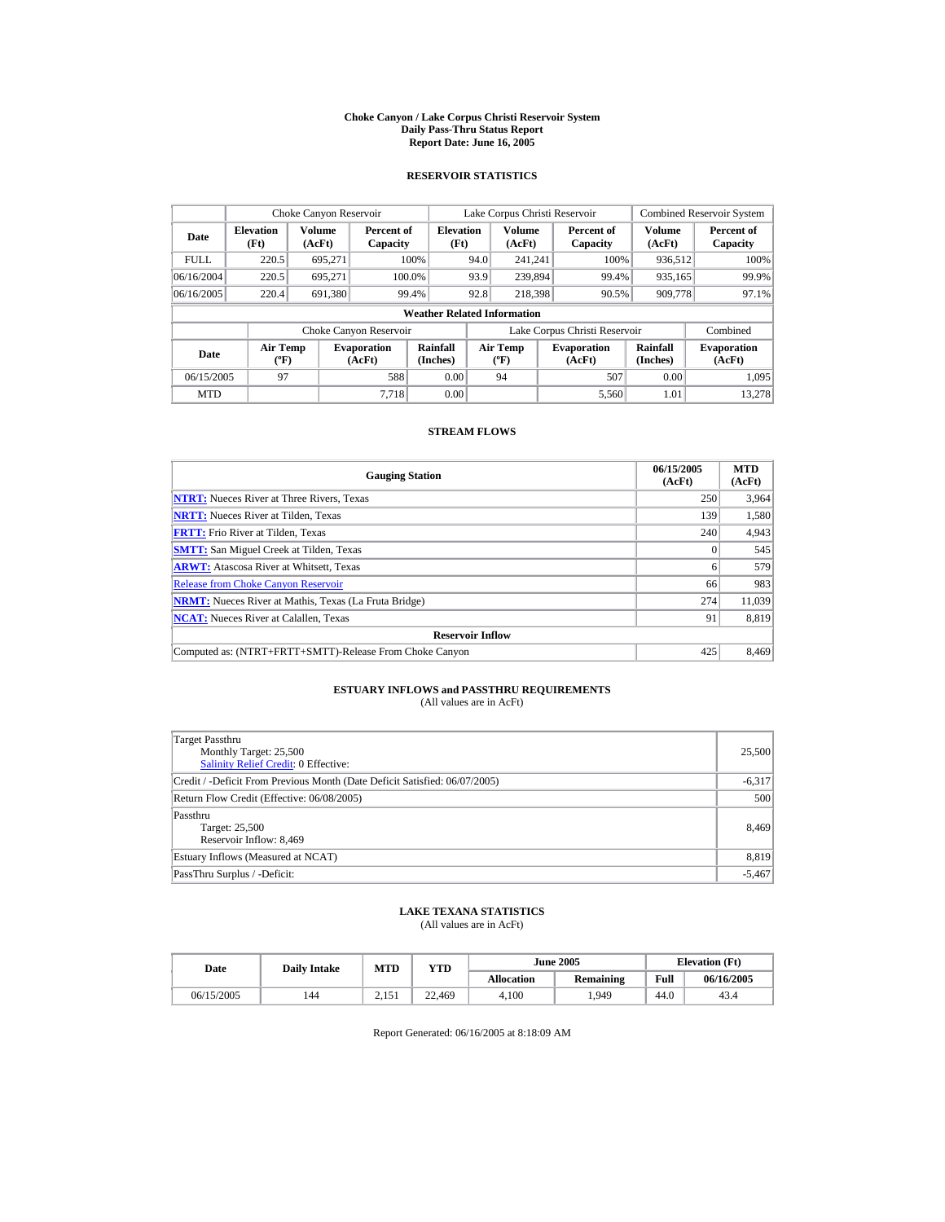#### **Choke Canyon / Lake Corpus Christi Reservoir System Daily Pass-Thru Status Report Report Date: June 16, 2005**

### **RESERVOIR STATISTICS**

|             | Choke Canyon Reservoir               |                  |                              |                          |      | Lake Corpus Christi Reservoir                    |  |                               |                         | <b>Combined Reservoir System</b> |  |  |
|-------------|--------------------------------------|------------------|------------------------------|--------------------------|------|--------------------------------------------------|--|-------------------------------|-------------------------|----------------------------------|--|--|
| Date        | <b>Elevation</b><br>(Ft)             | Volume<br>(AcFt) | Percent of<br>Capacity       | <b>Elevation</b><br>(Ft) |      | <b>Volume</b><br>(AcFt)                          |  | Percent of<br>Capacity        | <b>Volume</b><br>(AcFt) | Percent of<br>Capacity           |  |  |
| <b>FULL</b> | 220.5                                | 695.271          |                              | 100%                     | 94.0 | 241.241                                          |  | 100%                          | 936.512                 | 100%                             |  |  |
| 06/16/2004  | 220.5                                | 695.271          |                              | 100.0%                   | 93.9 | 239.894                                          |  | 99.4%                         | 935,165                 | 99.9%                            |  |  |
| 06/16/2005  | 220.4                                | 691,380          |                              | 99.4%                    | 92.8 | 218,398                                          |  | 90.5%                         | 909,778                 | 97.1%                            |  |  |
|             | <b>Weather Related Information</b>   |                  |                              |                          |      |                                                  |  |                               |                         |                                  |  |  |
|             |                                      |                  | Choke Canyon Reservoir       |                          |      |                                                  |  | Lake Corpus Christi Reservoir |                         | Combined                         |  |  |
| Date        | Air Temp<br>$({}^{\circ}\mathrm{F})$ |                  | <b>Evaporation</b><br>(AcFt) | Rainfall<br>(Inches)     |      | <b>Air Temp</b><br>$({}^{\mathrm{o}}\mathrm{F})$ |  | <b>Evaporation</b><br>(AcFt)  | Rainfall<br>(Inches)    | <b>Evaporation</b><br>(AcFt)     |  |  |
| 06/15/2005  | 97                                   |                  | 588                          | 0.00                     |      | 94                                               |  | 507                           | 0.00                    | 1.095                            |  |  |
| <b>MTD</b>  |                                      |                  | 7.718                        | 0.00                     |      |                                                  |  | 5.560                         | 1.01                    | 13.278                           |  |  |

### **STREAM FLOWS**

| <b>Gauging Station</b>                                       | 06/15/2005<br>(AcFt) | <b>MTD</b><br>(AcFt) |
|--------------------------------------------------------------|----------------------|----------------------|
| <b>NTRT:</b> Nueces River at Three Rivers, Texas             | 250                  | 3,964                |
| <b>NRTT:</b> Nueces River at Tilden, Texas                   | 139                  | 1,580                |
| <b>FRTT:</b> Frio River at Tilden, Texas                     | 240                  | 4,943                |
| <b>SMTT:</b> San Miguel Creek at Tilden, Texas               |                      | 545                  |
| <b>ARWT:</b> Atascosa River at Whitsett, Texas               | 6                    | 579                  |
| <b>Release from Choke Canyon Reservoir</b>                   | 66                   | 983                  |
| <b>NRMT:</b> Nueces River at Mathis, Texas (La Fruta Bridge) | 274                  | 11.039               |
| <b>NCAT:</b> Nueces River at Calallen, Texas                 | 91                   | 8.819                |
| <b>Reservoir Inflow</b>                                      |                      |                      |
| Computed as: (NTRT+FRTT+SMTT)-Release From Choke Canyon      | 425                  | 8.469                |

# **ESTUARY INFLOWS and PASSTHRU REQUIREMENTS**<br>(All values are in AcFt)

| Target Passthru<br>Monthly Target: 25,500<br>Salinity Relief Credit: 0 Effective: | 25,500   |
|-----------------------------------------------------------------------------------|----------|
| Credit / -Deficit From Previous Month (Date Deficit Satisfied: 06/07/2005)        | $-6,317$ |
| Return Flow Credit (Effective: 06/08/2005)                                        | 500      |
| Passthru<br>Target: 25,500<br>Reservoir Inflow: 8,469                             | 8,469    |
| Estuary Inflows (Measured at NCAT)                                                | 8,819    |
| PassThru Surplus / -Deficit:                                                      | $-5,467$ |

## **LAKE TEXANA STATISTICS**

(All values are in AcFt)

| Date       | <b>Daily Intake</b> | MTD                 | <b>VTD</b> |                   | <b>June 2005</b> |      | <b>Elevation</b> (Ft) |
|------------|---------------------|---------------------|------------|-------------------|------------------|------|-----------------------|
|            |                     |                     |            | <b>Allocation</b> | Remaining        | Full | 06/16/2005            |
| 06/15/2005 | 144                 | $15^\circ$<br>2.131 | 22.469     | 4.100             | 1.949            | 44.0 | 43.4                  |

Report Generated: 06/16/2005 at 8:18:09 AM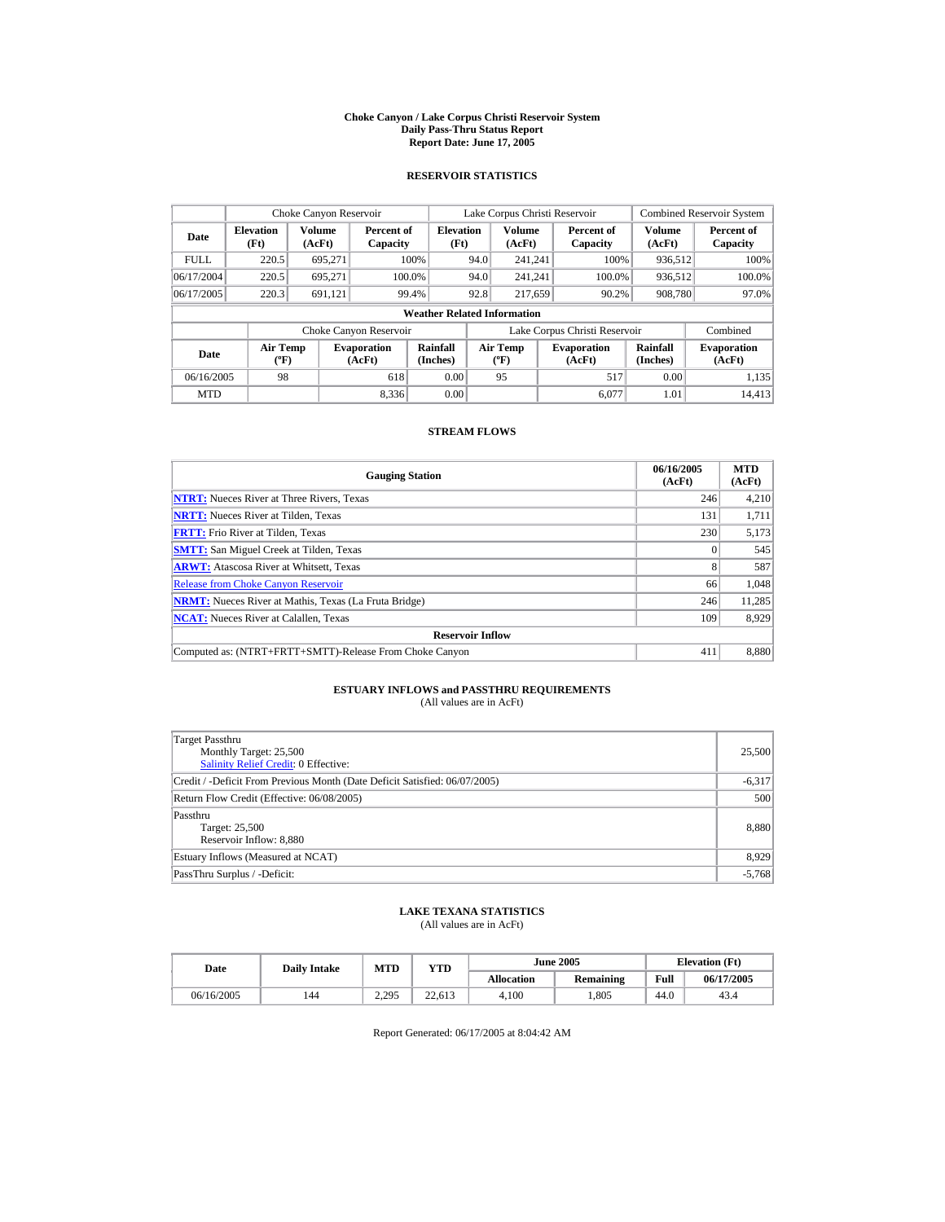#### **Choke Canyon / Lake Corpus Christi Reservoir System Daily Pass-Thru Status Report Report Date: June 17, 2005**

### **RESERVOIR STATISTICS**

|             | Choke Canyon Reservoir               |                  |                              |                          | Lake Corpus Christi Reservoir |                                                  |  |                               |                         | <b>Combined Reservoir System</b> |  |  |
|-------------|--------------------------------------|------------------|------------------------------|--------------------------|-------------------------------|--------------------------------------------------|--|-------------------------------|-------------------------|----------------------------------|--|--|
| Date        | <b>Elevation</b><br>(Ft)             | Volume<br>(AcFt) | Percent of<br>Capacity       | <b>Elevation</b><br>(Ft) |                               | <b>Volume</b><br>(AcFt)                          |  | Percent of<br>Capacity        | <b>Volume</b><br>(AcFt) | Percent of<br>Capacity           |  |  |
| <b>FULL</b> | 220.5                                | 695.271          |                              | 100%                     | 94.0                          | 241.241                                          |  | 100%                          | 936.512                 | 100%                             |  |  |
| 06/17/2004  | 220.5                                | 695.271          | 100.0%                       |                          | 94.0                          | 241.241                                          |  | 100.0%                        | 936,512                 | $100.0\%$                        |  |  |
| 06/17/2005  | 220.3                                | 691,121          |                              | 99.4%                    | 92.8                          | 217,659                                          |  | 90.2%                         | 908,780                 | 97.0%                            |  |  |
|             | <b>Weather Related Information</b>   |                  |                              |                          |                               |                                                  |  |                               |                         |                                  |  |  |
|             |                                      |                  | Choke Canyon Reservoir       |                          |                               |                                                  |  | Lake Corpus Christi Reservoir |                         | Combined                         |  |  |
| Date        | Air Temp<br>$({}^{\circ}\mathrm{F})$ |                  | <b>Evaporation</b><br>(AcFt) | Rainfall<br>(Inches)     |                               | <b>Air Temp</b><br>$({}^{\mathrm{o}}\mathrm{F})$ |  | <b>Evaporation</b><br>(AcFt)  | Rainfall<br>(Inches)    | <b>Evaporation</b><br>(AcFt)     |  |  |
| 06/16/2005  | 98                                   |                  | 618                          | 0.00                     |                               | 95                                               |  | 517                           | 0.00                    | 1,135                            |  |  |
| <b>MTD</b>  |                                      |                  | 8.336                        | 0.00                     |                               |                                                  |  | 6.077                         | 1.01                    | 14.413                           |  |  |

### **STREAM FLOWS**

| <b>Gauging Station</b>                                       | 06/16/2005<br>(AcFt) | <b>MTD</b><br>(AcFt) |
|--------------------------------------------------------------|----------------------|----------------------|
| <b>NTRT:</b> Nueces River at Three Rivers, Texas             | 246                  | 4,210                |
| <b>NRTT:</b> Nueces River at Tilden, Texas                   | 131                  | 1,711                |
| <b>FRTT:</b> Frio River at Tilden, Texas                     | 230                  | 5,173                |
| <b>SMTT:</b> San Miguel Creek at Tilden, Texas               |                      | 545                  |
| <b>ARWT:</b> Atascosa River at Whitsett, Texas               | 8                    | 587                  |
| <b>Release from Choke Canyon Reservoir</b>                   | 66                   | 1.048                |
| <b>NRMT:</b> Nueces River at Mathis, Texas (La Fruta Bridge) | 246                  | 11,285               |
| <b>NCAT:</b> Nueces River at Calallen, Texas                 | 109                  | 8.929                |
| <b>Reservoir Inflow</b>                                      |                      |                      |
| Computed as: (NTRT+FRTT+SMTT)-Release From Choke Canyon      | 411                  | 8,880                |

# **ESTUARY INFLOWS and PASSTHRU REQUIREMENTS**<br>(All values are in AcFt)

| Target Passthru<br>Monthly Target: 25,500<br>Salinity Relief Credit: 0 Effective: | 25,500   |
|-----------------------------------------------------------------------------------|----------|
| Credit / -Deficit From Previous Month (Date Deficit Satisfied: 06/07/2005)        | $-6,317$ |
| Return Flow Credit (Effective: 06/08/2005)                                        | 500      |
| Passthru<br>Target: 25,500<br>Reservoir Inflow: 8,880                             | 8,880    |
| Estuary Inflows (Measured at NCAT)                                                | 8,929    |
| PassThru Surplus / -Deficit:                                                      | $-5,768$ |

## **LAKE TEXANA STATISTICS**

(All values are in AcFt)

| Date       | <b>Daily Intake</b> | <b>MTD</b> | YTD    |                   | <b>June 2005</b> | <b>Elevation</b> (Ft) |            |
|------------|---------------------|------------|--------|-------------------|------------------|-----------------------|------------|
|            |                     |            |        | <b>Allocation</b> | Remaining        | Full                  | 06/17/2005 |
| 06/16/2005 | 144                 | 2.295      | 22.613 | 4.100             | .805             | 44.0                  | 43.4       |

Report Generated: 06/17/2005 at 8:04:42 AM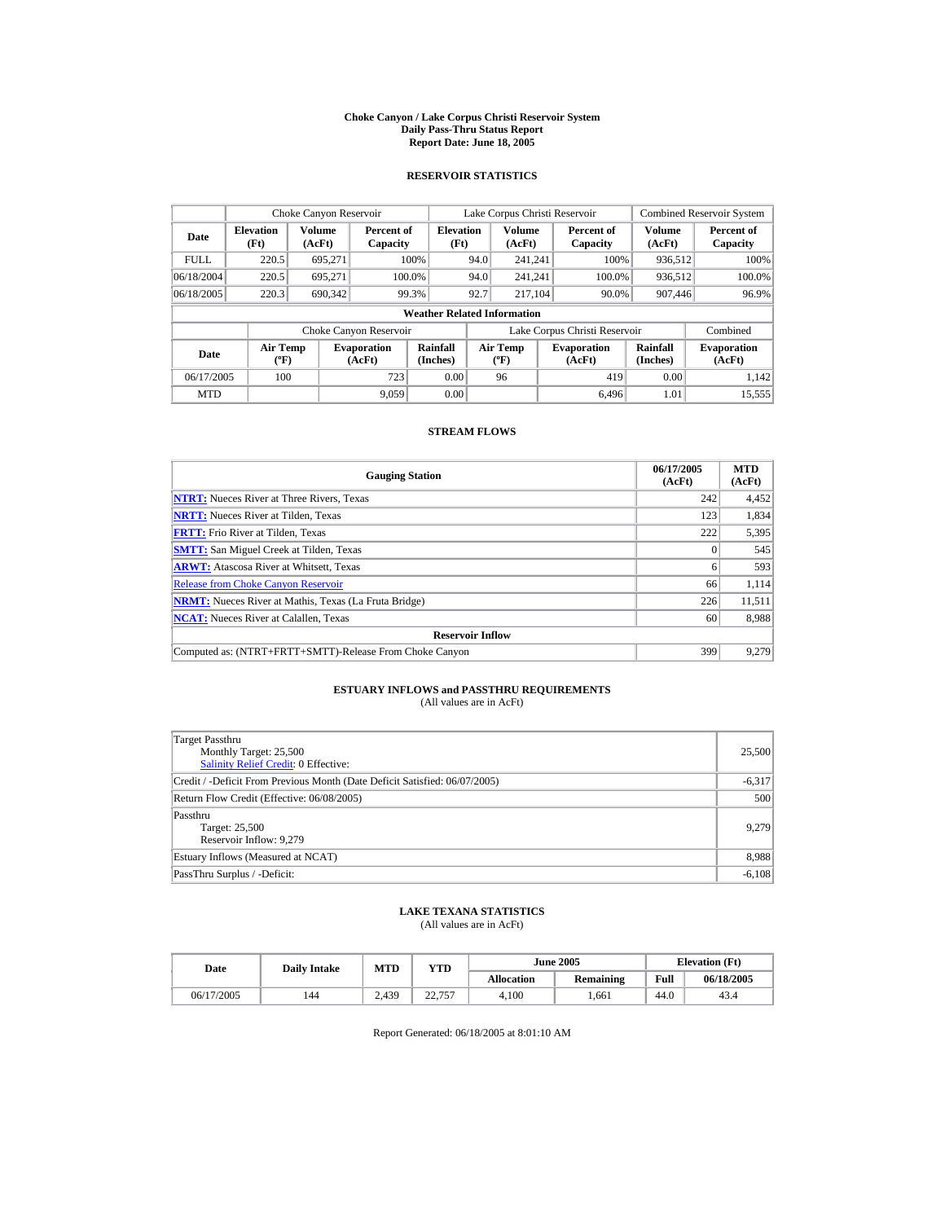#### **Choke Canyon / Lake Corpus Christi Reservoir System Daily Pass-Thru Status Report Report Date: June 18, 2005**

### **RESERVOIR STATISTICS**

|             | Choke Canyon Reservoir                      |                  |                              |                          | Lake Corpus Christi Reservoir |                                          |  |                               |                      | <b>Combined Reservoir System</b> |  |  |
|-------------|---------------------------------------------|------------------|------------------------------|--------------------------|-------------------------------|------------------------------------------|--|-------------------------------|----------------------|----------------------------------|--|--|
| Date        | <b>Elevation</b><br>(Ft)                    | Volume<br>(AcFt) | Percent of<br>Capacity       | <b>Elevation</b><br>(Ft) |                               | <b>Volume</b><br>(AcFt)                  |  | Percent of<br>Capacity        | Volume<br>(AcFt)     | Percent of<br>Capacity           |  |  |
| <b>FULL</b> | 220.5                                       | 695.271          |                              | 100%                     | 94.0                          | 241.241                                  |  | 100%                          | 936.512              | 100%                             |  |  |
| 06/18/2004  | 220.5                                       | 695.271          |                              | 100.0%                   | 94.0                          | 241.241                                  |  | 100.0%                        | 936,512              | 100.0%                           |  |  |
| 06/18/2005  | 220.3                                       | 690,342          |                              | 99.3%                    | 92.7                          | 217.104                                  |  | 90.0%                         | 907,446              | 96.9%                            |  |  |
|             | <b>Weather Related Information</b>          |                  |                              |                          |                               |                                          |  |                               |                      |                                  |  |  |
|             |                                             |                  | Choke Canyon Reservoir       |                          |                               |                                          |  | Lake Corpus Christi Reservoir |                      | Combined                         |  |  |
| Date        | <b>Air Temp</b><br>$({}^{\circ}\mathrm{F})$ |                  | <b>Evaporation</b><br>(AcFt) | Rainfall<br>(Inches)     |                               | <b>Air Temp</b><br>$({}^{\circ}{\rm F})$ |  | <b>Evaporation</b><br>(AcFt)  | Rainfall<br>(Inches) | <b>Evaporation</b><br>(AcFt)     |  |  |
| 06/17/2005  | 100                                         |                  | 723                          | 0.00                     |                               | 96                                       |  | 419                           | 0.00                 | 1.142                            |  |  |
| <b>MTD</b>  |                                             |                  | 9.059                        | 0.00                     |                               |                                          |  | 6.496                         | 1.01                 | 15.555                           |  |  |

### **STREAM FLOWS**

| <b>Gauging Station</b>                                       | 06/17/2005<br>(AcFt) | <b>MTD</b><br>(AcFt) |
|--------------------------------------------------------------|----------------------|----------------------|
| <b>NTRT:</b> Nueces River at Three Rivers, Texas             | 242                  | 4,452                |
| <b>NRTT:</b> Nueces River at Tilden, Texas                   | 123                  | 1,834                |
| <b>FRTT:</b> Frio River at Tilden, Texas                     | 222                  | 5,395                |
| <b>SMTT:</b> San Miguel Creek at Tilden, Texas               |                      | 545                  |
| <b>ARWT:</b> Atascosa River at Whitsett, Texas               | 6                    | 593                  |
| <b>Release from Choke Canyon Reservoir</b>                   | 66                   | 1,114                |
| <b>NRMT:</b> Nueces River at Mathis, Texas (La Fruta Bridge) | 226                  | 11,511               |
| <b>NCAT:</b> Nueces River at Calallen, Texas                 | 60                   | 8,988                |
| <b>Reservoir Inflow</b>                                      |                      |                      |
| Computed as: (NTRT+FRTT+SMTT)-Release From Choke Canyon      | 399                  | 9.279                |

# **ESTUARY INFLOWS and PASSTHRU REQUIREMENTS**<br>(All values are in AcFt)

| Target Passthru<br>Monthly Target: 25,500<br>Salinity Relief Credit: 0 Effective: | 25,500   |
|-----------------------------------------------------------------------------------|----------|
| Credit / -Deficit From Previous Month (Date Deficit Satisfied: 06/07/2005)        | $-6,317$ |
| Return Flow Credit (Effective: 06/08/2005)                                        | 500      |
| Passthru<br>Target: 25,500<br>Reservoir Inflow: 9.279                             | 9,279    |
| Estuary Inflows (Measured at NCAT)                                                | 8,988    |
| PassThru Surplus / -Deficit:                                                      | $-6,108$ |

## **LAKE TEXANA STATISTICS**

(All values are in AcFt)

| Date       | <b>Daily Intake</b> | <b>MTD</b> | YTD                             |                   | <b>June 2005</b> | <b>Elevation</b> (Ft) |            |
|------------|---------------------|------------|---------------------------------|-------------------|------------------|-----------------------|------------|
|            |                     |            |                                 | <b>Allocation</b> | Remaining        | Full                  | 06/18/2005 |
| 06/17/2005 | 144                 | 2.439      | 77 757<br><i><u>__., .</u>,</i> | 4.100             | .661             | 44.0                  | 43.4       |

Report Generated: 06/18/2005 at 8:01:10 AM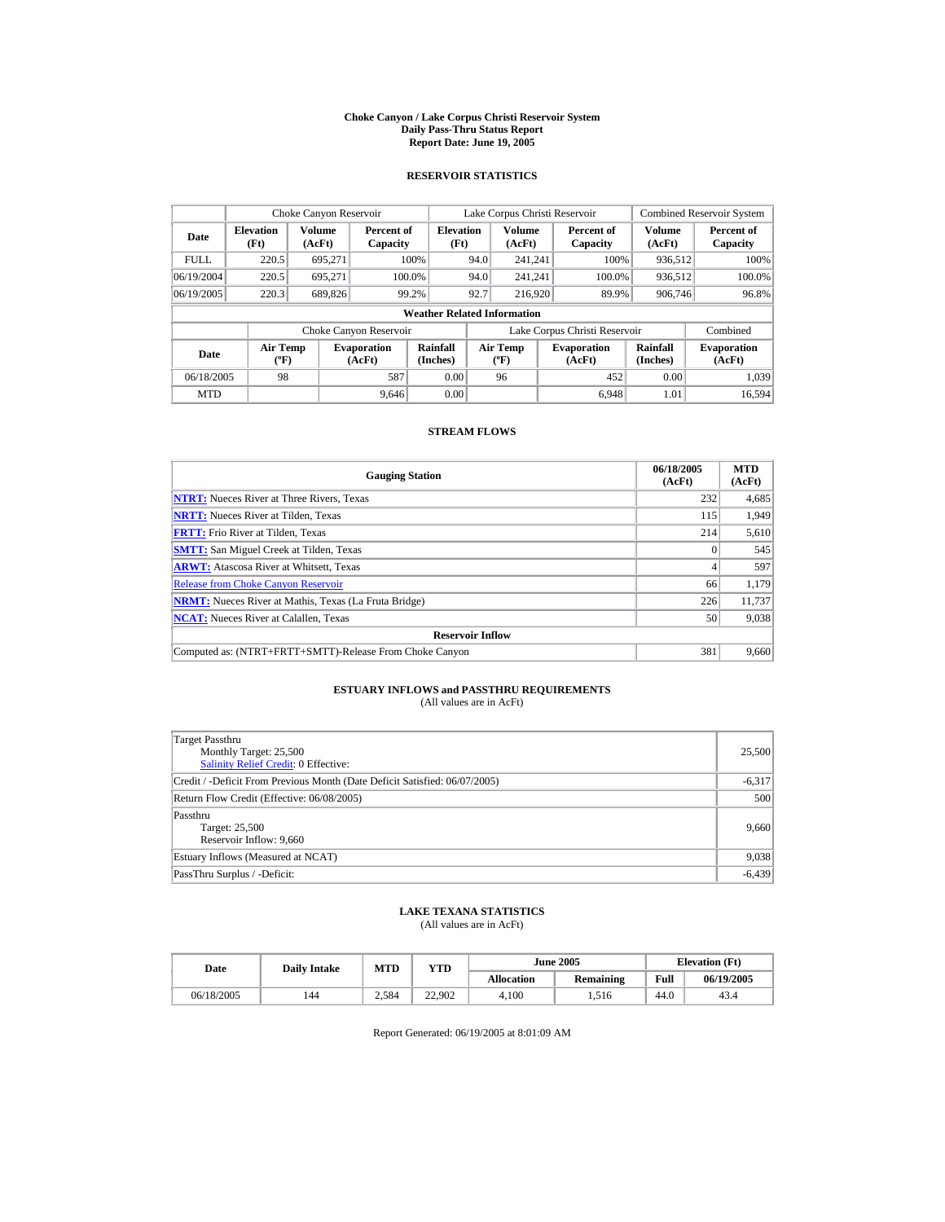#### **Choke Canyon / Lake Corpus Christi Reservoir System Daily Pass-Thru Status Report Report Date: June 19, 2005**

### **RESERVOIR STATISTICS**

|             | Choke Canyon Reservoir                      |                         |                              |                                    | Lake Corpus Christi Reservoir |                                   |  |                               |                         | <b>Combined Reservoir System</b> |
|-------------|---------------------------------------------|-------------------------|------------------------------|------------------------------------|-------------------------------|-----------------------------------|--|-------------------------------|-------------------------|----------------------------------|
| Date        | <b>Elevation</b><br>(Ft)                    | <b>Volume</b><br>(AcFt) | Percent of<br>Capacity       | <b>Elevation</b><br>(Ft)           |                               | <b>Volume</b><br>(AcFt)           |  | Percent of<br>Capacity        | <b>Volume</b><br>(AcFt) | Percent of<br>Capacity           |
| <b>FULL</b> | 220.5                                       | 695.271                 |                              | 100%                               | 94.0                          | 241.241                           |  | 100%                          | 936,512                 | 100%                             |
| 06/19/2004  | 220.5                                       | 695.271                 |                              | 100.0%                             | 94.0                          | 241.241                           |  | 100.0%                        | 936,512                 | 100.0%                           |
| 06/19/2005  | 220.3                                       | 689,826                 |                              | 99.2%                              | 92.7                          | 216,920                           |  | 89.9%                         | 906,746                 | 96.8%                            |
|             |                                             |                         |                              | <b>Weather Related Information</b> |                               |                                   |  |                               |                         |                                  |
|             |                                             |                         | Choke Canyon Reservoir       |                                    |                               |                                   |  | Lake Corpus Christi Reservoir |                         | Combined                         |
| Date        | <b>Air Temp</b><br>$({}^{\circ}\mathrm{F})$ |                         | <b>Evaporation</b><br>(AcFt) | Rainfall<br>(Inches)               |                               | Air Temp<br>$({}^{\circ}{\rm F})$ |  | <b>Evaporation</b><br>(AcFt)  | Rainfall<br>(Inches)    | <b>Evaporation</b><br>(AcFt)     |
| 06/18/2005  | 98                                          |                         | 587                          | 0.00                               |                               | 96                                |  | 452                           | 0.00                    | 1.039                            |
| <b>MTD</b>  |                                             |                         | 9.646                        | 0.00                               |                               |                                   |  | 6.948                         | 1.01                    | 16.594                           |

### **STREAM FLOWS**

| <b>Gauging Station</b>                                       | 06/18/2005<br>(AcFt) | <b>MTD</b><br>(AcFt) |
|--------------------------------------------------------------|----------------------|----------------------|
| <b>NTRT:</b> Nueces River at Three Rivers, Texas             | 232                  | 4,685                |
| <b>NRTT:</b> Nueces River at Tilden, Texas                   | 115                  | 1.949                |
| <b>FRTT:</b> Frio River at Tilden, Texas                     | 214                  | 5,610                |
| <b>SMTT:</b> San Miguel Creek at Tilden, Texas               |                      | 545                  |
| <b>ARWT:</b> Atascosa River at Whitsett, Texas               | 4                    | 597                  |
| <b>Release from Choke Canyon Reservoir</b>                   | 66                   | 1.179                |
| <b>NRMT:</b> Nueces River at Mathis, Texas (La Fruta Bridge) | 226                  | 11.737               |
| <b>NCAT:</b> Nueces River at Calallen, Texas                 | 50                   | 9,038                |
| <b>Reservoir Inflow</b>                                      |                      |                      |
| Computed as: (NTRT+FRTT+SMTT)-Release From Choke Canyon      | 381                  | 9,660                |

# **ESTUARY INFLOWS and PASSTHRU REQUIREMENTS**<br>(All values are in AcFt)

| Target Passthru<br>Monthly Target: 25,500<br>Salinity Relief Credit: 0 Effective: | 25,500   |
|-----------------------------------------------------------------------------------|----------|
| Credit / -Deficit From Previous Month (Date Deficit Satisfied: 06/07/2005)        | $-6,317$ |
| Return Flow Credit (Effective: 06/08/2005)                                        | 500      |
| Passthru<br>Target: 25,500<br>Reservoir Inflow: 9.660                             | 9,660    |
| Estuary Inflows (Measured at NCAT)                                                | 9,038    |
| PassThru Surplus / -Deficit:                                                      | $-6,439$ |

## **LAKE TEXANA STATISTICS**

(All values are in AcFt)

| Date       | <b>Daily Intake</b> | MTD   | YTD    |                   | <b>June 2005</b> | <b>Elevation</b> (Ft) |            |
|------------|---------------------|-------|--------|-------------------|------------------|-----------------------|------------|
|            |                     |       |        | <b>Allocation</b> | <b>Remaining</b> | Full                  | 06/19/2005 |
| 06/18/2005 | 144                 | 2.584 | 22.902 | 4.100             | .516             | 44.0                  | 43.4       |

Report Generated: 06/19/2005 at 8:01:09 AM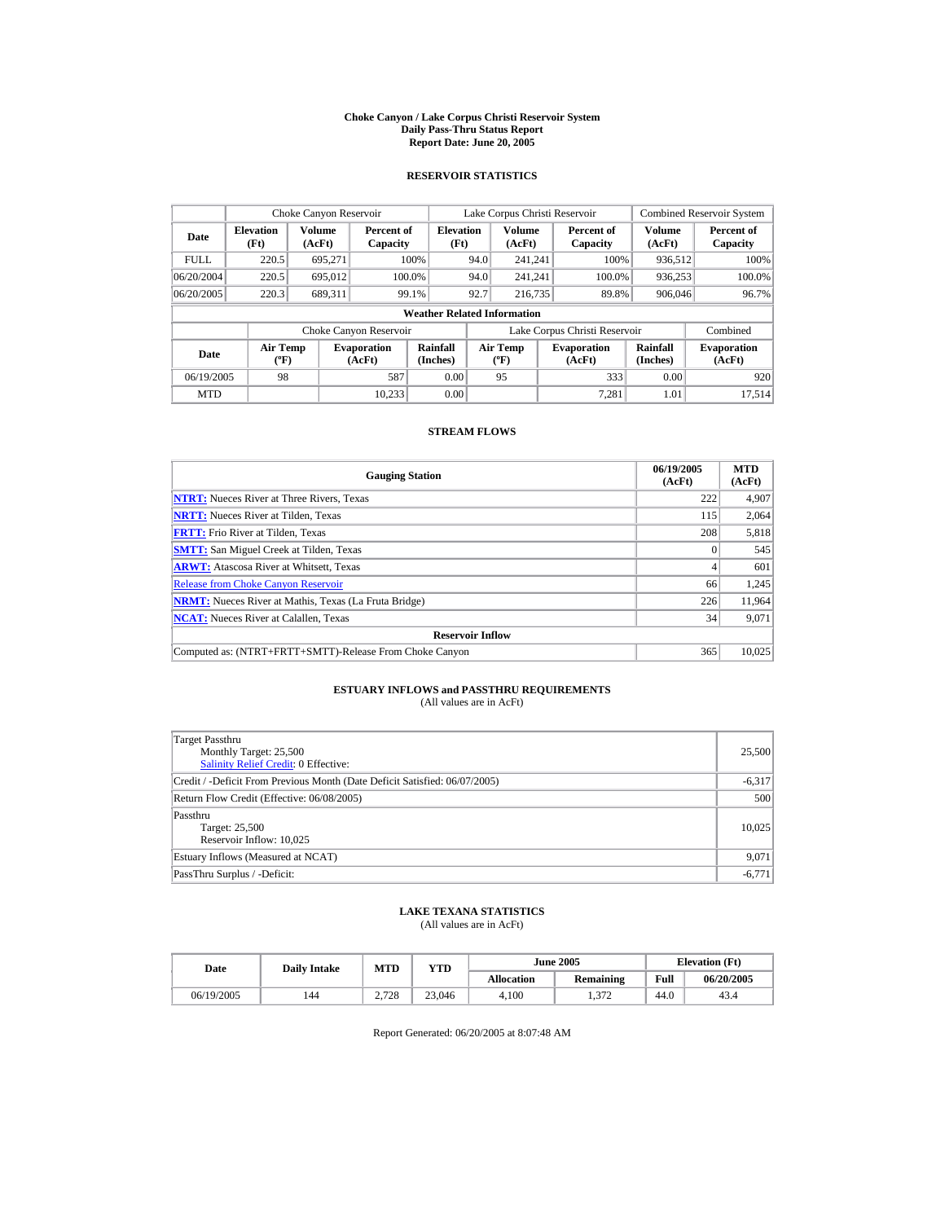#### **Choke Canyon / Lake Corpus Christi Reservoir System Daily Pass-Thru Status Report Report Date: June 20, 2005**

### **RESERVOIR STATISTICS**

|             | Choke Canyon Reservoir                      |                  |                              |                                    | Lake Corpus Christi Reservoir |                                          |  |                               | <b>Combined Reservoir System</b> |                              |
|-------------|---------------------------------------------|------------------|------------------------------|------------------------------------|-------------------------------|------------------------------------------|--|-------------------------------|----------------------------------|------------------------------|
| Date        | <b>Elevation</b><br>(Ft)                    | Volume<br>(AcFt) | Percent of<br>Capacity       | <b>Elevation</b><br>(Ft)           |                               | <b>Volume</b><br>(AcFt)                  |  | Percent of<br>Capacity        | Volume<br>(AcFt)                 | Percent of<br>Capacity       |
| <b>FULL</b> | 220.5                                       | 695.271          |                              | 100%                               | 94.0                          | 241.241                                  |  | 100%                          | 936.512                          | 100%                         |
| 06/20/2004  | 220.5                                       | 695.012          |                              | 100.0%                             | 94.0                          | 241.241                                  |  | 100.0%                        | 936,253                          | 100.0%                       |
| 06/20/2005  | 220.3                                       | 689.311          |                              | 99.1%                              | 92.7                          | 216,735                                  |  | 89.8%                         | 906,046                          | 96.7%                        |
|             |                                             |                  |                              | <b>Weather Related Information</b> |                               |                                          |  |                               |                                  |                              |
|             |                                             |                  | Choke Canyon Reservoir       |                                    |                               |                                          |  | Lake Corpus Christi Reservoir |                                  | Combined                     |
| Date        | <b>Air Temp</b><br>$({}^{\circ}\mathrm{F})$ |                  | <b>Evaporation</b><br>(AcFt) | Rainfall<br>(Inches)               |                               | <b>Air Temp</b><br>$({}^{\circ}{\rm F})$ |  | <b>Evaporation</b><br>(AcFt)  | Rainfall<br>(Inches)             | <b>Evaporation</b><br>(AcFt) |
| 06/19/2005  | 98                                          |                  | 587                          | 0.00                               |                               | 95                                       |  | 333                           | 0.00                             | 920                          |
| <b>MTD</b>  |                                             |                  | 10.233                       | 0.00                               |                               |                                          |  | 7.281                         | 1.01                             | 17.514                       |

### **STREAM FLOWS**

| <b>Gauging Station</b>                                       | 06/19/2005<br>(AcFt) | <b>MTD</b><br>(AcFt) |
|--------------------------------------------------------------|----------------------|----------------------|
| <b>NTRT:</b> Nueces River at Three Rivers, Texas             | 222                  | 4,907                |
| <b>NRTT:</b> Nueces River at Tilden, Texas                   | 115                  | 2.064                |
| <b>FRTT:</b> Frio River at Tilden, Texas                     | 208                  | 5,818                |
| <b>SMTT:</b> San Miguel Creek at Tilden, Texas               |                      | 545                  |
| <b>ARWT:</b> Atascosa River at Whitsett, Texas               | 4                    | 601                  |
| <b>Release from Choke Canyon Reservoir</b>                   | 66                   | 1,245                |
| <b>NRMT:</b> Nueces River at Mathis, Texas (La Fruta Bridge) | 226                  | 11.964               |
| <b>NCAT:</b> Nueces River at Calallen, Texas                 | 34                   | 9,071                |
| <b>Reservoir Inflow</b>                                      |                      |                      |
| Computed as: (NTRT+FRTT+SMTT)-Release From Choke Canyon      | 365                  | 10.025               |

# **ESTUARY INFLOWS and PASSTHRU REQUIREMENTS**<br>(All values are in AcFt)

| Target Passthru<br>Monthly Target: 25,500<br>Salinity Relief Credit: 0 Effective: | 25,500   |
|-----------------------------------------------------------------------------------|----------|
| Credit / -Deficit From Previous Month (Date Deficit Satisfied: 06/07/2005)        | $-6,317$ |
| Return Flow Credit (Effective: 06/08/2005)                                        | 500      |
| Passthru<br>Target: 25,500<br>Reservoir Inflow: 10.025                            | 10.025   |
| Estuary Inflows (Measured at NCAT)                                                | 9,071    |
| PassThru Surplus / -Deficit:                                                      | $-6,771$ |

## **LAKE TEXANA STATISTICS**

(All values are in AcFt)

| Date       | <b>Daily Intake</b> | <b>MTD</b> | YTD    |                   | <b>June 2005</b>    | <b>Elevation</b> (Ft) |            |
|------------|---------------------|------------|--------|-------------------|---------------------|-----------------------|------------|
|            |                     |            |        | <b>Allocation</b> | Remaining           | Full                  | 06/20/2005 |
| 06/19/2005 | 144                 | 2.728      | 23.046 | 4.100             | 272<br>. . <i>.</i> | 44.0                  | 43.4       |

Report Generated: 06/20/2005 at 8:07:48 AM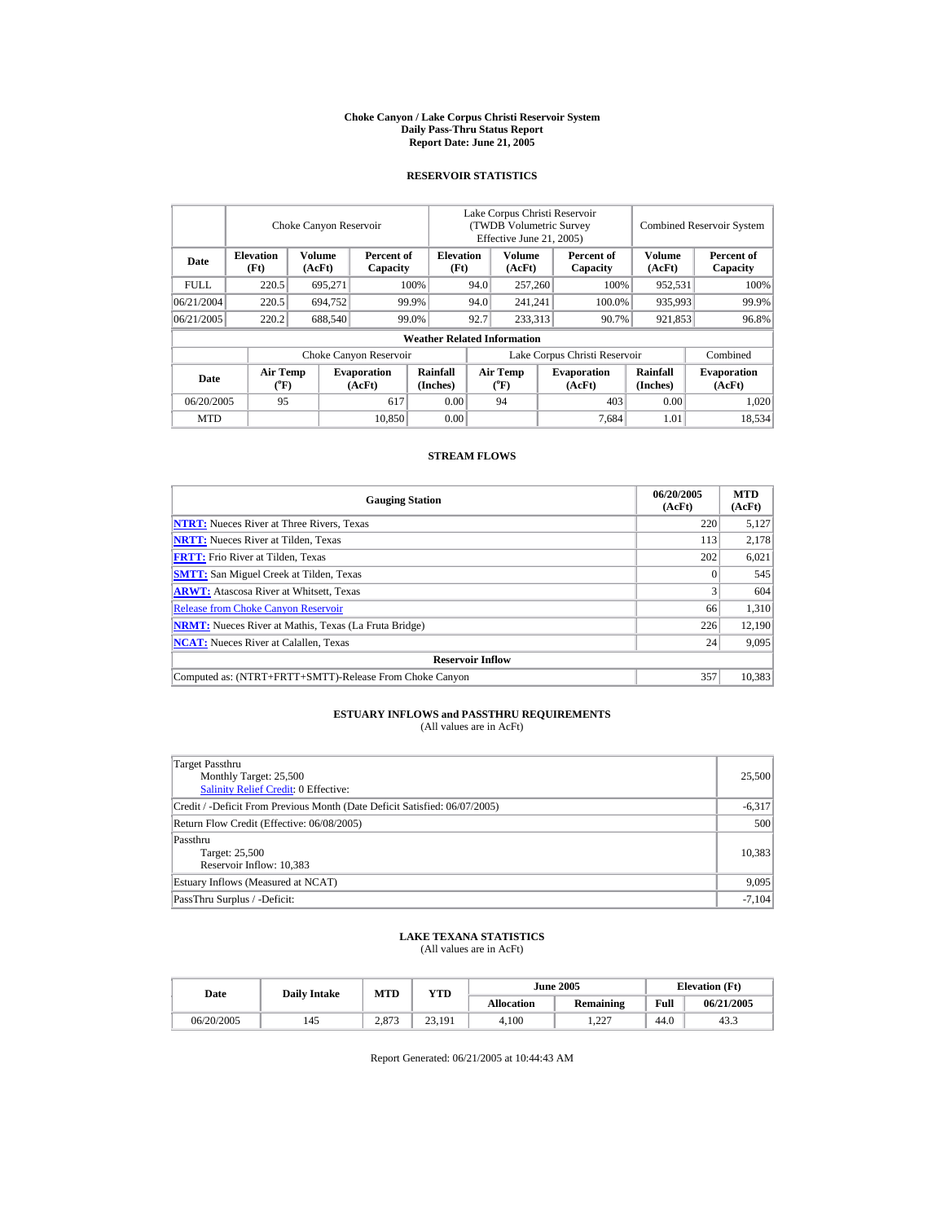#### **Choke Canyon / Lake Corpus Christi Reservoir System Daily Pass-Thru Status Report Report Date: June 21, 2005**

### **RESERVOIR STATISTICS**

|             |                                             | Choke Canyon Reservoir |                              |                                    |                               | Lake Corpus Christi Reservoir<br><b>(TWDB Volumetric Survey)</b><br>Effective June 21, 2005) |      |                              |                         | <b>Combined Reservoir System</b> |  |  |
|-------------|---------------------------------------------|------------------------|------------------------------|------------------------------------|-------------------------------|----------------------------------------------------------------------------------------------|------|------------------------------|-------------------------|----------------------------------|--|--|
| Date        | <b>Elevation</b><br>(Ft)                    | Volume<br>(AcFt)       | Percent of<br>Capacity       | <b>Elevation</b><br>(Ft)           |                               | Volume<br>(AcFt)                                                                             |      | Percent of<br>Capacity       | <b>Volume</b><br>(AcFt) | Percent of<br>Capacity           |  |  |
| <b>FULL</b> | 220.5                                       | 695.271                |                              | 100%                               | 94.0<br>257,260               |                                                                                              | 100% | 952,531                      | 100%                    |                                  |  |  |
| 06/21/2004  | 220.5                                       | 694.752                |                              | 99.9%                              | 94.0                          | 241.241                                                                                      |      | 100.0%                       | 935,993                 | 99.9%                            |  |  |
| 06/21/2005  | 220.2                                       | 688,540                |                              | 99.0%                              | 92.7                          | 233,313                                                                                      |      | 90.7%                        | 921,853                 | 96.8%                            |  |  |
|             |                                             |                        |                              | <b>Weather Related Information</b> |                               |                                                                                              |      |                              |                         |                                  |  |  |
|             |                                             |                        | Choke Canyon Reservoir       |                                    | Lake Corpus Christi Reservoir |                                                                                              |      |                              |                         | Combined                         |  |  |
| Date        | <b>Air Temp</b><br>$({}^{\circ}\mathbf{F})$ |                        | <b>Evaporation</b><br>(AcFt) | Rainfall<br>(Inches)               |                               | <b>Air Temp</b><br>$({}^{\circ}\mathrm{F})$                                                  |      | <b>Evaporation</b><br>(AcFt) | Rainfall<br>(Inches)    | <b>Evaporation</b><br>(AcFt)     |  |  |
| 06/20/2005  | 95                                          |                        | 617                          | 0.00                               |                               | 94                                                                                           |      | 403                          | 0.00                    | 1.020                            |  |  |
| <b>MTD</b>  |                                             |                        | 10.850                       | 0.00                               |                               |                                                                                              |      | 7.684                        | 1.01                    | 18,534                           |  |  |

#### **STREAM FLOWS**

| <b>Gauging Station</b>                                       | 06/20/2005<br>(AcFt) | <b>MTD</b><br>(AcFt) |
|--------------------------------------------------------------|----------------------|----------------------|
| <b>NTRT:</b> Nueces River at Three Rivers, Texas             | 220                  | 5,127                |
| <b>NRTT:</b> Nueces River at Tilden, Texas                   | 113                  | 2,178                |
| <b>FRTT:</b> Frio River at Tilden, Texas                     | 202                  | 6,021                |
| <b>SMTT:</b> San Miguel Creek at Tilden, Texas               |                      | 545                  |
| <b>ARWT:</b> Atascosa River at Whitsett, Texas               |                      | 604                  |
| <b>Release from Choke Canyon Reservoir</b>                   | 66                   | 1,310                |
| <b>NRMT:</b> Nueces River at Mathis, Texas (La Fruta Bridge) | 226                  | 12,190               |
| <b>NCAT:</b> Nueces River at Calallen. Texas                 | 24                   | 9,095                |
| <b>Reservoir Inflow</b>                                      |                      |                      |
| Computed as: (NTRT+FRTT+SMTT)-Release From Choke Canyon      | 357                  | 10,383               |

# **ESTUARY INFLOWS and PASSTHRU REQUIREMENTS**<br>(All values are in AcFt)

| Target Passthru<br>Monthly Target: 25,500<br>Salinity Relief Credit: 0 Effective: | 25,500   |
|-----------------------------------------------------------------------------------|----------|
|                                                                                   |          |
| Credit / -Deficit From Previous Month (Date Deficit Satisfied: 06/07/2005)        | $-6,317$ |
| Return Flow Credit (Effective: 06/08/2005)                                        | 500      |
| Passthru                                                                          |          |
| Target: 25,500                                                                    | 10,383   |
| Reservoir Inflow: 10,383                                                          |          |
| Estuary Inflows (Measured at NCAT)                                                | 9,095    |
| PassThru Surplus / -Deficit:                                                      | $-7,104$ |

# **LAKE TEXANA STATISTICS** (All values are in AcFt)

| Date       | <b>Daily Intake</b> | <b>MTD</b>     | <b>YTD</b> |                   | <b>June 2005</b> | <b>Elevation</b> (Ft) |            |
|------------|---------------------|----------------|------------|-------------------|------------------|-----------------------|------------|
|            |                     |                |            | <b>Allocation</b> | <b>Remaining</b> | Full                  | 06/21/2005 |
| 06/20/2005 | 145                 | 2.972<br>2.01J | 23.191     | 4.100             | .227<br>---      | 44.U                  | 43.3       |

Report Generated: 06/21/2005 at 10:44:43 AM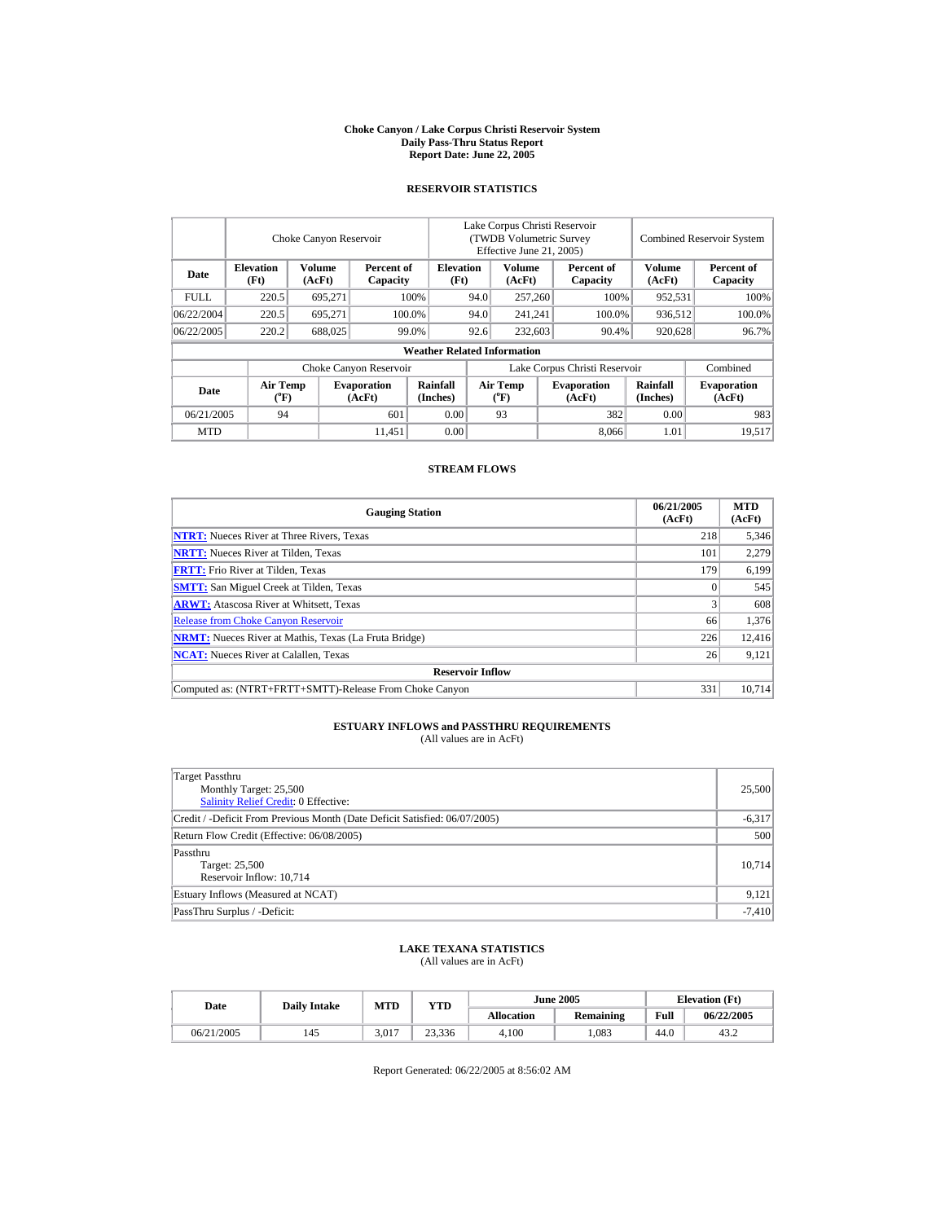#### **Choke Canyon / Lake Corpus Christi Reservoir System Daily Pass-Thru Status Report Report Date: June 22, 2005**

## **RESERVOIR STATISTICS**

|             |                                    | Choke Canyon Reservoir |                              |                                    | Lake Corpus Christi Reservoir<br>(TWDB Volumetric Survey)<br>Effective June 21, 2005) |                                    |         |                              |                         | <b>Combined Reservoir System</b> |
|-------------|------------------------------------|------------------------|------------------------------|------------------------------------|---------------------------------------------------------------------------------------|------------------------------------|---------|------------------------------|-------------------------|----------------------------------|
| Date        | <b>Elevation</b><br>(Ft)           | Volume<br>(AcFt)       | Percent of<br>Capacity       | <b>Elevation</b><br>(Ft)           |                                                                                       | Volume<br>(AcFt)                   |         | Percent of<br>Capacity       | <b>Volume</b><br>(AcFt) | Percent of<br>Capacity           |
| <b>FULL</b> | 220.5                              | 695.271                |                              | 100%<br>94.0                       |                                                                                       | 257,260                            |         | 100%                         | 952.531                 | 100%                             |
| 06/22/2004  | 220.5                              | 695.271                |                              | 100.0%                             | 94.0                                                                                  |                                    | 241.241 | 100.0%                       | 936.512                 | 100.0%                           |
| 06/22/2005  | 220.2                              | 688,025                |                              | 99.0%                              | 92.6                                                                                  | 232,603                            | 90.4%   |                              | 920,628                 | 96.7%                            |
|             |                                    |                        |                              | <b>Weather Related Information</b> |                                                                                       |                                    |         |                              |                         |                                  |
|             |                                    |                        | Choke Canyon Reservoir       |                                    | Lake Corpus Christi Reservoir                                                         |                                    |         |                              |                         | Combined                         |
| Date        | <b>Air Temp</b><br>$({}^{\circ}F)$ |                        | <b>Evaporation</b><br>(AcFt) | Rainfall<br>(Inches)               |                                                                                       | Air Temp<br>$({}^{\circ}\text{F})$ |         | <b>Evaporation</b><br>(AcFt) | Rainfall<br>(Inches)    | <b>Evaporation</b><br>(AcFt)     |
| 06/21/2005  | 94                                 |                        | 601                          | 0.00                               |                                                                                       | 93                                 |         | 382                          | 0.00                    | 983                              |
| <b>MTD</b>  |                                    |                        | 11.451                       | 0.00                               |                                                                                       |                                    |         | 8.066                        | 1.01                    | 19,517                           |

### **STREAM FLOWS**

| <b>Gauging Station</b>                                       | 06/21/2005<br>(AcFt) | <b>MTD</b><br>(AcFt) |
|--------------------------------------------------------------|----------------------|----------------------|
| <b>NTRT:</b> Nueces River at Three Rivers, Texas             | 218                  | 5,346                |
| <b>NRTT:</b> Nueces River at Tilden, Texas                   | 101                  | 2.279                |
| <b>FRTT:</b> Frio River at Tilden, Texas                     | 179                  | 6,199                |
| <b>SMTT:</b> San Miguel Creek at Tilden, Texas               |                      | 545                  |
| <b>ARWT:</b> Atascosa River at Whitsett, Texas               |                      | 608                  |
| <b>Release from Choke Canyon Reservoir</b>                   | 66                   | 1.376                |
| <b>NRMT:</b> Nueces River at Mathis, Texas (La Fruta Bridge) | 226                  | 12,416               |
| <b>NCAT:</b> Nueces River at Calallen. Texas                 | 26                   | 9,121                |
| <b>Reservoir Inflow</b>                                      |                      |                      |
| Computed as: (NTRT+FRTT+SMTT)-Release From Choke Canyon      | 331                  | 10.714               |

# **ESTUARY INFLOWS and PASSTHRU REQUIREMENTS**<br>(All values are in AcFt)

| Target Passthru<br>Monthly Target: 25,500<br><b>Salinity Relief Credit: 0 Effective:</b> | 25,500   |
|------------------------------------------------------------------------------------------|----------|
| Credit / -Deficit From Previous Month (Date Deficit Satisfied: 06/07/2005)               | $-6,317$ |
| Return Flow Credit (Effective: 06/08/2005)                                               | 500      |
| Passthru<br>Target: 25,500<br>Reservoir Inflow: 10,714                                   | 10.714   |
| Estuary Inflows (Measured at NCAT)                                                       | 9,121    |
| PassThru Surplus / -Deficit:                                                             | $-7,410$ |

## **LAKE TEXANA STATISTICS** (All values are in AcFt)

| Date       | <b>Daily Intake</b> | <b>MTD</b> | <b>YTD</b> |            | <b>June 2005</b> | <b>Elevation</b> (Ft) |            |
|------------|---------------------|------------|------------|------------|------------------|-----------------------|------------|
|            |                     |            |            | Allocation | <b>Remaining</b> | Full                  | 06/22/2005 |
| 06/21/2005 | 145                 | 3.017      | 23.336     | 4.100      | .083             | 44.0                  | 43.2       |

Report Generated: 06/22/2005 at 8:56:02 AM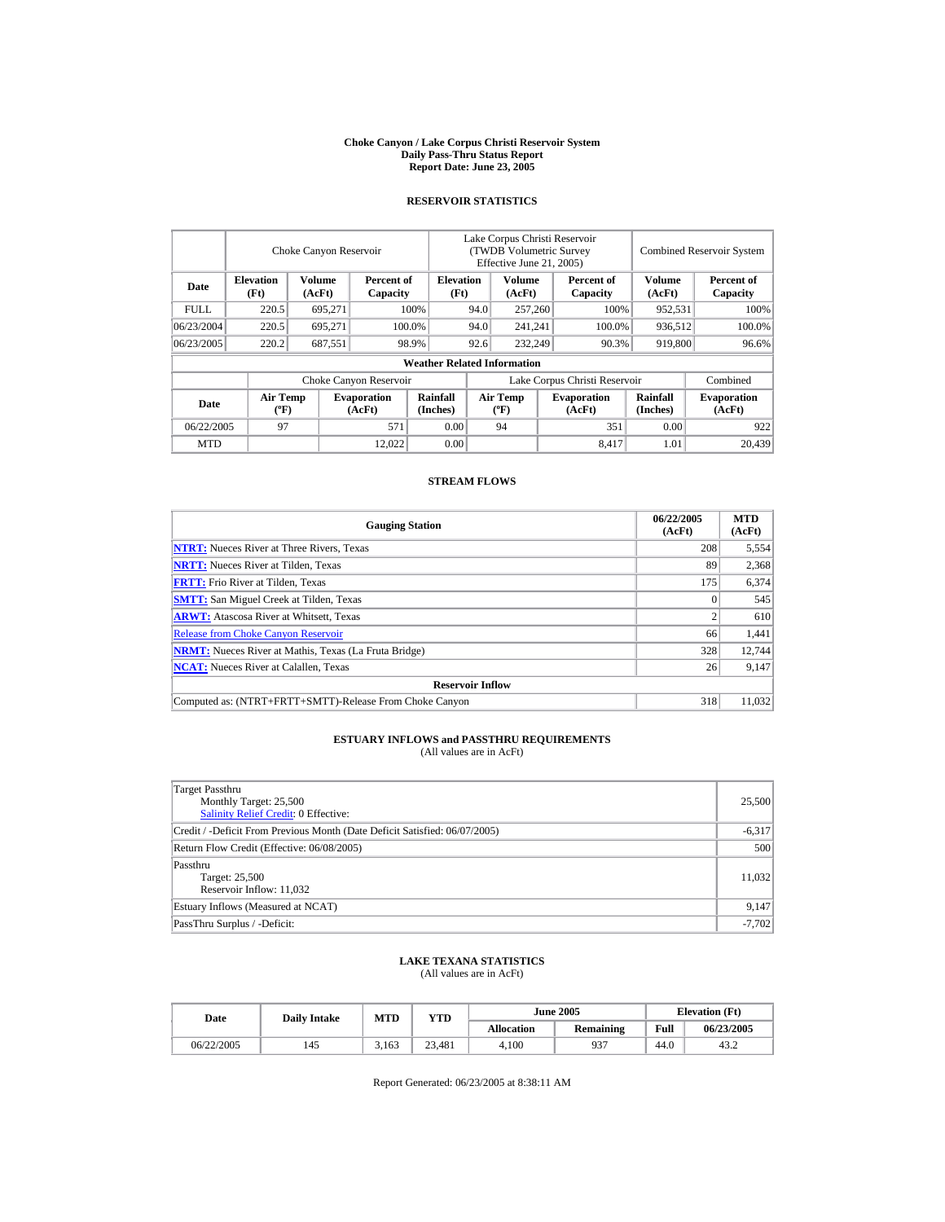#### **Choke Canyon / Lake Corpus Christi Reservoir System Daily Pass-Thru Status Report Report Date: June 23, 2005**

### **RESERVOIR STATISTICS**

|             |                                             | Choke Canyon Reservoir |                              |                                    | Lake Corpus Christi Reservoir<br>(TWDB Volumetric Survey<br>Effective June 21, 2005) |                                  |  |                              |                             | <b>Combined Reservoir System</b> |
|-------------|---------------------------------------------|------------------------|------------------------------|------------------------------------|--------------------------------------------------------------------------------------|----------------------------------|--|------------------------------|-----------------------------|----------------------------------|
| Date        | <b>Elevation</b><br>(Ft)                    | Volume<br>(AcFt)       | Percent of<br>Capacity       | <b>Elevation</b><br>(Ft)           |                                                                                      | Volume<br>(AcFt)                 |  | Percent of<br>Capacity       | <b>Volume</b><br>(AcFt)     | Percent of<br>Capacity           |
| <b>FULL</b> | 220.5                                       | 695,271                |                              | 100%                               | 257,260<br>94.0                                                                      |                                  |  | 100%                         | 952,531                     | 100%                             |
| 06/23/2004  | 220.5                                       | 695.271                |                              | 100.0%                             | 94.0                                                                                 | 241,241                          |  | 100.0%                       | 936,512                     | 100.0%                           |
| 06/23/2005  | 220.2                                       | 687,551                |                              | 98.9%                              | 92.6                                                                                 | 232,249                          |  | 90.3%                        | 919,800                     | 96.6%                            |
|             |                                             |                        |                              | <b>Weather Related Information</b> |                                                                                      |                                  |  |                              |                             |                                  |
|             |                                             |                        | Choke Canyon Reservoir       |                                    | Lake Corpus Christi Reservoir                                                        |                                  |  |                              |                             | Combined                         |
| Date        | <b>Air Temp</b><br>$({}^{\circ}\mathrm{F})$ |                        | <b>Evaporation</b><br>(AcFt) | <b>Rainfall</b><br>(Inches)        |                                                                                      | <b>Air Temp</b><br>$(^{\circ}F)$ |  | <b>Evaporation</b><br>(AcFt) | <b>Rainfall</b><br>(Inches) | <b>Evaporation</b><br>(AcFt)     |
| 06/22/2005  | 97                                          |                        | 571                          | 0.00                               |                                                                                      | 94                               |  | 351                          | 0.00                        | 922                              |
| <b>MTD</b>  |                                             |                        | 12.022                       | 0.00                               |                                                                                      |                                  |  | 8.417                        | 1.01                        | 20.439                           |

### **STREAM FLOWS**

| <b>Gauging Station</b>                                       | 06/22/2005<br>(AcFt) | <b>MTD</b><br>(AcFt) |
|--------------------------------------------------------------|----------------------|----------------------|
| <b>NTRT:</b> Nueces River at Three Rivers, Texas             | 208                  | 5,554                |
| <b>NRTT:</b> Nueces River at Tilden, Texas                   | 89                   | 2,368                |
| <b>FRTT:</b> Frio River at Tilden, Texas                     | 175                  | 6,374                |
| <b>SMTT:</b> San Miguel Creek at Tilden, Texas               |                      | 545                  |
| <b>ARWT:</b> Atascosa River at Whitsett, Texas               |                      | 610                  |
| <b>Release from Choke Canyon Reservoir</b>                   | 66                   | 1,441                |
| <b>NRMT:</b> Nueces River at Mathis, Texas (La Fruta Bridge) | 328                  | 12,744               |
| <b>NCAT:</b> Nueces River at Calallen. Texas                 | 26                   | 9,147                |
| <b>Reservoir Inflow</b>                                      |                      |                      |
| Computed as: (NTRT+FRTT+SMTT)-Release From Choke Canyon      | 318                  | 11.032               |

# **ESTUARY INFLOWS and PASSTHRU REQUIREMENTS**<br>(All values are in AcFt)

| Target Passthru<br>Monthly Target: 25,500<br>Salinity Relief Credit: 0 Effective: | 25,500   |
|-----------------------------------------------------------------------------------|----------|
| Credit / -Deficit From Previous Month (Date Deficit Satisfied: 06/07/2005)        | $-6,317$ |
| Return Flow Credit (Effective: 06/08/2005)                                        | 500      |
| Passthru<br>Target: 25,500<br>Reservoir Inflow: 11,032                            | 11,032   |
| Estuary Inflows (Measured at NCAT)                                                | 9,147    |
| PassThru Surplus / -Deficit:                                                      | $-7,702$ |

## **LAKE TEXANA STATISTICS**

(All values are in AcFt)

| Date       | <b>Daily Intake</b> | <b>MTD</b> | YTD    |                   | <b>June 2005</b> | <b>Elevation</b> (Ft) |            |
|------------|---------------------|------------|--------|-------------------|------------------|-----------------------|------------|
|            |                     |            |        | <b>Allocation</b> | <b>Remaining</b> | Full                  | 06/23/2005 |
| 06/22/2005 | 145                 | 3.163      | 23.481 | 4.100             | 937              | 44.0                  | 43.2       |

Report Generated: 06/23/2005 at 8:38:11 AM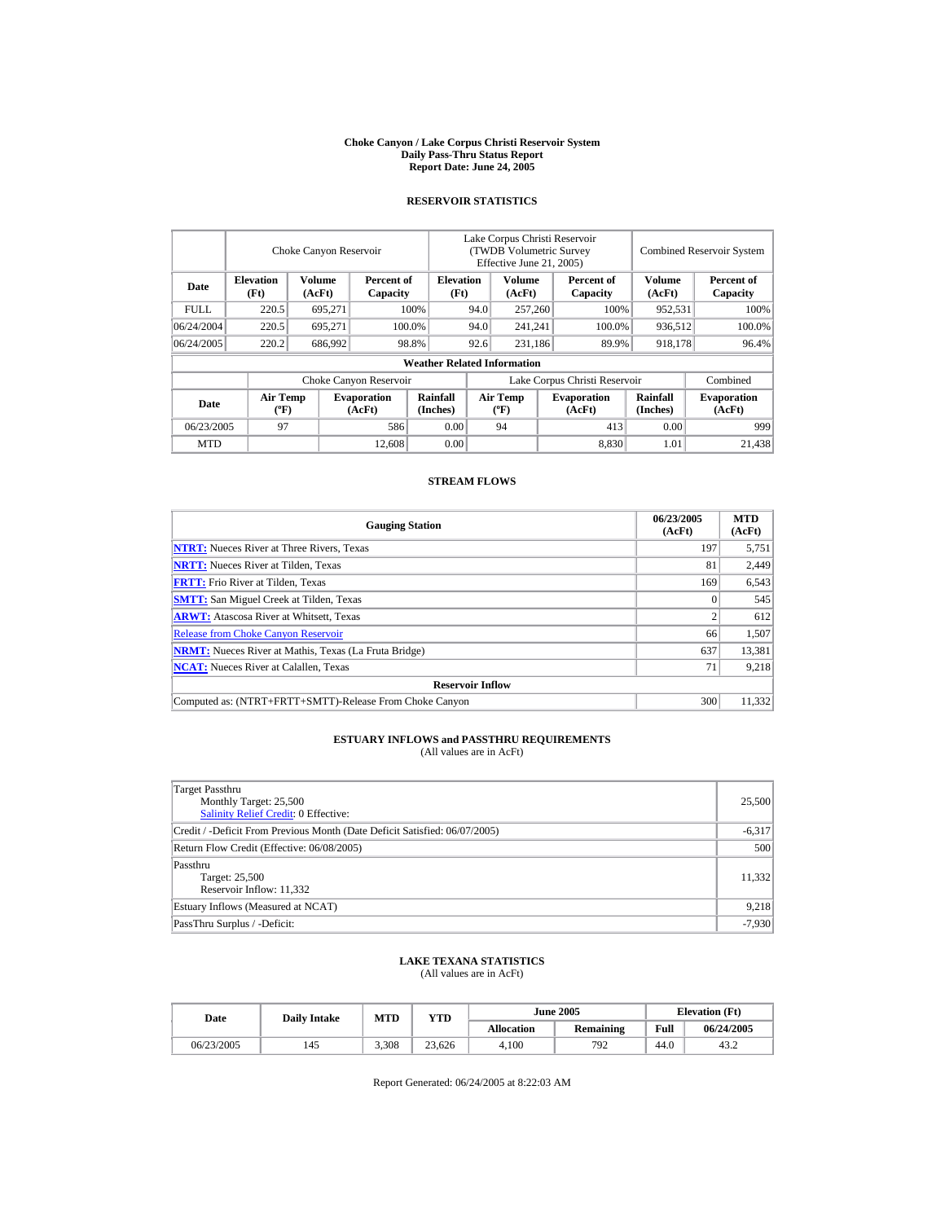#### **Choke Canyon / Lake Corpus Christi Reservoir System Daily Pass-Thru Status Report Report Date: June 24, 2005**

### **RESERVOIR STATISTICS**

|            | Choke Canyon Reservoir                      |                  |                              |                                    | Lake Corpus Christi Reservoir<br>(TWDB Volumetric Survey<br>Effective June 21, 2005) |                                  |  |                              | <b>Combined Reservoir System</b> |                              |  |
|------------|---------------------------------------------|------------------|------------------------------|------------------------------------|--------------------------------------------------------------------------------------|----------------------------------|--|------------------------------|----------------------------------|------------------------------|--|
| Date       | <b>Elevation</b><br>(Ft)                    | Volume<br>(AcFt) | Percent of<br>Capacity       |                                    | <b>Elevation</b><br>(Ft)                                                             | Volume<br>(AcFt)                 |  | Percent of<br>Capacity       | Volume<br>(AcFt)                 | Percent of<br>Capacity       |  |
| FULL.      | 220.5                                       | 695,271          |                              | 100%                               | 94.0                                                                                 | 257,260                          |  | 100%                         | 952,531                          | 100%                         |  |
| 06/24/2004 | 220.5                                       | 695.271          |                              | 100.0%                             | 94.0                                                                                 | 241,241                          |  | 100.0%                       | 936,512                          | 100.0%                       |  |
| 06/24/2005 | 220.2                                       | 686,992          |                              | 98.8%                              | 92.6                                                                                 | 231,186                          |  | 89.9%                        | 918,178                          | 96.4%                        |  |
|            |                                             |                  |                              | <b>Weather Related Information</b> |                                                                                      |                                  |  |                              |                                  |                              |  |
|            |                                             |                  | Choke Canyon Reservoir       |                                    | Lake Corpus Christi Reservoir                                                        |                                  |  |                              |                                  | Combined                     |  |
| Date       | <b>Air Temp</b><br>$({}^{\circ}\mathrm{F})$ |                  | <b>Evaporation</b><br>(AcFt) | Rainfall<br>(Inches)               |                                                                                      | <b>Air Temp</b><br>$(^{\circ}F)$ |  | <b>Evaporation</b><br>(AcFt) | <b>Rainfall</b><br>(Inches)      | <b>Evaporation</b><br>(AcFt) |  |
| 06/23/2005 | 97                                          |                  | 586                          | 0.00                               |                                                                                      | 94                               |  | 413                          | 0.00                             | 999                          |  |
| <b>MTD</b> |                                             |                  | 12,608                       | 0.00                               |                                                                                      |                                  |  | 8,830                        | 1.01                             | 21.438                       |  |

### **STREAM FLOWS**

| <b>Gauging Station</b>                                       | 06/23/2005<br>(AcFt) | <b>MTD</b><br>(AcFt) |
|--------------------------------------------------------------|----------------------|----------------------|
| <b>NTRT:</b> Nueces River at Three Rivers, Texas             | 197                  | 5,751                |
| <b>NRTT:</b> Nueces River at Tilden, Texas                   | 81                   | 2,449                |
| <b>FRTT:</b> Frio River at Tilden, Texas                     | 169                  | 6,543                |
| <b>SMTT:</b> San Miguel Creek at Tilden, Texas               |                      | 545                  |
| <b>ARWT:</b> Atascosa River at Whitsett, Texas               | ◠                    | 612                  |
| <b>Release from Choke Canyon Reservoir</b>                   | 66                   | 1,507                |
| <b>NRMT:</b> Nueces River at Mathis, Texas (La Fruta Bridge) | 637                  | 13,381               |
| <b>NCAT:</b> Nueces River at Calallen, Texas                 | 71                   | 9,218                |
| <b>Reservoir Inflow</b>                                      |                      |                      |
| Computed as: (NTRT+FRTT+SMTT)-Release From Choke Canyon      | 300                  | 11.332               |

# **ESTUARY INFLOWS and PASSTHRU REQUIREMENTS**<br>(All values are in AcFt)

| Target Passthru<br>Monthly Target: 25,500<br><b>Salinity Relief Credit: 0 Effective:</b> | 25,500   |
|------------------------------------------------------------------------------------------|----------|
| Credit / -Deficit From Previous Month (Date Deficit Satisfied: 06/07/2005)               | $-6,317$ |
| Return Flow Credit (Effective: 06/08/2005)                                               | 500      |
| Passthru<br>Target: 25,500<br>Reservoir Inflow: 11,332                                   | 11,332   |
| Estuary Inflows (Measured at NCAT)                                                       | 9,218    |
| PassThru Surplus / -Deficit:                                                             | $-7,930$ |

## **LAKE TEXANA STATISTICS**

(All values are in AcFt)

| Date       | <b>Daily Intake</b> | <b>MTD</b> | YTD    |                   | <b>June 2005</b> | <b>Elevation</b> (Ft) |            |
|------------|---------------------|------------|--------|-------------------|------------------|-----------------------|------------|
|            |                     |            |        | <b>Allocation</b> | Remaining        | Full                  | 06/24/2005 |
| 06/23/2005 | 145                 | 3.308      | 23.626 | 4.100             | 792              | 44.0                  | 43.2       |

Report Generated: 06/24/2005 at 8:22:03 AM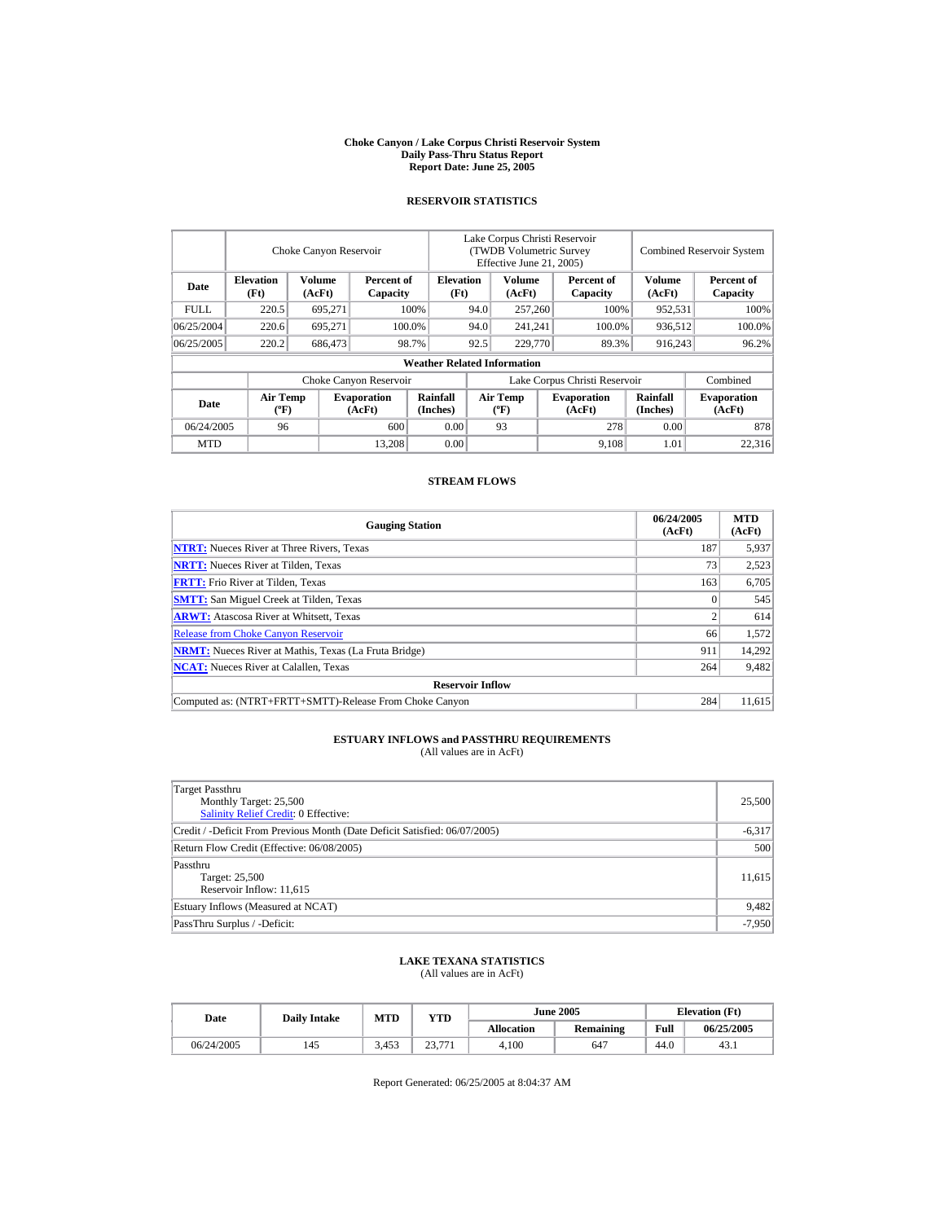#### **Choke Canyon / Lake Corpus Christi Reservoir System Daily Pass-Thru Status Report Report Date: June 25, 2005**

### **RESERVOIR STATISTICS**

|             |                                             | Choke Canyon Reservoir |                              |                                    | Lake Corpus Christi Reservoir<br><b>(TWDB Volumetric Survey)</b><br>Effective June 21, 2005) |                                                                  |  |                             | <b>Combined Reservoir System</b> |                        |
|-------------|---------------------------------------------|------------------------|------------------------------|------------------------------------|----------------------------------------------------------------------------------------------|------------------------------------------------------------------|--|-----------------------------|----------------------------------|------------------------|
| Date        | <b>Elevation</b><br>(Ft)                    | Volume<br>(AcFt)       | Percent of<br>Capacity       | <b>Elevation</b><br>(Ft)           |                                                                                              | Volume<br>(AcFt)                                                 |  | Percent of<br>Capacity      | <b>Volume</b><br>(AcFt)          | Percent of<br>Capacity |
| <b>FULL</b> | 220.5                                       | 695,271                |                              | 100%                               | 94.0                                                                                         | 257,260                                                          |  | 100%                        | 952,531                          | 100%                   |
| 06/25/2004  | 220.6                                       | 695.271                |                              | 100.0%                             | 94.0                                                                                         | 241,241                                                          |  | 100.0%                      | 936,512                          | 100.0%                 |
| 06/25/2005  | 220.2                                       | 686,473                |                              | 98.7%                              | 92.5                                                                                         | 229,770                                                          |  | 89.3%                       | 916,243                          | 96.2%                  |
|             |                                             |                        |                              | <b>Weather Related Information</b> |                                                                                              |                                                                  |  |                             |                                  |                        |
|             |                                             |                        | Choke Canyon Reservoir       |                                    | Lake Corpus Christi Reservoir                                                                |                                                                  |  |                             |                                  | Combined               |
| Date        | <b>Air Temp</b><br>$({}^{\circ}\mathrm{F})$ |                        | <b>Evaporation</b><br>(AcFt) | Rainfall<br>(Inches)               |                                                                                              | <b>Air Temp</b><br><b>Evaporation</b><br>$(^{\circ}F)$<br>(AcFt) |  | <b>Rainfall</b><br>(Inches) | <b>Evaporation</b><br>(AcFt)     |                        |
| 06/24/2005  | 96                                          |                        | 600                          | 0.00                               |                                                                                              | 93                                                               |  | 278                         | 0.00                             | 878                    |
| <b>MTD</b>  |                                             |                        | 13.208                       | 0.00                               |                                                                                              |                                                                  |  | 9,108                       | 1.01                             | 22,316                 |

#### **STREAM FLOWS**

| <b>Gauging Station</b>                                       | 06/24/2005<br>(AcFt) | <b>MTD</b><br>(AcFt) |
|--------------------------------------------------------------|----------------------|----------------------|
| <b>NTRT:</b> Nueces River at Three Rivers, Texas             | 187                  | 5,937                |
| <b>NRTT:</b> Nueces River at Tilden, Texas                   | 73                   | 2,523                |
| <b>FRTT:</b> Frio River at Tilden, Texas                     | 163                  | 6,705                |
| <b>SMTT:</b> San Miguel Creek at Tilden, Texas               |                      | 545                  |
| <b>ARWT:</b> Atascosa River at Whitsett, Texas               |                      | 614                  |
| <b>Release from Choke Canyon Reservoir</b>                   | 66                   | 1.572                |
| <b>NRMT:</b> Nueces River at Mathis, Texas (La Fruta Bridge) | 911                  | 14,292               |
| <b>NCAT:</b> Nueces River at Calallen. Texas                 | 264                  | 9,482                |
| <b>Reservoir Inflow</b>                                      |                      |                      |
| Computed as: (NTRT+FRTT+SMTT)-Release From Choke Canyon      | 284                  | 11.615               |

# **ESTUARY INFLOWS and PASSTHRU REQUIREMENTS**<br>(All values are in AcFt)

| Target Passthru<br>Monthly Target: 25,500<br>Salinity Relief Credit: 0 Effective: | 25,500   |
|-----------------------------------------------------------------------------------|----------|
| Credit / -Deficit From Previous Month (Date Deficit Satisfied: 06/07/2005)        | $-6,317$ |
| Return Flow Credit (Effective: 06/08/2005)                                        | 500      |
| Passthru<br>Target: 25,500<br>Reservoir Inflow: 11,615                            | 11,615   |
| Estuary Inflows (Measured at NCAT)                                                | 9,482    |
| PassThru Surplus / -Deficit:                                                      | $-7,950$ |

## **LAKE TEXANA STATISTICS**

(All values are in AcFt)

| Date       |  | <b>Daily Intake</b> | MTD   | YTD    |                   | <b>June 2005</b> | <b>Elevation</b> (Ft) |            |
|------------|--|---------------------|-------|--------|-------------------|------------------|-----------------------|------------|
|            |  |                     |       |        | <b>Allocation</b> | Remaining        | Full                  | 06/25/2005 |
| 06/24/2005 |  | 145                 | 3.453 | 23.771 | 4.100             | 647              | 44.0                  | 43.1       |

Report Generated: 06/25/2005 at 8:04:37 AM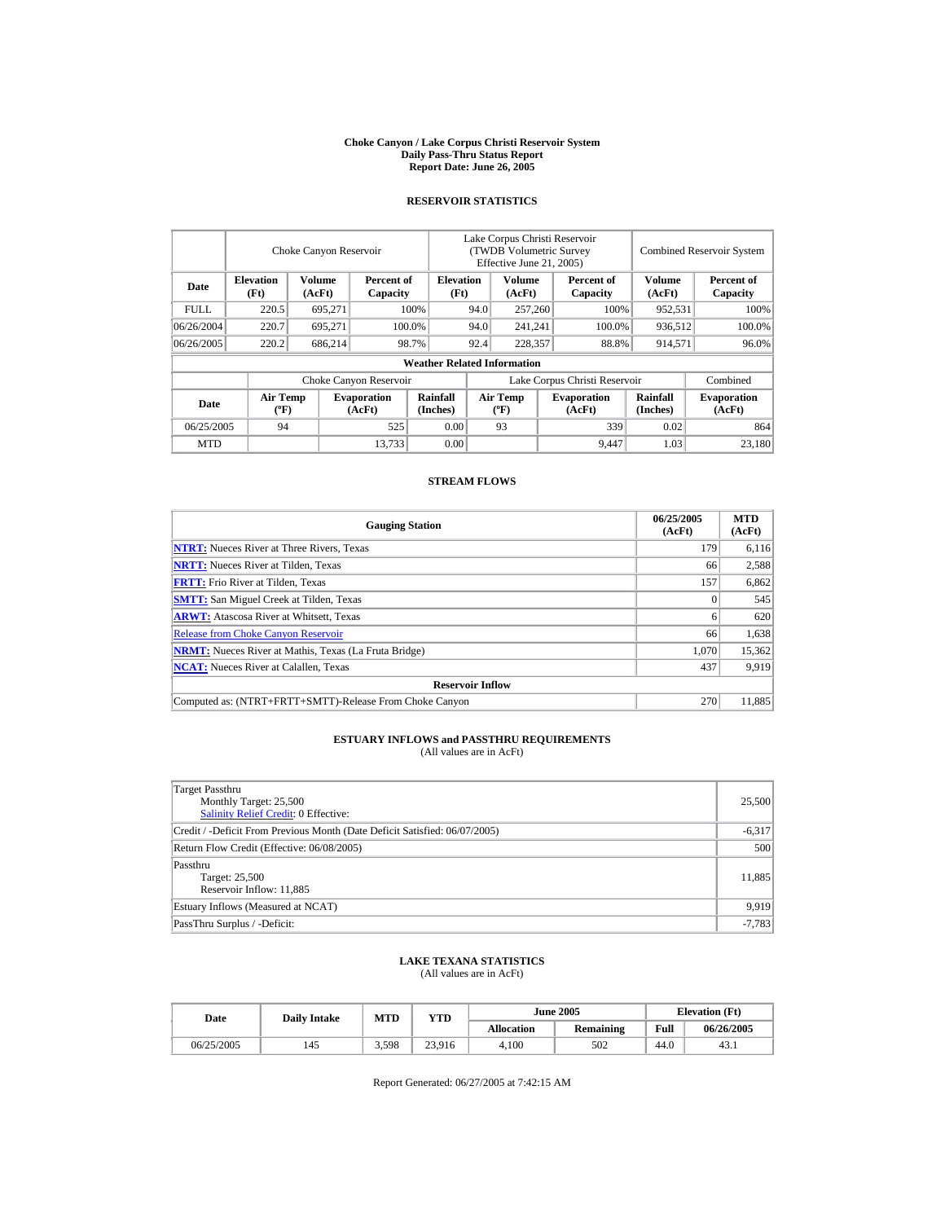#### **Choke Canyon / Lake Corpus Christi Reservoir System Daily Pass-Thru Status Report Report Date: June 26, 2005**

### **RESERVOIR STATISTICS**

|            |                                             | Choke Canyon Reservoir |                              |                                    | Lake Corpus Christi Reservoir<br>(TWDB Volumetric Survey<br>Effective June 21, 2005) |                                  |                              |                        |                             | <b>Combined Reservoir System</b> |
|------------|---------------------------------------------|------------------------|------------------------------|------------------------------------|--------------------------------------------------------------------------------------|----------------------------------|------------------------------|------------------------|-----------------------------|----------------------------------|
| Date       | <b>Elevation</b><br>(Ft)                    | Volume<br>(AcFt)       | Percent of<br>Capacity       | <b>Elevation</b><br>(Ft)           |                                                                                      | Volume<br>(AcFt)                 |                              | Percent of<br>Capacity | Volume<br>(AcFt)            | Percent of<br>Capacity           |
| FULL.      | 220.5                                       | 695,271                |                              | 100%                               | 94.0                                                                                 | 257,260                          |                              | 100%                   | 952,531                     | 100%                             |
| 06/26/2004 | 220.7                                       | 695.271                |                              | 100.0%                             | 94.0                                                                                 | 241,241                          |                              | 100.0%                 | 936,512                     | 100.0%                           |
| 06/26/2005 | 220.2                                       | 686.214                |                              | 98.7%                              | 92.4                                                                                 | 228,357                          | 88.8%                        |                        | 914,571                     | 96.0%                            |
|            |                                             |                        |                              | <b>Weather Related Information</b> |                                                                                      |                                  |                              |                        |                             |                                  |
|            |                                             |                        | Choke Canyon Reservoir       |                                    | Lake Corpus Christi Reservoir                                                        |                                  |                              |                        |                             | Combined                         |
| Date       | <b>Air Temp</b><br>$({}^{\circ}\mathrm{F})$ |                        | <b>Evaporation</b><br>(AcFt) | Rainfall<br>(Inches)               |                                                                                      | <b>Air Temp</b><br>$(^{\circ}F)$ | <b>Evaporation</b><br>(AcFt) |                        | <b>Rainfall</b><br>(Inches) | <b>Evaporation</b><br>(AcFt)     |
| 06/25/2005 | 94                                          |                        | 525                          | 0.00                               |                                                                                      | 93                               |                              | 339                    | 0.02                        | 864                              |
| <b>MTD</b> |                                             |                        | 13.733                       | 0.00                               |                                                                                      |                                  |                              | 9,447                  | 1.03                        | 23.180                           |

### **STREAM FLOWS**

| <b>Gauging Station</b>                                       | 06/25/2005<br>(AcFt) | <b>MTD</b><br>(AcFt) |
|--------------------------------------------------------------|----------------------|----------------------|
| <b>NTRT:</b> Nueces River at Three Rivers, Texas             | 179                  | 6.116                |
| <b>NRTT:</b> Nueces River at Tilden, Texas                   | 66                   | 2,588                |
| <b>FRTT:</b> Frio River at Tilden, Texas                     | 157                  | 6,862                |
| <b>SMTT:</b> San Miguel Creek at Tilden, Texas               |                      | 545                  |
| <b>ARWT:</b> Atascosa River at Whitsett, Texas               |                      | 620                  |
| <b>Release from Choke Canyon Reservoir</b>                   | 66                   | 1,638                |
| <b>NRMT:</b> Nueces River at Mathis, Texas (La Fruta Bridge) | 1.070                | 15,362               |
| <b>NCAT:</b> Nueces River at Calallen, Texas                 | 437                  | 9,919                |
| <b>Reservoir Inflow</b>                                      |                      |                      |
| Computed as: (NTRT+FRTT+SMTT)-Release From Choke Canyon      | 270                  | 11.885               |

# **ESTUARY INFLOWS and PASSTHRU REQUIREMENTS**<br>(All values are in AcFt)

| Target Passthru<br>Monthly Target: 25,500<br>Salinity Relief Credit: 0 Effective: | 25,500   |
|-----------------------------------------------------------------------------------|----------|
| Credit / -Deficit From Previous Month (Date Deficit Satisfied: 06/07/2005)        | $-6,317$ |
| Return Flow Credit (Effective: 06/08/2005)                                        | 500      |
| Passthru<br>Target: 25,500<br>Reservoir Inflow: 11,885                            | 11,885   |
| Estuary Inflows (Measured at NCAT)                                                | 9.919    |
| PassThru Surplus / -Deficit:                                                      | $-7,783$ |

## **LAKE TEXANA STATISTICS**

(All values are in AcFt)

| Date       | <b>Daily Intake</b> | MTD   | YTD    |                   | <b>June 2005</b> | <b>Elevation</b> (Ft) |            |
|------------|---------------------|-------|--------|-------------------|------------------|-----------------------|------------|
|            |                     |       |        | <b>Allocation</b> | Remaining        | Full                  | 06/26/2005 |
| 06/25/2005 | 145                 | 3.598 | 23,916 | 4.100             | 502              | 44.0                  | 43.1       |

Report Generated: 06/27/2005 at 7:42:15 AM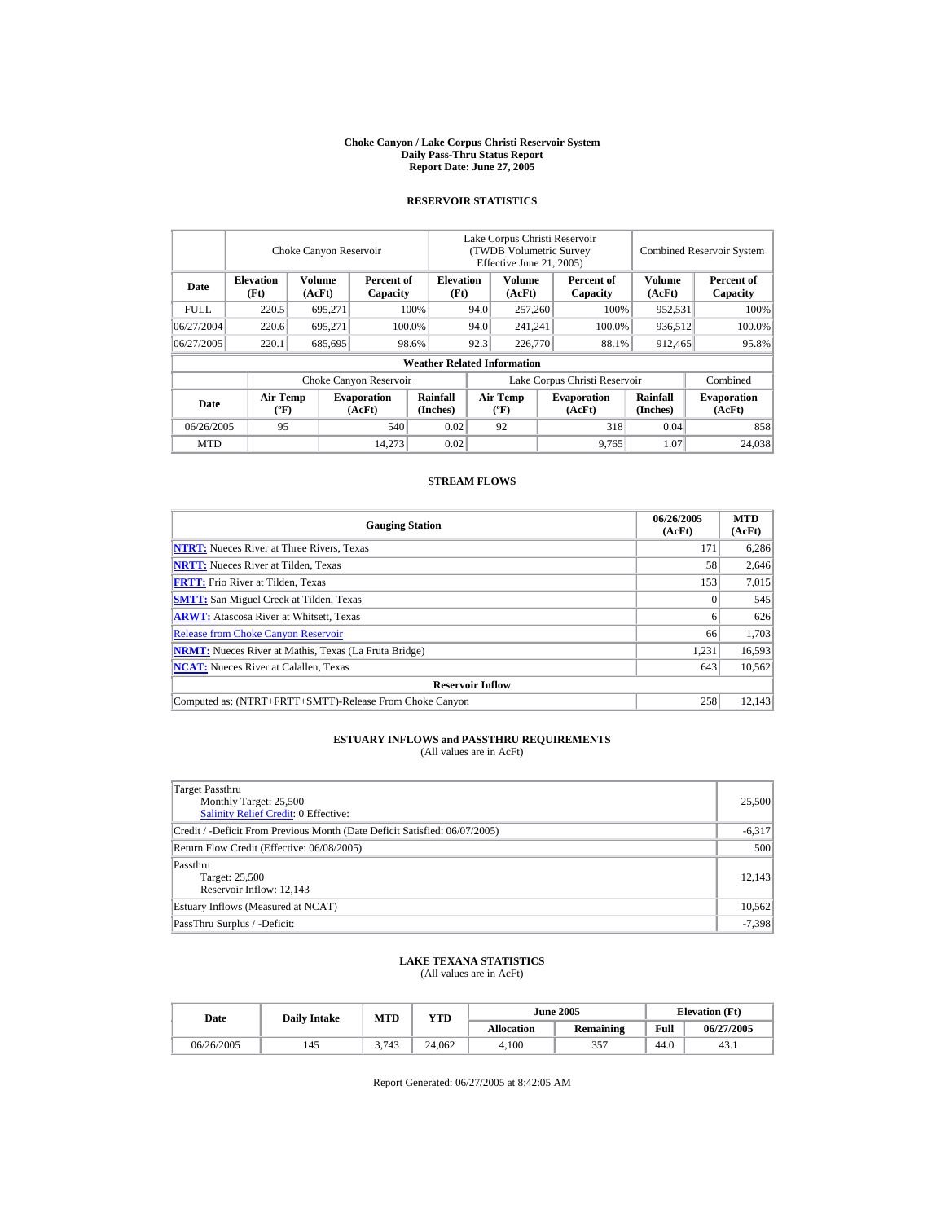#### **Choke Canyon / Lake Corpus Christi Reservoir System Daily Pass-Thru Status Report Report Date: June 27, 2005**

### **RESERVOIR STATISTICS**

|             |                                             | Choke Canyon Reservoir |                              |                                    | Lake Corpus Christi Reservoir<br><b>(TWDB Volumetric Survey)</b><br>Effective June 21, 2005) |                                                                  |      |                             | <b>Combined Reservoir System</b> |                        |
|-------------|---------------------------------------------|------------------------|------------------------------|------------------------------------|----------------------------------------------------------------------------------------------|------------------------------------------------------------------|------|-----------------------------|----------------------------------|------------------------|
| Date        | <b>Elevation</b><br>(Ft)                    | Volume<br>(AcFt)       | Percent of<br>Capacity       | <b>Elevation</b><br>(Ft)           |                                                                                              | Volume<br>(AcFt)                                                 |      | Percent of<br>Capacity      | <b>Volume</b><br>(AcFt)          | Percent of<br>Capacity |
| <b>FULL</b> | 220.5                                       | 695,271                |                              | 100%                               | 257,260<br>94.0                                                                              |                                                                  | 100% | 952,531                     | 100%                             |                        |
| 06/27/2004  | 220.6                                       | 695.271                |                              | 100.0%                             | 94.0                                                                                         | 241,241                                                          |      | 100.0%                      | 936,512                          | 100.0%                 |
| 06/27/2005  | 220.1                                       | 685,695                |                              | 98.6%                              | 92.3                                                                                         | 226,770                                                          |      | 88.1%                       | 912,465                          | 95.8%                  |
|             |                                             |                        |                              | <b>Weather Related Information</b> |                                                                                              |                                                                  |      |                             |                                  |                        |
|             |                                             |                        | Choke Canyon Reservoir       |                                    | Lake Corpus Christi Reservoir                                                                |                                                                  |      |                             |                                  | Combined               |
| Date        | <b>Air Temp</b><br>$({}^{\circ}\mathrm{F})$ |                        | <b>Evaporation</b><br>(AcFt) | Rainfall<br>(Inches)               |                                                                                              | <b>Air Temp</b><br><b>Evaporation</b><br>$(^{\circ}F)$<br>(AcFt) |      | <b>Rainfall</b><br>(Inches) | <b>Evaporation</b><br>(AcFt)     |                        |
| 06/26/2005  | 95                                          |                        | 540                          | 0.02                               |                                                                                              | 92                                                               |      | 318                         | 0.04                             | 858                    |
| <b>MTD</b>  |                                             |                        | 14.273                       | 0.02                               |                                                                                              |                                                                  |      | 9,765                       | 1.07                             | 24,038                 |

#### **STREAM FLOWS**

| <b>Gauging Station</b>                                       | 06/26/2005<br>(AcFt) | <b>MTD</b><br>(AcFt) |
|--------------------------------------------------------------|----------------------|----------------------|
| <b>NTRT:</b> Nueces River at Three Rivers, Texas             | 171                  | 6.286                |
| <b>NRTT:</b> Nueces River at Tilden, Texas                   | 58                   | 2,646                |
| <b>FRTT:</b> Frio River at Tilden, Texas                     | 153                  | 7,015                |
| <b>SMTT:</b> San Miguel Creek at Tilden, Texas               | $\Omega$             | 545                  |
| <b>ARWT:</b> Atascosa River at Whitsett, Texas               |                      | 626                  |
| <b>Release from Choke Canyon Reservoir</b>                   | 66                   | 1.703                |
| <b>NRMT:</b> Nueces River at Mathis, Texas (La Fruta Bridge) | 1,231                | 16,593               |
| <b>NCAT:</b> Nueces River at Calallen, Texas                 | 643                  | 10,562               |
| <b>Reservoir Inflow</b>                                      |                      |                      |
| Computed as: (NTRT+FRTT+SMTT)-Release From Choke Canyon      | 258                  | 12.143               |

# **ESTUARY INFLOWS and PASSTHRU REQUIREMENTS**<br>(All values are in AcFt)

| Target Passthru<br>Monthly Target: 25,500<br><b>Salinity Relief Credit: 0 Effective:</b> | 25,500   |
|------------------------------------------------------------------------------------------|----------|
| Credit / -Deficit From Previous Month (Date Deficit Satisfied: 06/07/2005)               | $-6,317$ |
| Return Flow Credit (Effective: 06/08/2005)                                               | 500      |
| Passthru<br>Target: 25,500<br>Reservoir Inflow: 12,143                                   | 12,143   |
| Estuary Inflows (Measured at NCAT)                                                       | 10,562   |
| PassThru Surplus / -Deficit:                                                             | $-7,398$ |

## **LAKE TEXANA STATISTICS**

(All values are in AcFt)

| Date       | <b>Daily Intake</b> | <b>MTD</b> | YTD    |                   | <b>June 2005</b> | <b>Elevation</b> (Ft) |            |
|------------|---------------------|------------|--------|-------------------|------------------|-----------------------|------------|
|            |                     |            |        | <b>Allocation</b> | Remaining        | Full                  | 06/27/2005 |
| 06/26/2005 | 145                 | 3.743      | 24.062 | 4.100             | 357              | 44.0                  | 43.1       |

Report Generated: 06/27/2005 at 8:42:05 AM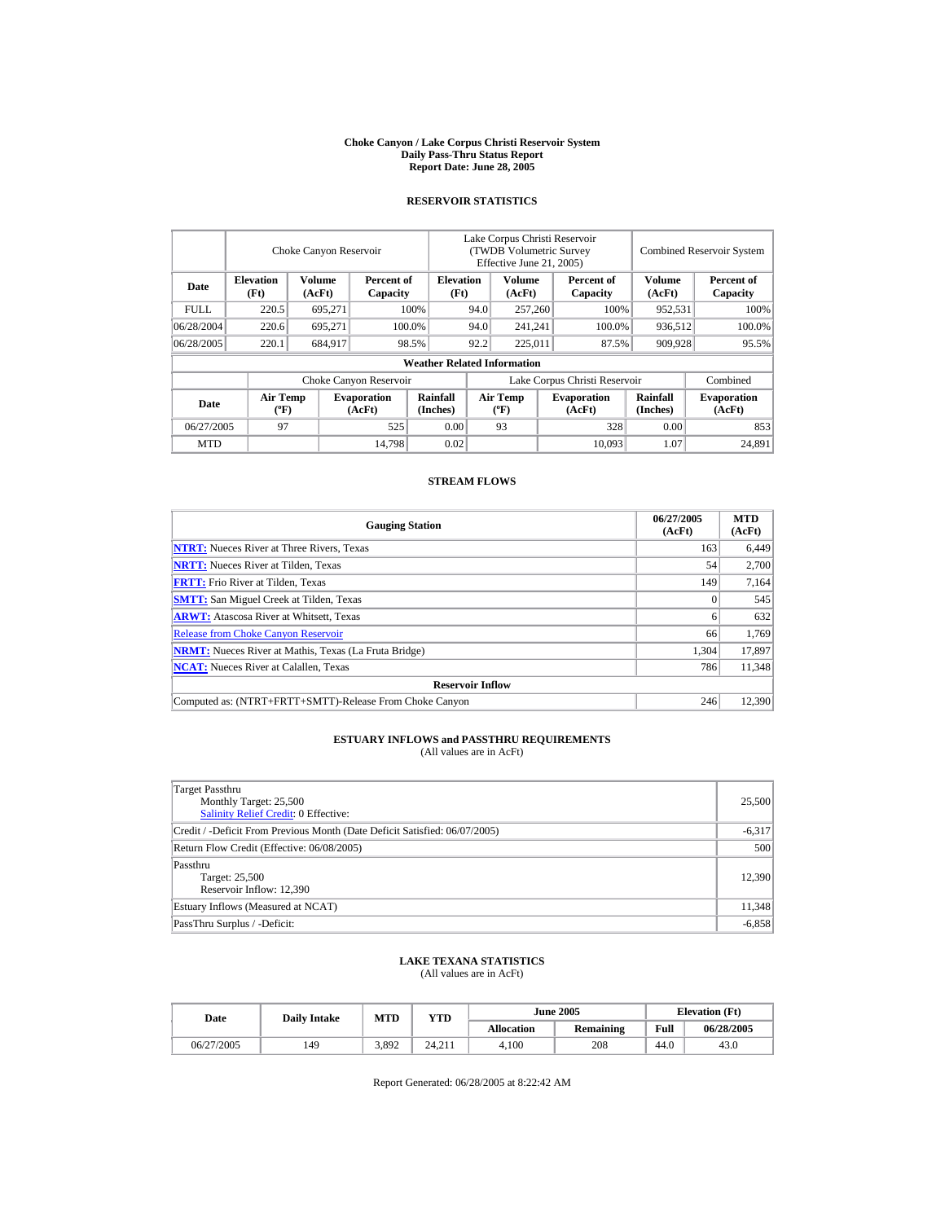#### **Choke Canyon / Lake Corpus Christi Reservoir System Daily Pass-Thru Status Report Report Date: June 28, 2005**

### **RESERVOIR STATISTICS**

|            | Choke Canyon Reservoir                      |                  |                              |                                    | Lake Corpus Christi Reservoir<br>(TWDB Volumetric Survey<br>Effective June 21, 2005) |                                  |  |                              | <b>Combined Reservoir System</b> |                              |  |
|------------|---------------------------------------------|------------------|------------------------------|------------------------------------|--------------------------------------------------------------------------------------|----------------------------------|--|------------------------------|----------------------------------|------------------------------|--|
| Date       | <b>Elevation</b><br>(Ft)                    | Volume<br>(AcFt) | Percent of<br>Capacity       | <b>Elevation</b><br>(Ft)           |                                                                                      | Volume<br>(AcFt)                 |  | Percent of<br>Capacity       | Volume<br>(AcFt)                 | Percent of<br>Capacity       |  |
| FULL.      | 220.5                                       | 695,271          |                              | 100%                               | 94.0                                                                                 | 257,260                          |  | 100%                         | 952,531                          | 100%                         |  |
| 06/28/2004 | 220.6                                       | 695.271          |                              | 100.0%                             | 94.0                                                                                 | 241,241                          |  | 100.0%                       | 936,512                          | 100.0%                       |  |
| 06/28/2005 | 220.1                                       | 684.917          |                              | 98.5%                              | 92.2                                                                                 | 225,011                          |  | 87.5%                        | 909,928                          | 95.5%                        |  |
|            |                                             |                  |                              | <b>Weather Related Information</b> |                                                                                      |                                  |  |                              |                                  |                              |  |
|            |                                             |                  | Choke Canyon Reservoir       |                                    | Lake Corpus Christi Reservoir                                                        |                                  |  |                              |                                  | Combined                     |  |
| Date       | <b>Air Temp</b><br>$({}^{\circ}\mathrm{F})$ |                  | <b>Evaporation</b><br>(AcFt) | Rainfall<br>(Inches)               |                                                                                      | <b>Air Temp</b><br>$(^{\circ}F)$ |  | <b>Evaporation</b><br>(AcFt) | <b>Rainfall</b><br>(Inches)      | <b>Evaporation</b><br>(AcFt) |  |
| 06/27/2005 | 97                                          |                  | 525                          | 0.00                               |                                                                                      | 93                               |  | 328                          | 0.00                             | 853                          |  |
| <b>MTD</b> |                                             |                  | 14.798                       | 0.02                               |                                                                                      |                                  |  | 10.093                       | 1.07                             | 24.891                       |  |

### **STREAM FLOWS**

| <b>Gauging Station</b>                                       | 06/27/2005<br>(AcFt) | <b>MTD</b><br>(AcFt) |
|--------------------------------------------------------------|----------------------|----------------------|
| <b>NTRT:</b> Nueces River at Three Rivers, Texas             | 163                  | 6,449                |
| <b>NRTT:</b> Nueces River at Tilden, Texas                   | 54                   | 2,700                |
| <b>FRTT:</b> Frio River at Tilden, Texas                     | 149                  | 7,164                |
| <b>SMTT:</b> San Miguel Creek at Tilden, Texas               | $\Omega$             | 545                  |
| <b>ARWT:</b> Atascosa River at Whitsett, Texas               |                      | 632                  |
| <b>Release from Choke Canyon Reservoir</b>                   | 66                   | 1.769                |
| <b>NRMT:</b> Nueces River at Mathis, Texas (La Fruta Bridge) | 1.304                | 17,897               |
| <b>NCAT:</b> Nueces River at Calallen, Texas                 | 786                  | 11,348               |
| <b>Reservoir Inflow</b>                                      |                      |                      |
| Computed as: (NTRT+FRTT+SMTT)-Release From Choke Canyon      | 246                  | 12.390               |

# **ESTUARY INFLOWS and PASSTHRU REQUIREMENTS**<br>(All values are in AcFt)

| Target Passthru<br>Monthly Target: 25,500<br>Salinity Relief Credit: 0 Effective: | 25,500   |
|-----------------------------------------------------------------------------------|----------|
| Credit / -Deficit From Previous Month (Date Deficit Satisfied: 06/07/2005)        | $-6,317$ |
| Return Flow Credit (Effective: 06/08/2005)                                        | 500      |
| Passthru<br>Target: 25,500<br>Reservoir Inflow: 12,390                            | 12.390   |
| Estuary Inflows (Measured at NCAT)                                                | 11,348   |
| PassThru Surplus / -Deficit:                                                      | $-6,858$ |

## **LAKE TEXANA STATISTICS**

(All values are in AcFt)

| Date       | <b>Daily Intake</b> | <b>MTD</b> | YTD    |                   | <b>June 2005</b> | <b>Elevation</b> (Ft) |            |
|------------|---------------------|------------|--------|-------------------|------------------|-----------------------|------------|
|            |                     |            |        | <b>Allocation</b> | Remaining        | Full                  | 06/28/2005 |
| 06/27/2005 | 149                 | 3.892      | 24.211 | 4.100             | 208              | 44.0                  | 43.0       |

Report Generated: 06/28/2005 at 8:22:42 AM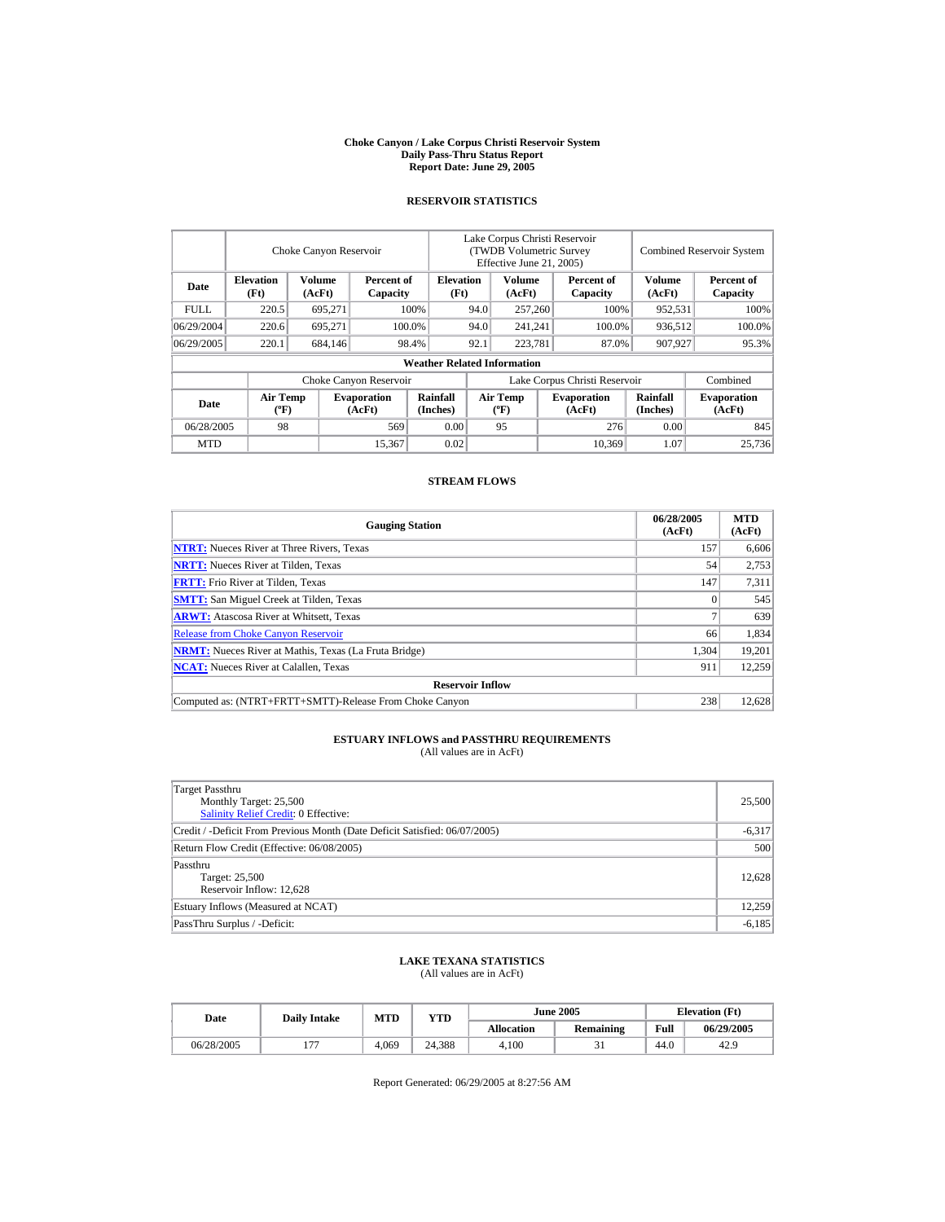#### **Choke Canyon / Lake Corpus Christi Reservoir System Daily Pass-Thru Status Report Report Date: June 29, 2005**

### **RESERVOIR STATISTICS**

|             |                                             | Choke Canyon Reservoir |                              |                                    | Lake Corpus Christi Reservoir<br><b>(TWDB Volumetric Survey)</b><br>Effective June 21, 2005) |                           |  |                              | <b>Combined Reservoir System</b> |                              |  |
|-------------|---------------------------------------------|------------------------|------------------------------|------------------------------------|----------------------------------------------------------------------------------------------|---------------------------|--|------------------------------|----------------------------------|------------------------------|--|
| Date        | <b>Elevation</b><br>(Ft)                    | Volume<br>(AcFt)       | Percent of<br>Capacity       | <b>Elevation</b><br>(Ft)           |                                                                                              | Volume<br>(AcFt)          |  | Percent of<br>Capacity       | <b>Volume</b><br>(AcFt)          | Percent of<br>Capacity       |  |
| <b>FULL</b> | 220.5                                       | 695,271                |                              | 100%                               | 94.0                                                                                         | 257,260                   |  | 100%                         | 952,531                          | 100%                         |  |
| 06/29/2004  | 220.6                                       | 695.271                |                              | 100.0%                             | 94.0                                                                                         | 241,241                   |  | 100.0%                       | 936,512                          | 100.0%                       |  |
| 06/29/2005  | 220.1                                       | 684,146                |                              | 98.4%                              | 92.1                                                                                         | 223,781                   |  | 87.0%                        | 907,927                          | 95.3%                        |  |
|             |                                             |                        |                              | <b>Weather Related Information</b> |                                                                                              |                           |  |                              |                                  |                              |  |
|             |                                             |                        | Choke Canyon Reservoir       |                                    | Lake Corpus Christi Reservoir                                                                |                           |  |                              |                                  | Combined                     |  |
| Date        | <b>Air Temp</b><br>$({}^{\circ}\mathrm{F})$ |                        | <b>Evaporation</b><br>(AcFt) | Rainfall<br>(Inches)               |                                                                                              | Air Temp<br>$(^{\circ}F)$ |  | <b>Evaporation</b><br>(AcFt) | <b>Rainfall</b><br>(Inches)      | <b>Evaporation</b><br>(AcFt) |  |
| 06/28/2005  | 98                                          |                        | 569                          | 0.00                               |                                                                                              | 95                        |  | 276                          | 0.00                             | 845                          |  |
| <b>MTD</b>  |                                             |                        | 15,367                       | 0.02                               |                                                                                              |                           |  | 10.369                       | 1.07                             | 25,736                       |  |

### **STREAM FLOWS**

| <b>Gauging Station</b>                                       | 06/28/2005<br>(AcFt) | <b>MTD</b><br>(AcFt) |
|--------------------------------------------------------------|----------------------|----------------------|
| <b>NTRT:</b> Nueces River at Three Rivers, Texas             | 157                  | 6,606                |
| <b>NRTT:</b> Nueces River at Tilden, Texas                   | 54                   | 2,753                |
| <b>FRTT:</b> Frio River at Tilden, Texas                     | 147                  | 7,311                |
| <b>SMTT:</b> San Miguel Creek at Tilden, Texas               |                      | 545                  |
| <b>ARWT:</b> Atascosa River at Whitsett, Texas               |                      | 639                  |
| <b>Release from Choke Canyon Reservoir</b>                   | 66                   | 1.834                |
| <b>NRMT:</b> Nueces River at Mathis, Texas (La Fruta Bridge) | 1,304                | 19,201               |
| <b>NCAT:</b> Nueces River at Calallen. Texas                 | 911                  | 12,259               |
| <b>Reservoir Inflow</b>                                      |                      |                      |
| Computed as: (NTRT+FRTT+SMTT)-Release From Choke Canyon      | 238                  | 12.628               |

# **ESTUARY INFLOWS and PASSTHRU REQUIREMENTS**<br>(All values are in AcFt)

| Target Passthru<br>Monthly Target: 25,500<br><b>Salinity Relief Credit: 0 Effective:</b> | 25,500   |
|------------------------------------------------------------------------------------------|----------|
| Credit / -Deficit From Previous Month (Date Deficit Satisfied: 06/07/2005)               | $-6,317$ |
| Return Flow Credit (Effective: 06/08/2005)                                               | 500      |
| Passthru<br>Target: 25,500<br>Reservoir Inflow: 12,628                                   | 12,628   |
| Estuary Inflows (Measured at NCAT)                                                       | 12.259   |
| PassThru Surplus / -Deficit:                                                             | $-6,185$ |

## **LAKE TEXANA STATISTICS**

(All values are in AcFt)

| Date       | <b>Daily Intake</b> | <b>MTD</b> | YTD    |                   | <b>June 2005</b> | <b>Elevation</b> (Ft) |            |
|------------|---------------------|------------|--------|-------------------|------------------|-----------------------|------------|
|            |                     |            |        | <b>Allocation</b> | Remaining        | Full                  | 06/29/2005 |
| 06/28/2005 |                     | 4.069      | 24.388 | 4.100             |                  | 44.0                  | 42.9       |

Report Generated: 06/29/2005 at 8:27:56 AM